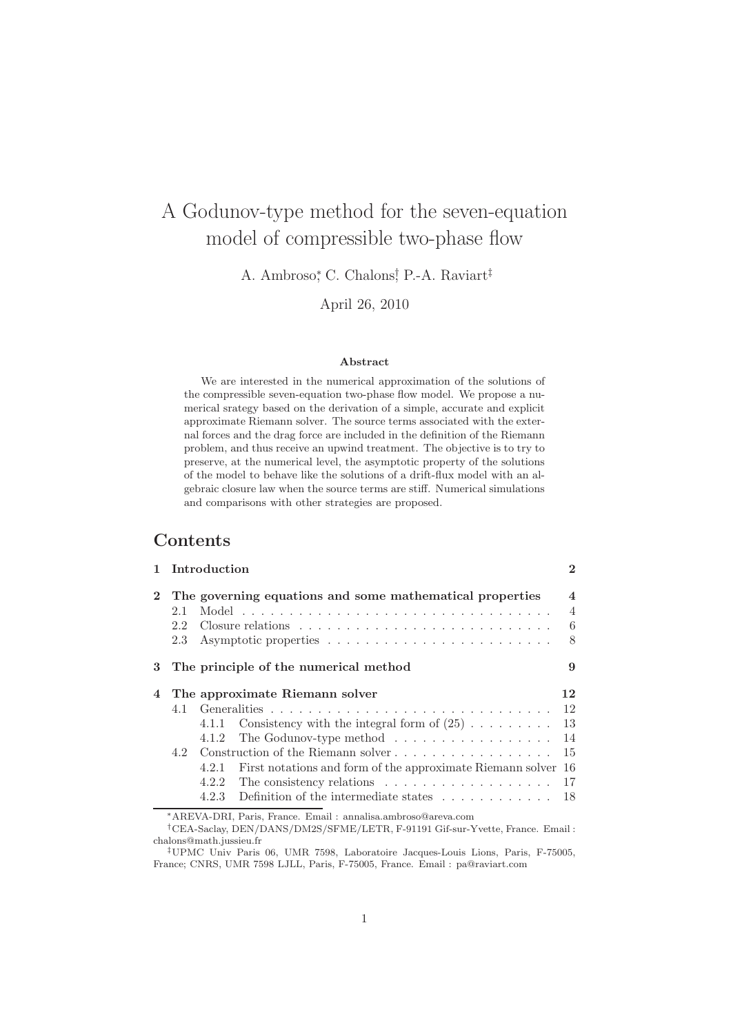# A Godunov-type method for the seven-equation model of compressible two-phase flow

A. Ambroso, C. Chalons, P.-A. Raviart<sup>‡</sup>

April 26, 2010

#### Abstract

We are interested in the numerical approximation of the solutions of the compressible seven-equation two-phase flow model. We propose a numerical srategy based on the derivation of a simple, accurate and explicit approximate Riemann solver. The source terms associated with the external forces and the drag force are included in the definition of the Riemann problem, and thus receive an upwind treatment. The objective is to try to preserve, at the numerical level, the asymptotic property of the solutions of the model to behave like the solutions of a drift-flux model with an algebraic closure law when the source terms are stiff. Numerical simulations and comparisons with other strategies are proposed.

# Contents

|                | Introduction |                                                                                   |                         |  |
|----------------|--------------|-----------------------------------------------------------------------------------|-------------------------|--|
| $\mathbf{2}$   |              | The governing equations and some mathematical properties                          | $\overline{\mathbf{4}}$ |  |
|                | 2.1          |                                                                                   | $\overline{4}$          |  |
|                | 2.2          |                                                                                   | 6                       |  |
|                | 2.3          |                                                                                   | 8                       |  |
| 3              |              | The principle of the numerical method                                             | 9                       |  |
| $\overline{4}$ |              | The approximate Riemann solver                                                    | 12                      |  |
|                |              |                                                                                   | 12                      |  |
|                |              | Consistency with the integral form of $(25)$<br>4.1.1                             | 13                      |  |
|                |              | The Godunov-type method $\dots \dots \dots \dots \dots \dots$<br>4.1.2            | 14                      |  |
|                | 4.2          | Construction of the Riemann solver                                                | 15                      |  |
|                |              | First notations and form of the approximate Riemann solver<br>4.2.1               | 16                      |  |
|                |              | The consistency relations $\ldots \ldots \ldots \ldots \ldots \ldots 17$<br>4.2.2 |                         |  |
|                |              | Definition of the intermediate states $\ldots \ldots \ldots \ldots$<br>4.2.3      | 18                      |  |
|                |              | *AREVA-DRI, Paris, France. Email: annalisa.ambroso@areva.com                      |                         |  |

†CEA-Saclay, DEN/DANS/DM2S/SFME/LETR, F-91191 Gif-sur-Yvette, France. Email : chalons@math.jussieu.fr

‡UPMC Univ Paris 06, UMR 7598, Laboratoire Jacques-Louis Lions, Paris, F-75005, France; CNRS, UMR 7598 LJLL, Paris, F-75005, France. Email : pa@raviart.com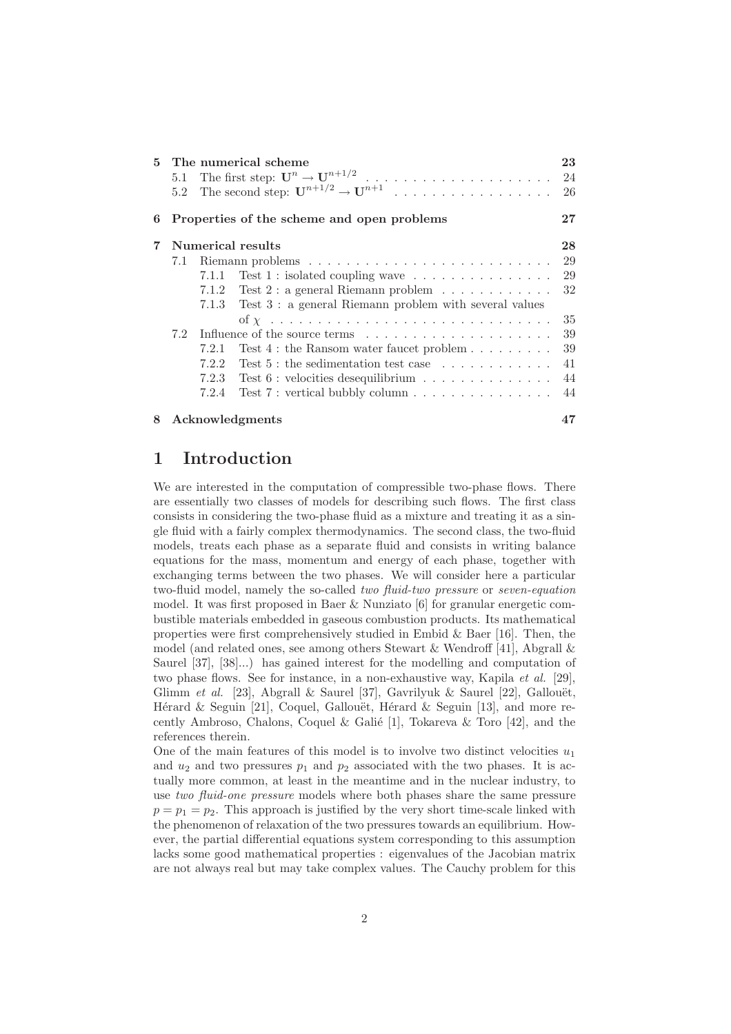|                |                   |       | 5 The numerical scheme<br>5.2 The second step: $\mathbf{U}^{n+1/2} \to \mathbf{U}^{n+1}$ | 23<br>-26 |  |  |
|----------------|-------------------|-------|------------------------------------------------------------------------------------------|-----------|--|--|
| 6              |                   |       | Properties of the scheme and open problems                                               | 27        |  |  |
| $\overline{7}$ | Numerical results |       |                                                                                          |           |  |  |
|                | 7.1               |       |                                                                                          | 29        |  |  |
|                |                   | 7.1.1 | Test 1 : isolated coupling wave $\dots \dots \dots \dots \dots$                          | 29        |  |  |
|                |                   | 7.1.2 | Test 2 : a general Riemann problem $\ldots \ldots \ldots \ldots$                         | 32        |  |  |
|                |                   |       | 7.1.3 Test 3 : a general Riemann problem with several values                             |           |  |  |
|                |                   |       |                                                                                          | 35        |  |  |
|                |                   |       |                                                                                          | 39        |  |  |
|                |                   | 7.2.1 | Test $4:$ the Ransom water faucet problem $\dots \dots$                                  | 39        |  |  |
|                |                   | 7.2.2 | Test $5:$ the sedimentation test case $\ldots \ldots \ldots \ldots$                      | 41        |  |  |
|                |                   | 7.2.3 | Test $6:$ velocities desequilibrium $\ldots \ldots \ldots \ldots$                        | 44        |  |  |
|                |                   | 7.2.4 | Test 7 : vertical bubbly column $\ldots \ldots \ldots \ldots \ldots$                     | 44        |  |  |
| 8              |                   |       | Acknowledgments                                                                          |           |  |  |

# 1 Introduction

We are interested in the computation of compressible two-phase flows. There are essentially two classes of models for describing such flows. The first class consists in considering the two-phase fluid as a mixture and treating it as a single fluid with a fairly complex thermodynamics. The second class, the two-fluid models, treats each phase as a separate fluid and consists in writing balance equations for the mass, momentum and energy of each phase, together with exchanging terms between the two phases. We will consider here a particular two-fluid model, namely the so-called *two fluid-two pressure* or *seven-equation* model. It was first proposed in Baer & Nunziato [6] for granular energetic combustible materials embedded in gaseous combustion products. Its mathematical properties were first comprehensively studied in Embid & Baer [16]. Then, the model (and related ones, see among others Stewart & Wendroff [41], Abgrall & Saurel [37], [38]...) has gained interest for the modelling and computation of two phase flows. See for instance, in a non-exhaustive way, Kapila *et al.* [29], Glimm *et al.* [23], Abgrall & Saurel [37], Gavrilyuk & Saurel [22], Gallouët, Hérard & Seguin [21], Coquel, Gallouët, Hérard & Seguin [13], and more recently Ambroso, Chalons, Coquel & Galié [1], Tokareva & Toro [42], and the references therein.

One of the main features of this model is to involve two distinct velocities  $u_1$ and  $u_2$  and two pressures  $p_1$  and  $p_2$  associated with the two phases. It is actually more common, at least in the meantime and in the nuclear industry, to use *two fluid-one pressure* models where both phases share the same pressure  $p = p_1 = p_2$ . This approach is justified by the very short time-scale linked with the phenomenon of relaxation of the two pressures towards an equilibrium. However, the partial differential equations system corresponding to this assumption lacks some good mathematical properties : eigenvalues of the Jacobian matrix are not always real but may take complex values. The Cauchy problem for this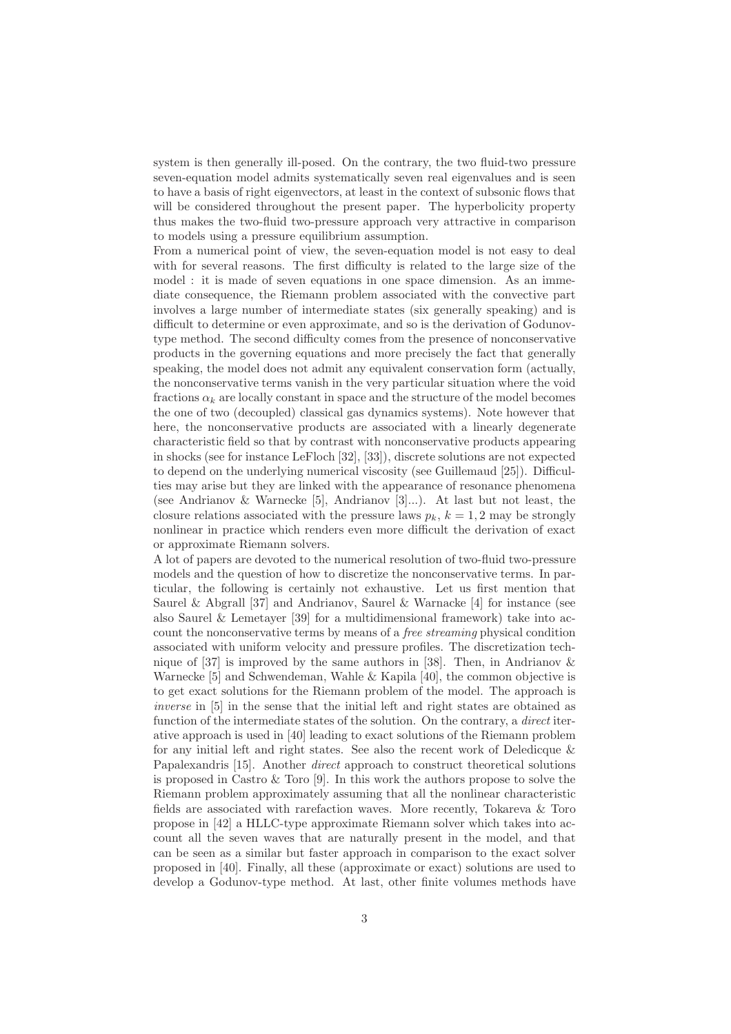system is then generally ill-posed. On the contrary, the two fluid-two pressure seven-equation model admits systematically seven real eigenvalues and is seen to have a basis of right eigenvectors, at least in the context of subsonic flows that will be considered throughout the present paper. The hyperbolicity property thus makes the two-fluid two-pressure approach very attractive in comparison to models using a pressure equilibrium assumption.

From a numerical point of view, the seven-equation model is not easy to deal with for several reasons. The first difficulty is related to the large size of the model : it is made of seven equations in one space dimension. As an immediate consequence, the Riemann problem associated with the convective part involves a large number of intermediate states (six generally speaking) and is difficult to determine or even approximate, and so is the derivation of Godunovtype method. The second difficulty comes from the presence of nonconservative products in the governing equations and more precisely the fact that generally speaking, the model does not admit any equivalent conservation form (actually, the nonconservative terms vanish in the very particular situation where the void fractions  $\alpha_k$  are locally constant in space and the structure of the model becomes the one of two (decoupled) classical gas dynamics systems). Note however that here, the nonconservative products are associated with a linearly degenerate characteristic field so that by contrast with nonconservative products appearing in shocks (see for instance LeFloch [32], [33]), discrete solutions are not expected to depend on the underlying numerical viscosity (see Guillemaud [25]). Difficulties may arise but they are linked with the appearance of resonance phenomena (see Andrianov & Warnecke [5], Andrianov [3]...). At last but not least, the closure relations associated with the pressure laws  $p_k$ ,  $k = 1, 2$  may be strongly nonlinear in practice which renders even more difficult the derivation of exact or approximate Riemann solvers.

A lot of papers are devoted to the numerical resolution of two-fluid two-pressure models and the question of how to discretize the nonconservative terms. In particular, the following is certainly not exhaustive. Let us first mention that Saurel & Abgrall [37] and Andrianov, Saurel & Warnacke [4] for instance (see also Saurel & Lemetayer [39] for a multidimensional framework) take into account the nonconservative terms by means of a *free streaming* physical condition associated with uniform velocity and pressure profiles. The discretization technique of [37] is improved by the same authors in [38]. Then, in Andrianov & Warnecke [5] and Schwendeman, Wahle & Kapila [40], the common objective is to get exact solutions for the Riemann problem of the model. The approach is *inverse* in [5] in the sense that the initial left and right states are obtained as function of the intermediate states of the solution. On the contrary, a *direct* iterative approach is used in [40] leading to exact solutions of the Riemann problem for any initial left and right states. See also the recent work of Deledicque & Papalexandris [15]. Another *direct* approach to construct theoretical solutions is proposed in Castro & Toro [9]. In this work the authors propose to solve the Riemann problem approximately assuming that all the nonlinear characteristic fields are associated with rarefaction waves. More recently, Tokareva & Toro propose in [42] a HLLC-type approximate Riemann solver which takes into account all the seven waves that are naturally present in the model, and that can be seen as a similar but faster approach in comparison to the exact solver proposed in [40]. Finally, all these (approximate or exact) solutions are used to develop a Godunov-type method. At last, other finite volumes methods have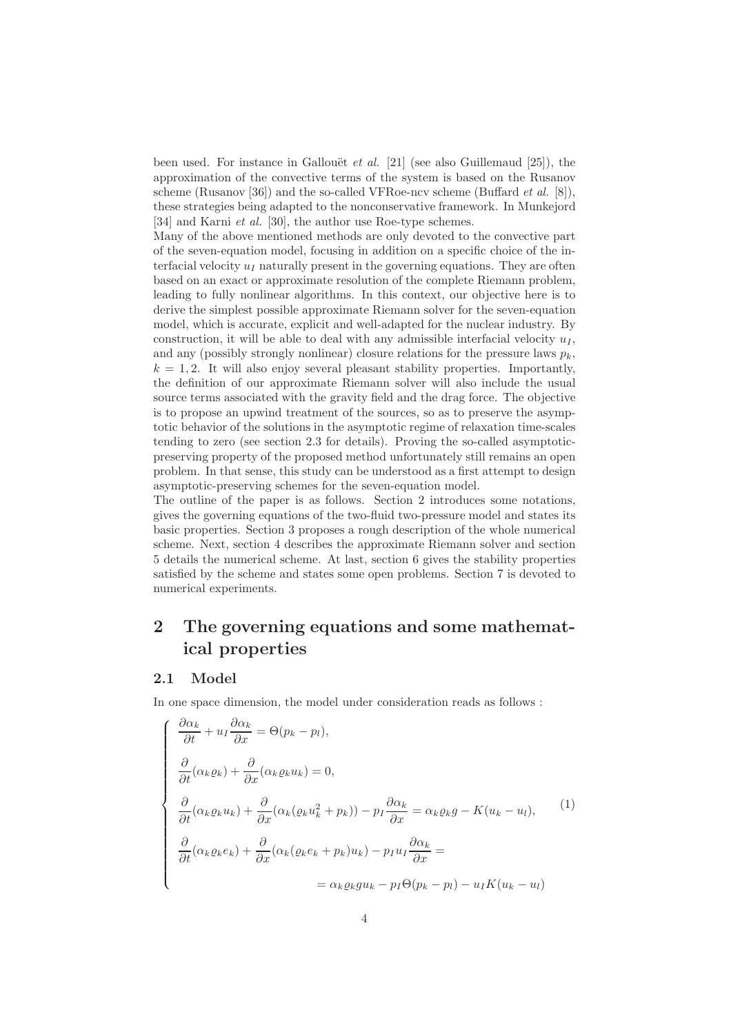been used. For instance in Gallouët *et al.* [21] (see also Guillemaud [25]), the approximation of the convective terms of the system is based on the Rusanov scheme (Rusanov [36]) and the so-called VFRoe-ncv scheme (Buffard *et al.* [8]), these strategies being adapted to the nonconservative framework. In Munkejord [34] and Karni *et al.* [30], the author use Roe-type schemes.

Many of the above mentioned methods are only devoted to the convective part of the seven-equation model, focusing in addition on a specific choice of the interfacial velocity  $u_I$  naturally present in the governing equations. They are often based on an exact or approximate resolution of the complete Riemann problem, leading to fully nonlinear algorithms. In this context, our objective here is to derive the simplest possible approximate Riemann solver for the seven-equation model, which is accurate, explicit and well-adapted for the nuclear industry. By construction, it will be able to deal with any admissible interfacial velocity  $u_I$ , and any (possibly strongly nonlinear) closure relations for the pressure laws  $p_k$ ,  $k = 1, 2$ . It will also enjoy several pleasant stability properties. Importantly, the definition of our approximate Riemann solver will also include the usual source terms associated with the gravity field and the drag force. The objective is to propose an upwind treatment of the sources, so as to preserve the asymptotic behavior of the solutions in the asymptotic regime of relaxation time-scales tending to zero (see section 2.3 for details). Proving the so-called asymptoticpreserving property of the proposed method unfortunately still remains an open problem. In that sense, this study can be understood as a first attempt to design asymptotic-preserving schemes for the seven-equation model.

The outline of the paper is as follows. Section 2 introduces some notations, gives the governing equations of the two-fluid two-pressure model and states its basic properties. Section 3 proposes a rough description of the whole numerical scheme. Next, section 4 describes the approximate Riemann solver and section 5 details the numerical scheme. At last, section 6 gives the stability properties satisfied by the scheme and states some open problems. Section 7 is devoted to numerical experiments.

# 2 The governing equations and some mathematical properties

## 2.1 Model

In one space dimension, the model under consideration reads as follows :

$$
\begin{cases}\n\frac{\partial \alpha_k}{\partial t} + u_I \frac{\partial \alpha_k}{\partial x} = \Theta(p_k - p_l), \\
\frac{\partial}{\partial t} (\alpha_k \varrho_k) + \frac{\partial}{\partial x} (\alpha_k \varrho_k u_k) = 0, \\
\frac{\partial}{\partial t} (\alpha_k \varrho_k u_k) + \frac{\partial}{\partial x} (\alpha_k (\varrho_k u_k^2 + p_k)) - p_I \frac{\partial \alpha_k}{\partial x} = \alpha_k \varrho_k g - K(u_k - u_l), \\
\frac{\partial}{\partial t} (\alpha_k \varrho_k e_k) + \frac{\partial}{\partial x} (\alpha_k (\varrho_k e_k + p_k) u_k) - p_I u_I \frac{\partial \alpha_k}{\partial x} = \\
= \alpha_k \varrho_k g u_k - p_I \Theta(p_k - p_l) - u_I K(u_k - u_l)\n\end{cases} (1)
$$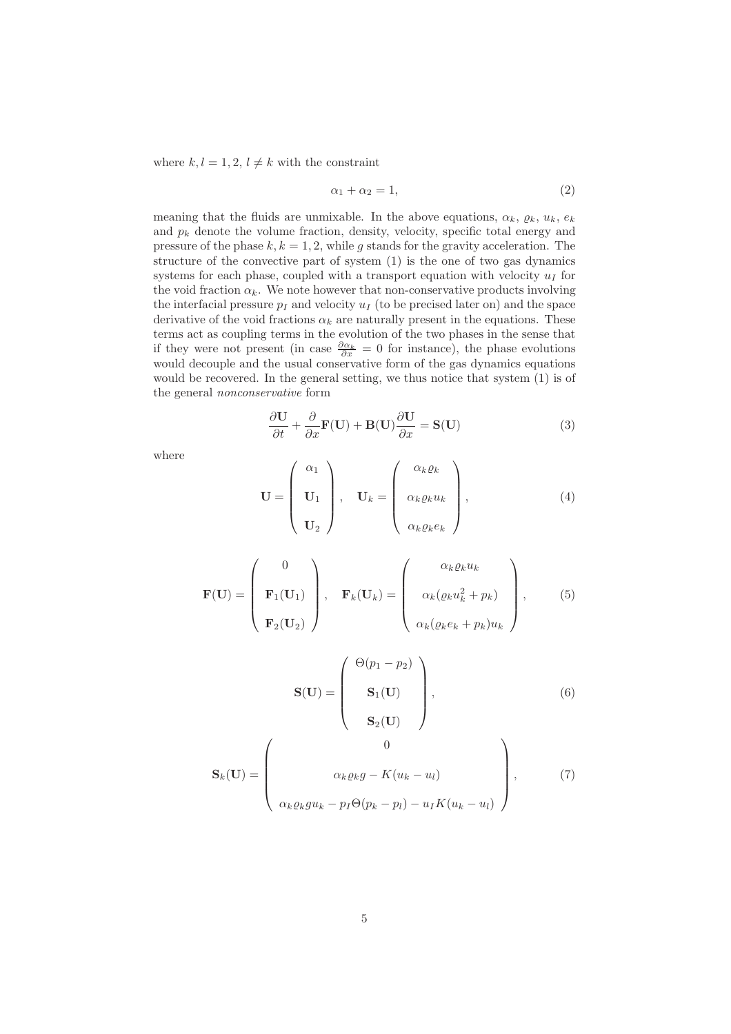where  $k, l = 1, 2, l \neq k$  with the constraint

$$
\alpha_1 + \alpha_2 = 1,\tag{2}
$$

meaning that the fluids are unmixable. In the above equations,  $\alpha_k$ ,  $\varrho_k$ ,  $u_k$ ,  $e_k$ and  $p_k$  denote the volume fraction, density, velocity, specific total energy and pressure of the phase  $k, k = 1, 2$ , while g stands for the gravity acceleration. The structure of the convective part of system (1) is the one of two gas dynamics systems for each phase, coupled with a transport equation with velocity  $u_I$  for the void fraction  $\alpha_k$ . We note however that non-conservative products involving the interfacial pressure  $p_I$  and velocity  $u_I$  (to be precised later on) and the space derivative of the void fractions  $\alpha_k$  are naturally present in the equations. These terms act as coupling terms in the evolution of the two phases in the sense that if they were not present (in case  $\frac{\partial \alpha_k}{\partial x} = 0$  for instance), the phase evolutions would decouple and the usual conservative form of the gas dynamics equations would be recovered. In the general setting, we thus notice that system (1) is of the general *nonconservative* form

$$
\frac{\partial \mathbf{U}}{\partial t} + \frac{\partial}{\partial x} \mathbf{F}(\mathbf{U}) + \mathbf{B}(\mathbf{U}) \frac{\partial \mathbf{U}}{\partial x} = \mathbf{S}(\mathbf{U})
$$
(3)

where

$$
\mathbf{U} = \begin{pmatrix} \alpha_1 \\ \mathbf{U}_1 \\ \mathbf{U}_2 \end{pmatrix}, \quad \mathbf{U}_k = \begin{pmatrix} \alpha_k \varrho_k \\ \alpha_k \varrho_k u_k \\ \alpha_k \varrho_k e_k \end{pmatrix}, \tag{4}
$$

$$
\mathbf{F}(\mathbf{U}) = \begin{pmatrix} 0 \\ \mathbf{F}_1(\mathbf{U}_1) \\ \mathbf{F}_2(\mathbf{U}_2) \end{pmatrix}, \quad \mathbf{F}_k(\mathbf{U}_k) = \begin{pmatrix} \alpha_k \varrho_k u_k \\ \alpha_k (\varrho_k u_k^2 + p_k) \\ \alpha_k (\varrho_k e_k + p_k) u_k \end{pmatrix}, \quad (5)
$$

$$
\mathbf{S}(\mathbf{U}) = \begin{pmatrix} \Theta(p_1 - p_2) \\ \mathbf{S}_1(\mathbf{U}) \\ \mathbf{S}_2(\mathbf{U}) \end{pmatrix},
$$
(6)

$$
\mathbf{S}_{k}(\mathbf{U}) = \begin{pmatrix} 0 \\ a_{k} \varrho_{k}g - K(u_{k} - u_{l}) \\ \alpha_{k} \varrho_{k}gu_{k} - p_{I}\Theta(p_{k} - p_{l}) - u_{I}K(u_{k} - u_{l}) \end{pmatrix}, \qquad (7)
$$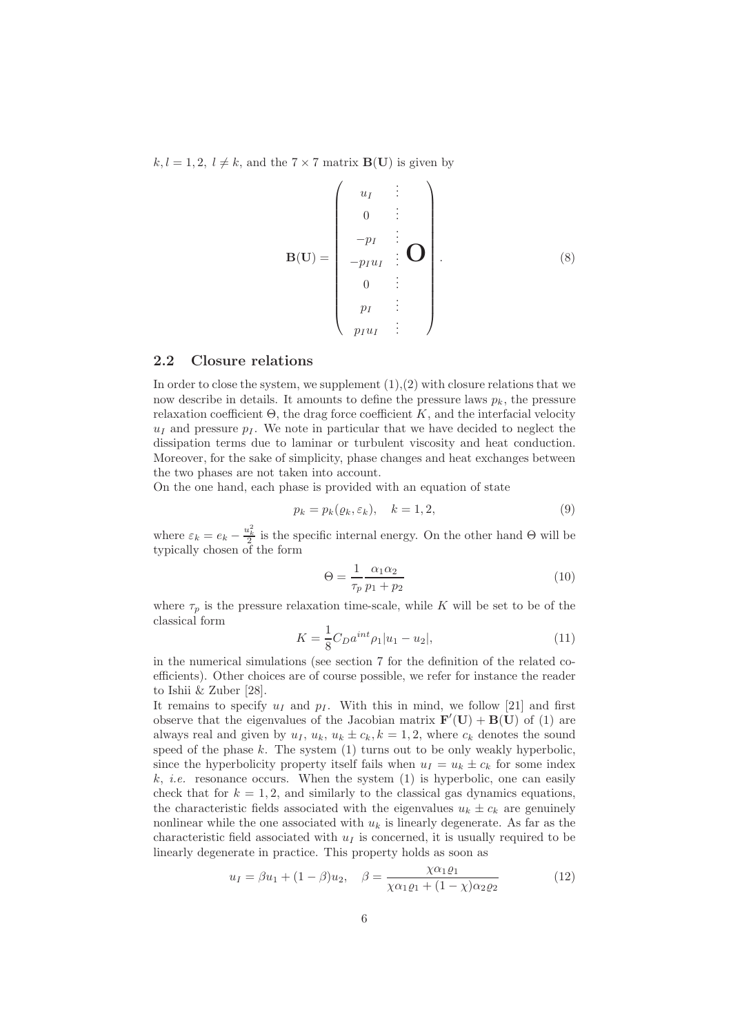$k, l = 1, 2, l \neq k$ , and the  $7 \times 7$  matrix **B(U)** is given by

B(U) = uI . . . 0 . . . −p<sup>I</sup> . . . −pIu<sup>I</sup> . . . 0 . . . pI . . . pIu<sup>I</sup> . . . O . (8)

### 2.2 Closure relations

In order to close the system, we supplement  $(1),(2)$  with closure relations that we now describe in details. It amounts to define the pressure laws  $p_k$ , the pressure relaxation coefficient  $\Theta$ , the drag force coefficient K, and the interfacial velocity  $u_I$  and pressure  $p_I$ . We note in particular that we have decided to neglect the dissipation terms due to laminar or turbulent viscosity and heat conduction. Moreover, for the sake of simplicity, phase changes and heat exchanges between the two phases are not taken into account.

On the one hand, each phase is provided with an equation of state

$$
p_k = p_k(\varrho_k, \varepsilon_k), \quad k = 1, 2,
$$
\n<sup>(9)</sup>

where  $\varepsilon_k = e_k - \frac{u_k^2}{2}$  is the specific internal energy. On the other hand  $\Theta$  will be typically chosen of the form

$$
\Theta = \frac{1}{\tau_p} \frac{\alpha_1 \alpha_2}{p_1 + p_2} \tag{10}
$$

where  $\tau_p$  is the pressure relaxation time-scale, while K will be set to be of the classical form

$$
K = \frac{1}{8}C_D a^{int} \rho_1 |u_1 - u_2|,\tag{11}
$$

in the numerical simulations (see section 7 for the definition of the related coefficients). Other choices are of course possible, we refer for instance the reader to Ishii & Zuber [28].

It remains to specify  $u_I$  and  $p_I$ . With this in mind, we follow [21] and first observe that the eigenvalues of the Jacobian matrix  $\mathbf{F}'(\mathbf{U}) + \mathbf{B}(\mathbf{U})$  of (1) are always real and given by  $u_I, u_k, u_k \pm c_k, k = 1, 2$ , where  $c_k$  denotes the sound speed of the phase  $k$ . The system  $(1)$  turns out to be only weakly hyperbolic, since the hyperbolicity property itself fails when  $u_I = u_k \pm c_k$  for some index  $k, i.e.$  resonance occurs. When the system  $(1)$  is hyperbolic, one can easily check that for  $k = 1, 2$ , and similarly to the classical gas dynamics equations, the characteristic fields associated with the eigenvalues  $u_k \pm c_k$  are genuinely nonlinear while the one associated with  $u_k$  is linearly degenerate. As far as the characteristic field associated with  $u_I$  is concerned, it is usually required to be linearly degenerate in practice. This property holds as soon as

$$
u_I = \beta u_1 + (1 - \beta) u_2, \quad \beta = \frac{\chi \alpha_1 \varrho_1}{\chi \alpha_1 \varrho_1 + (1 - \chi) \alpha_2 \varrho_2}
$$
(12)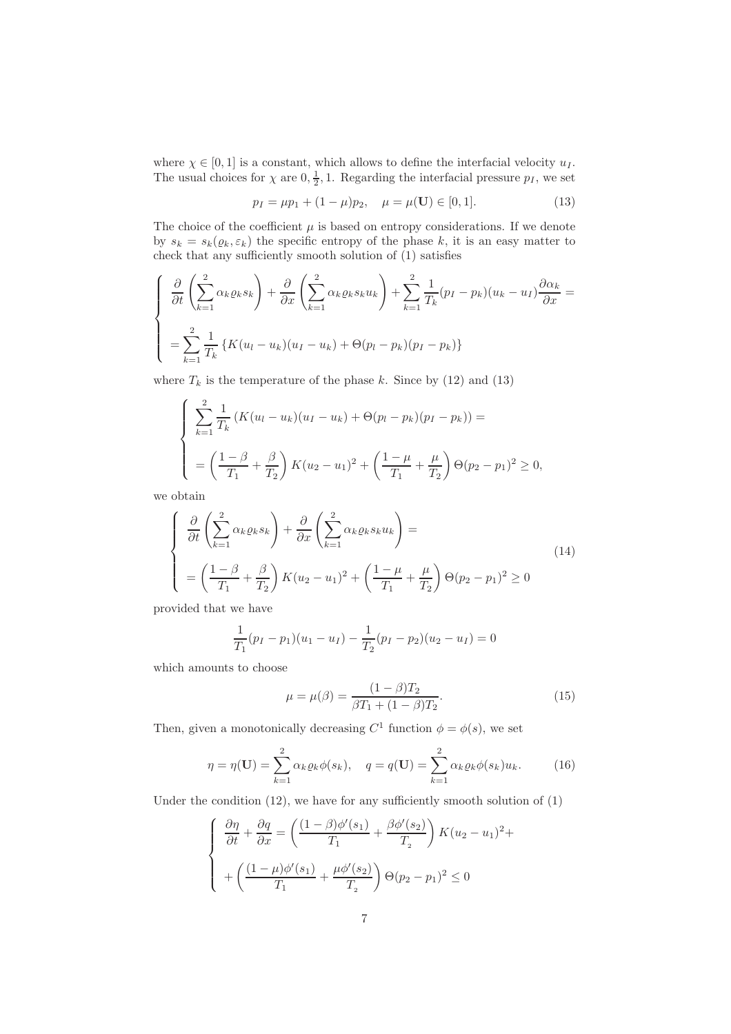where  $\chi \in [0,1]$  is a constant, which allows to define the interfacial velocity  $u_I$ . The usual choices for  $\chi$  are  $0, \frac{1}{2}, 1$ . Regarding the interfacial pressure  $p_I$ , we set

$$
p_I = \mu p_1 + (1 - \mu)p_2, \quad \mu = \mu(\mathbf{U}) \in [0, 1]. \tag{13}
$$

The choice of the coefficient  $\mu$  is based on entropy considerations. If we denote by  $s_k = s_k(\varrho_k, \varepsilon_k)$  the specific entropy of the phase k, it is an easy matter to check that any sufficiently smooth solution of (1) satisfies

$$
\begin{cases} \frac{\partial}{\partial t} \left( \sum_{k=1}^{2} \alpha_k \varrho_k s_k \right) + \frac{\partial}{\partial x} \left( \sum_{k=1}^{2} \alpha_k \varrho_k s_k u_k \right) + \sum_{k=1}^{2} \frac{1}{T_k} (p_I - p_k) (u_k - u_I) \frac{\partial \alpha_k}{\partial x} = \\ = \sum_{k=1}^{2} \frac{1}{T_k} \left\{ K(u_I - u_k) (u_I - u_k) + \Theta(p_I - p_k) (p_I - p_k) \right\} \end{cases}
$$

where  $T_k$  is the temperature of the phase k. Since by (12) and (13)

$$
\begin{cases}\n\sum_{k=1}^{2} \frac{1}{T_k} \left( K(u_l - u_k)(u_I - u_k) + \Theta(p_l - p_k)(p_I - p_k) \right) = \\
= \left( \frac{1 - \beta}{T_1} + \frac{\beta}{T_2} \right) K(u_2 - u_1)^2 + \left( \frac{1 - \mu}{T_1} + \frac{\mu}{T_2} \right) \Theta(p_2 - p_1)^2 \ge 0,\n\end{cases}
$$

we obtain

$$
\begin{cases}\n\frac{\partial}{\partial t} \left( \sum_{k=1}^{2} \alpha_k \varrho_k s_k \right) + \frac{\partial}{\partial x} \left( \sum_{k=1}^{2} \alpha_k \varrho_k s_k u_k \right) = \\
= \left( \frac{1 - \beta}{T_1} + \frac{\beta}{T_2} \right) K (u_2 - u_1)^2 + \left( \frac{1 - \mu}{T_1} + \frac{\mu}{T_2} \right) \Theta (p_2 - p_1)^2 \ge 0\n\end{cases}
$$
\n(14)

provided that we have

$$
\frac{1}{T_1}(p_I - p_1)(u_1 - u_I) - \frac{1}{T_2}(p_I - p_2)(u_2 - u_I) = 0
$$

which amounts to choose

$$
\mu = \mu(\beta) = \frac{(1 - \beta)T_2}{\beta T_1 + (1 - \beta)T_2}.
$$
\n(15)

Then, given a monotonically decreasing  $C^1$  function  $\phi = \phi(s)$ , we set

$$
\eta = \eta(\mathbf{U}) = \sum_{k=1}^{2} \alpha_k \varrho_k \phi(s_k), \quad q = q(\mathbf{U}) = \sum_{k=1}^{2} \alpha_k \varrho_k \phi(s_k) u_k.
$$
 (16)

Under the condition  $(12)$ , we have for any sufficiently smooth solution of  $(1)$ 

$$
\begin{cases} \frac{\partial \eta}{\partial t} + \frac{\partial q}{\partial x} = \left( \frac{(1-\beta)\phi'(s_1)}{T_1} + \frac{\beta \phi'(s_2)}{T_2} \right) K(u_2 - u_1)^2 + \\ \quad + \left( \frac{(1-\mu)\phi'(s_1)}{T_1} + \frac{\mu \phi'(s_2)}{T_2} \right) \Theta(p_2 - p_1)^2 \le 0 \end{cases}
$$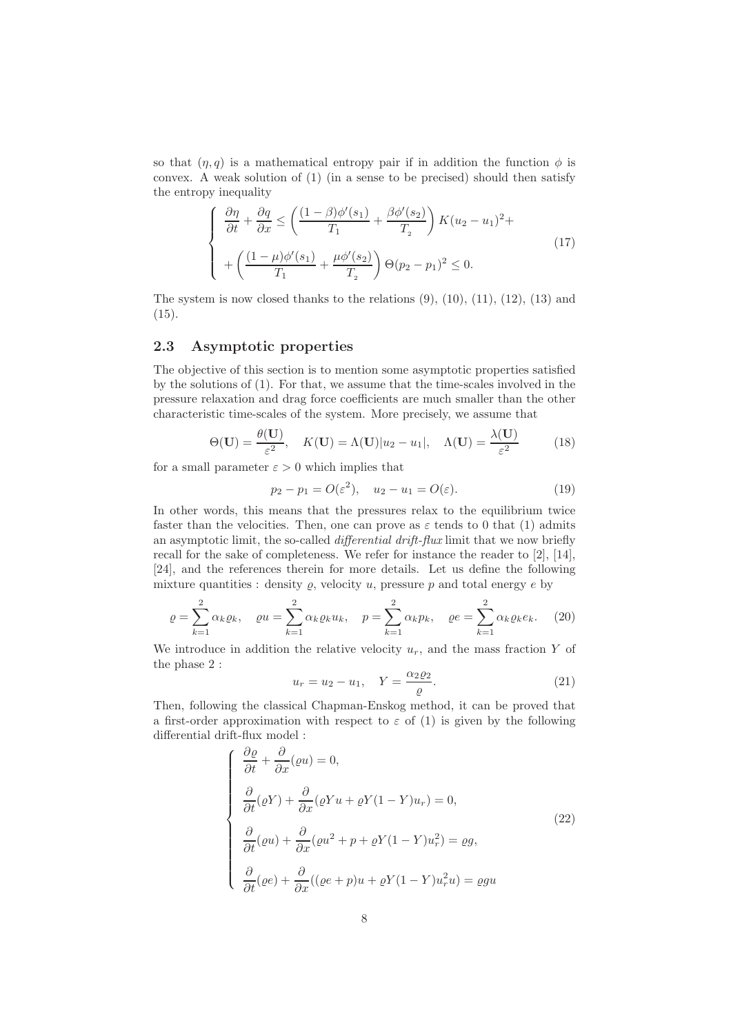so that  $(\eta, q)$  is a mathematical entropy pair if in addition the function  $\phi$  is convex. A weak solution of (1) (in a sense to be precised) should then satisfy the entropy inequality

$$
\begin{cases}\n\frac{\partial \eta}{\partial t} + \frac{\partial q}{\partial x} \le \left( \frac{(1-\beta)\phi'(s_1)}{T_1} + \frac{\beta \phi'(s_2)}{T_2} \right) K(u_2 - u_1)^2 + \\
+ \left( \frac{(1-\mu)\phi'(s_1)}{T_1} + \frac{\mu \phi'(s_2)}{T_2} \right) \Theta(p_2 - p_1)^2 \le 0.\n\end{cases} (17)
$$

The system is now closed thanks to the relations  $(9)$ ,  $(10)$ ,  $(11)$ ,  $(12)$ ,  $(13)$  and (15).

## 2.3 Asymptotic properties

The objective of this section is to mention some asymptotic properties satisfied by the solutions of (1). For that, we assume that the time-scales involved in the pressure relaxation and drag force coefficients are much smaller than the other characteristic time-scales of the system. More precisely, we assume that

$$
\Theta(\mathbf{U}) = \frac{\theta(\mathbf{U})}{\varepsilon^2}, \quad K(\mathbf{U}) = \Lambda(\mathbf{U}) |u_2 - u_1|, \quad \Lambda(\mathbf{U}) = \frac{\lambda(\mathbf{U})}{\varepsilon^2} \tag{18}
$$

for a small parameter  $\varepsilon > 0$  which implies that

$$
p_2 - p_1 = O(\varepsilon^2), \quad u_2 - u_1 = O(\varepsilon).
$$
 (19)

In other words, this means that the pressures relax to the equilibrium twice faster than the velocities. Then, one can prove as  $\varepsilon$  tends to 0 that (1) admits an asymptotic limit, the so-called *differential drift-flux* limit that we now briefly recall for the sake of completeness. We refer for instance the reader to [2], [14], [24], and the references therein for more details. Let us define the following mixture quantities : density  $\rho$ , velocity u, pressure p and total energy e by

$$
\varrho = \sum_{k=1}^{2} \alpha_k \varrho_k, \quad \varrho u = \sum_{k=1}^{2} \alpha_k \varrho_k u_k, \quad p = \sum_{k=1}^{2} \alpha_k p_k, \quad \varrho e = \sum_{k=1}^{2} \alpha_k \varrho_k e_k. \tag{20}
$$

We introduce in addition the relative velocity  $u_r$ , and the mass fraction Y of the phase 2 :

$$
u_r = u_2 - u_1, \quad Y = \frac{\alpha_2 \varrho_2}{\varrho}.
$$
 (21)

Then, following the classical Chapman-Enskog method, it can be proved that a first-order approximation with respect to  $\varepsilon$  of (1) is given by the following differential drift-flux model :

$$
\begin{cases}\n\frac{\partial \varrho}{\partial t} + \frac{\partial}{\partial x}(\varrho u) = 0, \\
\frac{\partial}{\partial t}(\varrho Y) + \frac{\partial}{\partial x}(\varrho Y u + \varrho Y (1 - Y) u_r) = 0, \\
\frac{\partial}{\partial t}(\varrho u) + \frac{\partial}{\partial x}(\varrho u^2 + p + \varrho Y (1 - Y) u_r^2) = \varrho g, \\
\frac{\partial}{\partial t}(\varrho e) + \frac{\partial}{\partial x}((\varrho e + p)u + \varrho Y (1 - Y) u_r^2 u) = \varrho g u\n\end{cases}
$$
\n(22)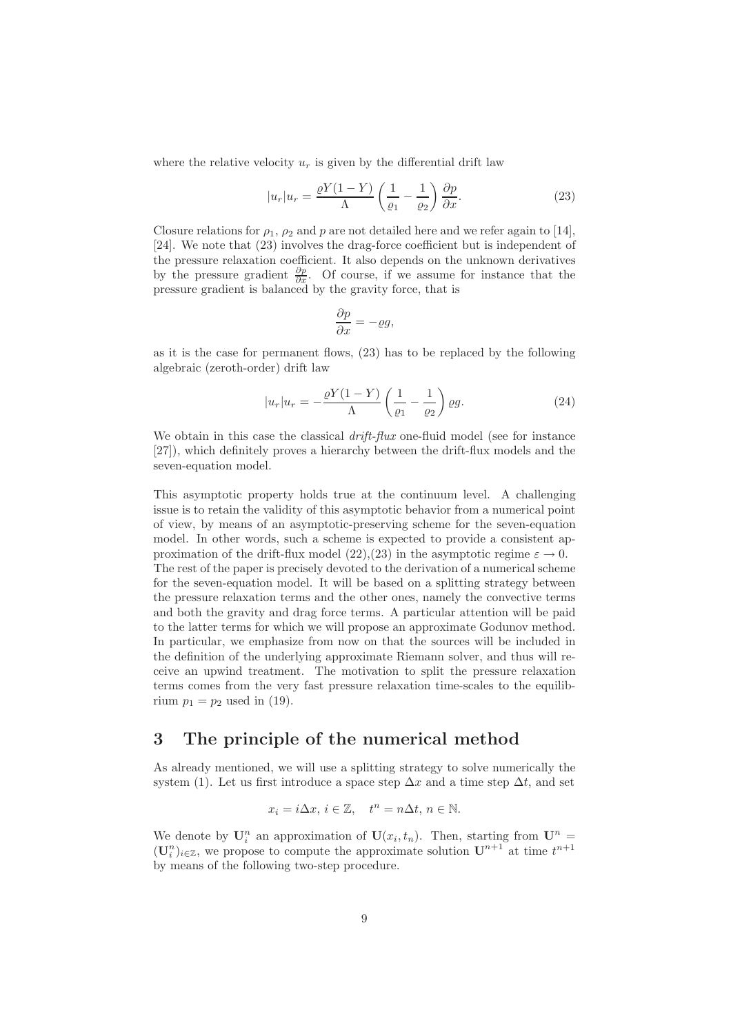where the relative velocity  $u_r$  is given by the differential drift law

$$
|u_r|u_r = \frac{\varrho Y(1-Y)}{\Lambda} \left(\frac{1}{\varrho_1} - \frac{1}{\varrho_2}\right) \frac{\partial p}{\partial x}.\tag{23}
$$

Closure relations for  $\rho_1$ ,  $\rho_2$  and p are not detailed here and we refer again to [14], [24]. We note that (23) involves the drag-force coefficient but is independent of the pressure relaxation coefficient. It also depends on the unknown derivatives by the pressure gradient  $\frac{\partial p}{\partial x}$ . Of course, if we assume for instance that the pressure gradient is balanced by the gravity force, that is

$$
\frac{\partial p}{\partial x} = -\varrho g,
$$

as it is the case for permanent flows, (23) has to be replaced by the following algebraic (zeroth-order) drift law

$$
|u_r|u_r = -\frac{\varrho Y(1-Y)}{\Lambda} \left(\frac{1}{\varrho_1} - \frac{1}{\varrho_2}\right) \varrho g. \tag{24}
$$

We obtain in this case the classical *drift-flux* one-fluid model (see for instance [27]), which definitely proves a hierarchy between the drift-flux models and the seven-equation model.

This asymptotic property holds true at the continuum level. A challenging issue is to retain the validity of this asymptotic behavior from a numerical point of view, by means of an asymptotic-preserving scheme for the seven-equation model. In other words, such a scheme is expected to provide a consistent approximation of the drift-flux model (22),(23) in the asymptotic regime  $\varepsilon \to 0$ . The rest of the paper is precisely devoted to the derivation of a numerical scheme for the seven-equation model. It will be based on a splitting strategy between the pressure relaxation terms and the other ones, namely the convective terms and both the gravity and drag force terms. A particular attention will be paid to the latter terms for which we will propose an approximate Godunov method. In particular, we emphasize from now on that the sources will be included in the definition of the underlying approximate Riemann solver, and thus will receive an upwind treatment. The motivation to split the pressure relaxation terms comes from the very fast pressure relaxation time-scales to the equilibrium  $p_1 = p_2$  used in (19).

# 3 The principle of the numerical method

As already mentioned, we will use a splitting strategy to solve numerically the system (1). Let us first introduce a space step  $\Delta x$  and a time step  $\Delta t$ , and set

$$
x_i = i\Delta x, \ i \in \mathbb{Z}, \quad t^n = n\Delta t, \ n \in \mathbb{N}.
$$

We denote by  $\mathbf{U}_i^n$  an approximation of  $\mathbf{U}(x_i,t_n)$ . Then, starting from  $\mathbf{U}^n$  =  $(\mathbf{U}_i^n)_{i \in \mathbb{Z}}$ , we propose to compute the approximate solution  $\mathbf{U}^{n+1}$  at time  $t^{n+1}$ by means of the following two-step procedure.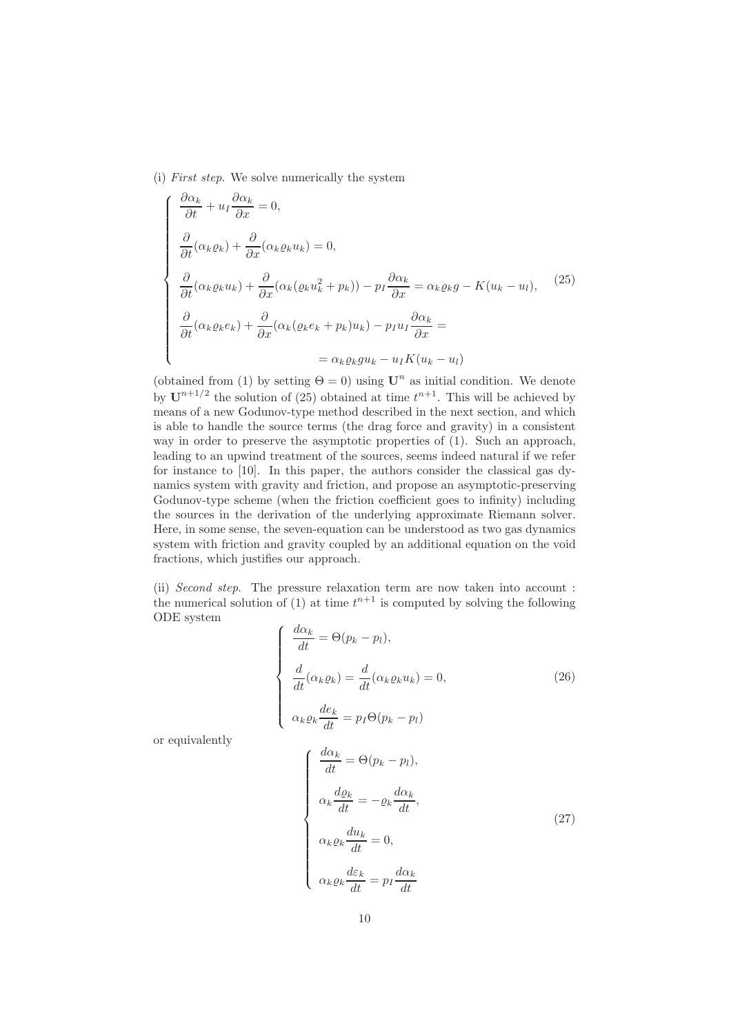(i) *First step*. We solve numerically the system

$$
\begin{cases}\n\frac{\partial \alpha_k}{\partial t} + u_I \frac{\partial \alpha_k}{\partial x} = 0, \\
\frac{\partial}{\partial t} (\alpha_k \varrho_k) + \frac{\partial}{\partial x} (\alpha_k \varrho_k u_k) = 0, \\
\frac{\partial}{\partial t} (\alpha_k \varrho_k u_k) + \frac{\partial}{\partial x} (\alpha_k (\varrho_k u_k^2 + p_k)) - p_I \frac{\partial \alpha_k}{\partial x} = \alpha_k \varrho_k g - K(u_k - u_l), \\
\frac{\partial}{\partial t} (\alpha_k \varrho_k e_k) + \frac{\partial}{\partial x} (\alpha_k (\varrho_k e_k + p_k) u_k) - p_I u_I \frac{\partial \alpha_k}{\partial x} = \\
= \alpha_k \varrho_k g u_k - u_I K(u_k - u_l)\n\end{cases} (25)
$$

(obtained from (1) by setting  $\Theta = 0$ ) using  $\mathbf{U}^n$  as initial condition. We denote by  $\mathbf{U}^{n+1/2}$  the solution of (25) obtained at time  $t^{n+1}$ . This will be achieved by means of a new Godunov-type method described in the next section, and which is able to handle the source terms (the drag force and gravity) in a consistent way in order to preserve the asymptotic properties of  $(1)$ . Such an approach, leading to an upwind treatment of the sources, seems indeed natural if we refer for instance to [10]. In this paper, the authors consider the classical gas dynamics system with gravity and friction, and propose an asymptotic-preserving Godunov-type scheme (when the friction coefficient goes to infinity) including the sources in the derivation of the underlying approximate Riemann solver. Here, in some sense, the seven-equation can be understood as two gas dynamics system with friction and gravity coupled by an additional equation on the void fractions, which justifies our approach.

(ii) *Second step*. The pressure relaxation term are now taken into account : the numerical solution of (1) at time  $t^{n+1}$  is computed by solving the following ODE system

$$
\begin{cases}\n\frac{d\alpha_k}{dt} = \Theta(p_k - p_l), \\
\frac{d}{dt}(\alpha_k \varrho_k) = \frac{d}{dt}(\alpha_k \varrho_k u_k) = 0, \\
\alpha_k \varrho_k \frac{de_k}{dt} = p_I \Theta(p_k - p_l)\n\end{cases}
$$
\n(26)

or equivalently

$$
\begin{cases}\n\frac{d\alpha_k}{dt} = \Theta(p_k - p_l), \\
\alpha_k \frac{d\varrho_k}{dt} = -\varrho_k \frac{d\alpha_k}{dt}, \\
\alpha_k \varrho_k \frac{du_k}{dt} = 0, \\
\alpha_k \varrho_k \frac{d\varepsilon_k}{dt} = p_I \frac{d\alpha_k}{dt}\n\end{cases}
$$
\n(27)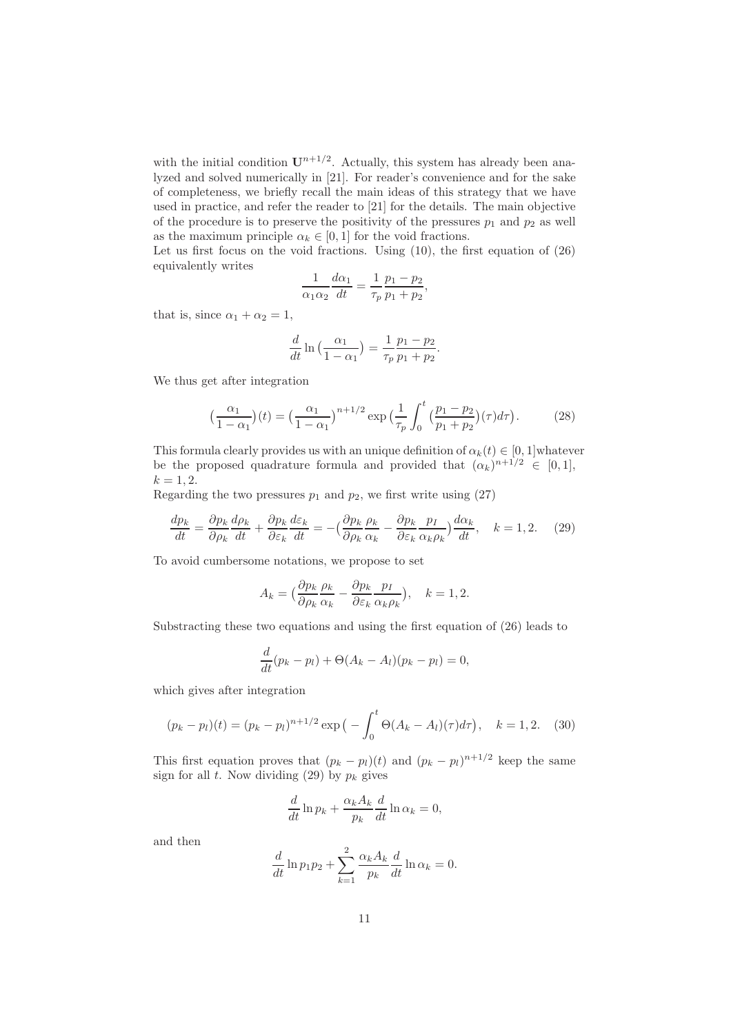with the initial condition  $U^{n+1/2}$ . Actually, this system has already been analyzed and solved numerically in [21]. For reader's convenience and for the sake of completeness, we briefly recall the main ideas of this strategy that we have used in practice, and refer the reader to [21] for the details. The main objective of the procedure is to preserve the positivity of the pressures  $p_1$  and  $p_2$  as well as the maximum principle  $\alpha_k \in [0, 1]$  for the void fractions.

Let us first focus on the void fractions. Using  $(10)$ , the first equation of  $(26)$ equivalently writes

$$
\frac{1}{\alpha_1 \alpha_2} \frac{d\alpha_1}{dt} = \frac{1}{\tau_p} \frac{p_1 - p_2}{p_1 + p_2},
$$

that is, since  $\alpha_1 + \alpha_2 = 1$ ,

$$
\frac{d}{dt}\ln\left(\frac{\alpha_1}{1-\alpha_1}\right) = \frac{1}{\tau_p}\frac{p_1 - p_2}{p_1 + p_2}.
$$

We thus get after integration

$$
\left(\frac{\alpha_1}{1-\alpha_1}\right)(t) = \left(\frac{\alpha_1}{1-\alpha_1}\right)^{n+1/2} \exp\left(\frac{1}{\tau_p} \int_0^t \left(\frac{p_1-p_2}{p_1+p_2}\right)(\tau) d\tau\right). \tag{28}
$$

This formula clearly provides us with an unique definition of  $\alpha_k(t) \in [0,1]$  whatever be the proposed quadrature formula and provided that  $(\alpha_k)^{n+1/2} \in [0,1],$  $k = 1, 2.$ 

Regarding the two pressures  $p_1$  and  $p_2$ , we first write using (27)

$$
\frac{dp_k}{dt} = \frac{\partial p_k}{\partial \rho_k} \frac{d\rho_k}{dt} + \frac{\partial p_k}{\partial \varepsilon_k} \frac{d\varepsilon_k}{dt} = -\left(\frac{\partial p_k}{\partial \rho_k} \frac{\rho_k}{\alpha_k} - \frac{\partial p_k}{\partial \varepsilon_k} \frac{p_I}{\alpha_k \rho_k}\right) \frac{d\alpha_k}{dt}, \quad k = 1, 2. \quad (29)
$$

To avoid cumbersome notations, we propose to set

$$
A_k = \left(\frac{\partial p_k}{\partial \rho_k} \frac{\rho_k}{\alpha_k} - \frac{\partial p_k}{\partial \varepsilon_k} \frac{p_I}{\alpha_k \rho_k}\right), \quad k = 1, 2.
$$

Substracting these two equations and using the first equation of (26) leads to

$$
\frac{d}{dt}(p_k - p_l) + \Theta(A_k - A_l)(p_k - p_l) = 0,
$$

which gives after integration

$$
(p_k - p_l)(t) = (p_k - p_l)^{n+1/2} \exp\left(-\int_0^t \Theta(A_k - A_l)(\tau) d\tau\right), \quad k = 1, 2. \quad (30)
$$

This first equation proves that  $(p_k - p_l)(t)$  and  $(p_k - p_l)^{n+1/2}$  keep the same sign for all t. Now dividing (29) by  $p_k$  gives

$$
\frac{d}{dt}\ln p_k + \frac{\alpha_k A_k}{p_k}\frac{d}{dt}\ln \alpha_k = 0,
$$

and then

$$
\frac{d}{dt}\ln p_1 p_2 + \sum_{k=1}^2 \frac{\alpha_k A_k}{p_k} \frac{d}{dt} \ln \alpha_k = 0.
$$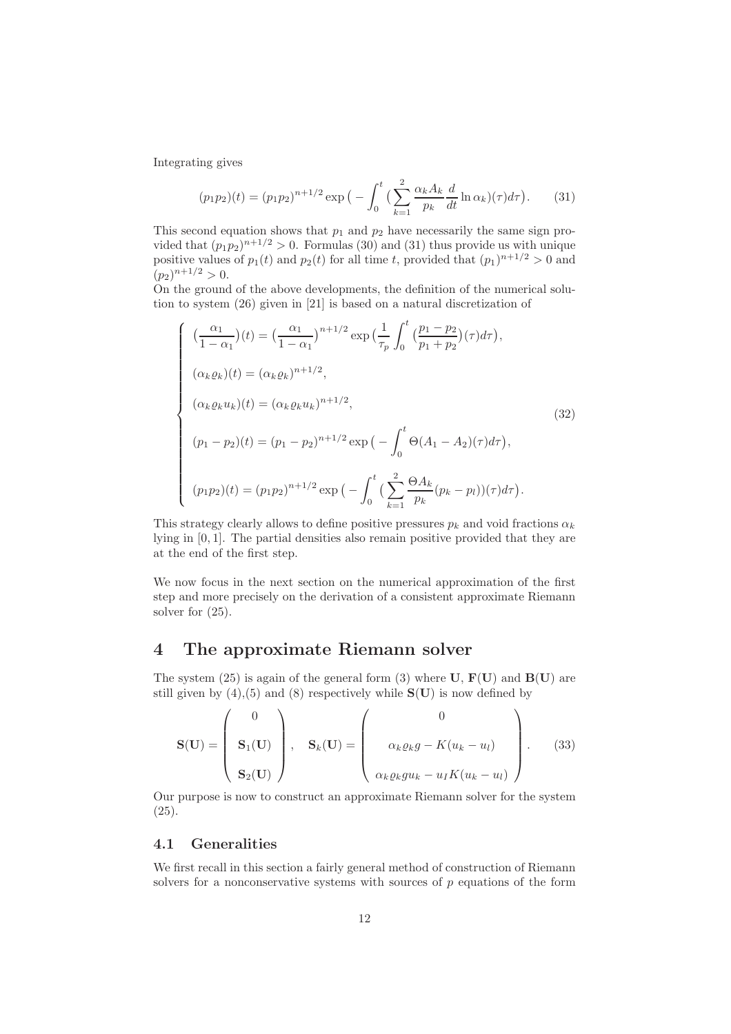Integrating gives

$$
(p_1 p_2)(t) = (p_1 p_2)^{n+1/2} \exp\big(-\int_0^t \big(\sum_{k=1}^2 \frac{\alpha_k A_k}{p_k} \frac{d}{dt} \ln \alpha_k\big)(\tau) d\tau\big). \tag{31}
$$

This second equation shows that  $p_1$  and  $p_2$  have necessarily the same sign provided that  $(p_1p_2)^{n+1/2} > 0$ . Formulas (30) and (31) thus provide us with unique positive values of  $p_1(t)$  and  $p_2(t)$  for all time t, provided that  $(p_1)^{n+1/2} > 0$  and  $(p_2)^{n+1/2} > 0.$ 

On the ground of the above developments, the definition of the numerical solution to system (26) given in [21] is based on a natural discretization of

$$
\begin{cases}\n(\frac{\alpha_1}{1-\alpha_1})(t) = \left(\frac{\alpha_1}{1-\alpha_1}\right)^{n+1/2} \exp\left(\frac{1}{\tau_p}\int_0^t \left(\frac{p_1-p_2}{p_1+p_2}\right)(\tau)d\tau\right), \\
(\alpha_k \varrho_k)(t) = (\alpha_k \varrho_k)^{n+1/2}, \\
(\alpha_k \varrho_k u_k)(t) = (\alpha_k \varrho_k u_k)^{n+1/2}, \\
(p_1-p_2)(t) = (p_1-p_2)^{n+1/2} \exp\left(-\int_0^t \Theta(A_1-A_2)(\tau)d\tau\right), \\
(p_1p_2)(t) = (p_1p_2)^{n+1/2} \exp\left(-\int_0^t \left(\sum_{k=1}^2 \frac{\Theta A_k}{p_k}(p_k-p_l)\right)(\tau)d\tau\right).\n\end{cases}
$$
\n(32)

This strategy clearly allows to define positive pressures  $p_k$  and void fractions  $\alpha_k$ lying in [0, 1]. The partial densities also remain positive provided that they are at the end of the first step.

We now focus in the next section on the numerical approximation of the first step and more precisely on the derivation of a consistent approximate Riemann solver for (25).

## 4 The approximate Riemann solver

The system (25) is again of the general form (3) where  $U$ ,  $F(U)$  and  $B(U)$  are still given by  $(4)$ ,  $(5)$  and  $(8)$  respectively while  $S(U)$  is now defined by

$$
\mathbf{S}(\mathbf{U}) = \begin{pmatrix} 0 \\ \mathbf{S}_1(\mathbf{U}) \\ \mathbf{S}_2(\mathbf{U}) \end{pmatrix}, \quad \mathbf{S}_k(\mathbf{U}) = \begin{pmatrix} 0 \\ \alpha_k \varrho_k g - K(u_k - u_l) \\ \alpha_k \varrho_k g u_k - u_l K(u_k - u_l) \end{pmatrix}.
$$
 (33)

Our purpose is now to construct an approximate Riemann solver for the system (25).

## 4.1 Generalities

We first recall in this section a fairly general method of construction of Riemann solvers for a nonconservative systems with sources of p equations of the form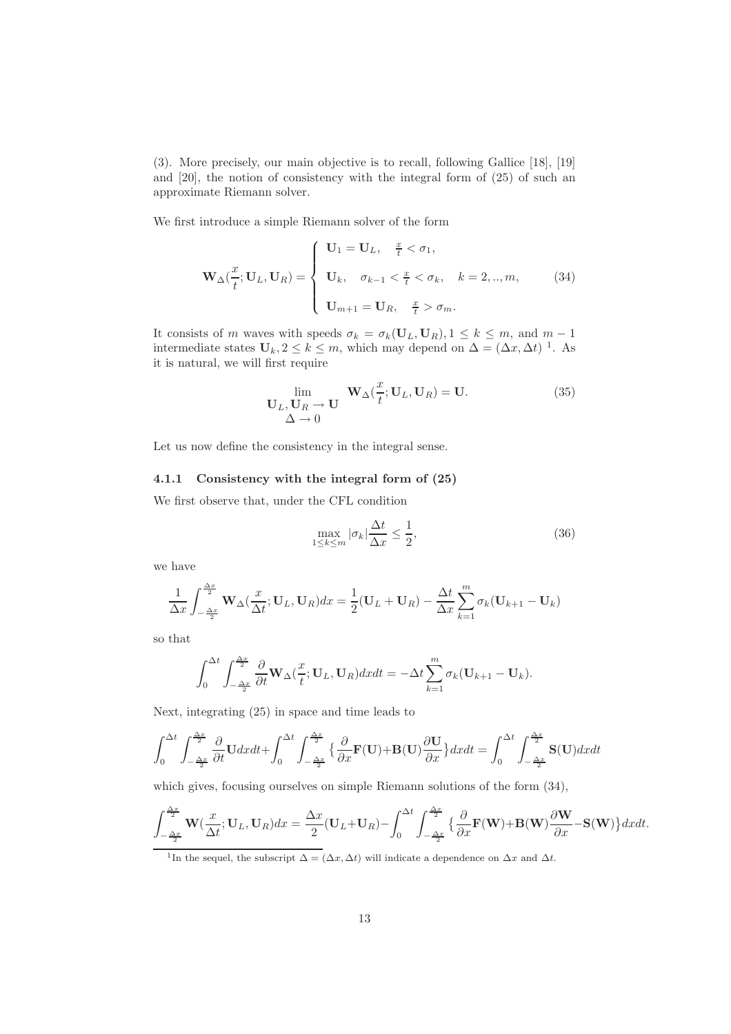(3). More precisely, our main objective is to recall, following Gallice [18], [19] and [20], the notion of consistency with the integral form of (25) of such an approximate Riemann solver.

We first introduce a simple Riemann solver of the form

$$
\mathbf{W}_{\Delta}(\frac{x}{t};\mathbf{U}_{L},\mathbf{U}_{R}) = \begin{cases} \mathbf{U}_{1} = \mathbf{U}_{L}, & \frac{x}{t} < \sigma_{1}, \\ \mathbf{U}_{k}, & \sigma_{k-1} < \frac{x}{t} < \sigma_{k}, \quad k = 2, ..., m, \\ \mathbf{U}_{m+1} = \mathbf{U}_{R}, & \frac{x}{t} > \sigma_{m}. \end{cases}
$$
(34)

It consists of m waves with speeds  $\sigma_k = \sigma_k(\mathbf{U}_L, \mathbf{U}_R), 1 \leq k \leq m$ , and  $m-1$ intermediate states  $\mathbf{U}_k, 2 \leq k \leq m$ , which may depend on  $\Delta = (\Delta x, \Delta t)^{-1}$ . As it is natural, we will first require

$$
\lim_{\substack{\mathbf{U}_L, \mathbf{U}_R \to \mathbf{U} \\ \Delta \to 0}} \mathbf{W}_{\Delta}(\frac{x}{t}; \mathbf{U}_L, \mathbf{U}_R) = \mathbf{U}.
$$
 (35)

Let us now define the consistency in the integral sense.

### 4.1.1 Consistency with the integral form of (25)

We first observe that, under the CFL condition

$$
\max_{1 \le k \le m} |\sigma_k| \frac{\Delta t}{\Delta x} \le \frac{1}{2},\tag{36}
$$

we have

$$
\frac{1}{\Delta x} \int_{-\frac{\Delta x}{2}}^{\frac{\Delta x}{2}} \mathbf{W}_{\Delta}(\frac{x}{\Delta t}; \mathbf{U}_L, \mathbf{U}_R) dx = \frac{1}{2} (\mathbf{U}_L + \mathbf{U}_R) - \frac{\Delta t}{\Delta x} \sum_{k=1}^m \sigma_k (\mathbf{U}_{k+1} - \mathbf{U}_k)
$$

so that

$$
\int_0^{\Delta t} \int_{-\frac{\Delta x}{2}}^{\frac{\Delta x}{2}} \frac{\partial}{\partial t} \mathbf{W}_{\Delta}(\frac{x}{t}; \mathbf{U}_L, \mathbf{U}_R) dx dt = -\Delta t \sum_{k=1}^m \sigma_k (\mathbf{U}_{k+1} - \mathbf{U}_k).
$$

Next, integrating (25) in space and time leads to

$$
\int_0^{\Delta t} \int_{-\frac{\Delta x}{2}}^{\frac{\Delta x}{2}} \frac{\partial}{\partial t} \mathbf{U} dx dt + \int_0^{\Delta t} \int_{-\frac{\Delta x}{2}}^{\frac{\Delta x}{2}} \left\{ \frac{\partial}{\partial x} \mathbf{F}(\mathbf{U}) + \mathbf{B}(\mathbf{U}) \frac{\partial \mathbf{U}}{\partial x} \right\} dx dt = \int_0^{\Delta t} \int_{-\frac{\Delta x}{2}}^{\frac{\Delta x}{2}} \mathbf{S}(\mathbf{U}) dx dt
$$

which gives, focusing ourselves on simple Riemann solutions of the form (34),

$$
\int_{-\frac{\Delta x}{2}}^{\frac{\Delta x}{2}} \mathbf{W}(\frac{x}{\Delta t}; \mathbf{U}_L, \mathbf{U}_R) dx = \frac{\Delta x}{2} (\mathbf{U}_L + \mathbf{U}_R) - \int_0^{\Delta t} \int_{-\frac{\Delta x}{2}}^{\frac{\Delta x}{2}} \left\{ \frac{\partial}{\partial x} \mathbf{F}(\mathbf{W}) + \mathbf{B}(\mathbf{W}) \frac{\partial \mathbf{W}}{\partial x} - \mathbf{S}(\mathbf{W}) \right\} dx dt.
$$

<sup>&</sup>lt;sup>1</sup>In the sequel, the subscript  $\Delta = (\Delta x, \Delta t)$  will indicate a dependence on  $\Delta x$  and  $\Delta t$ .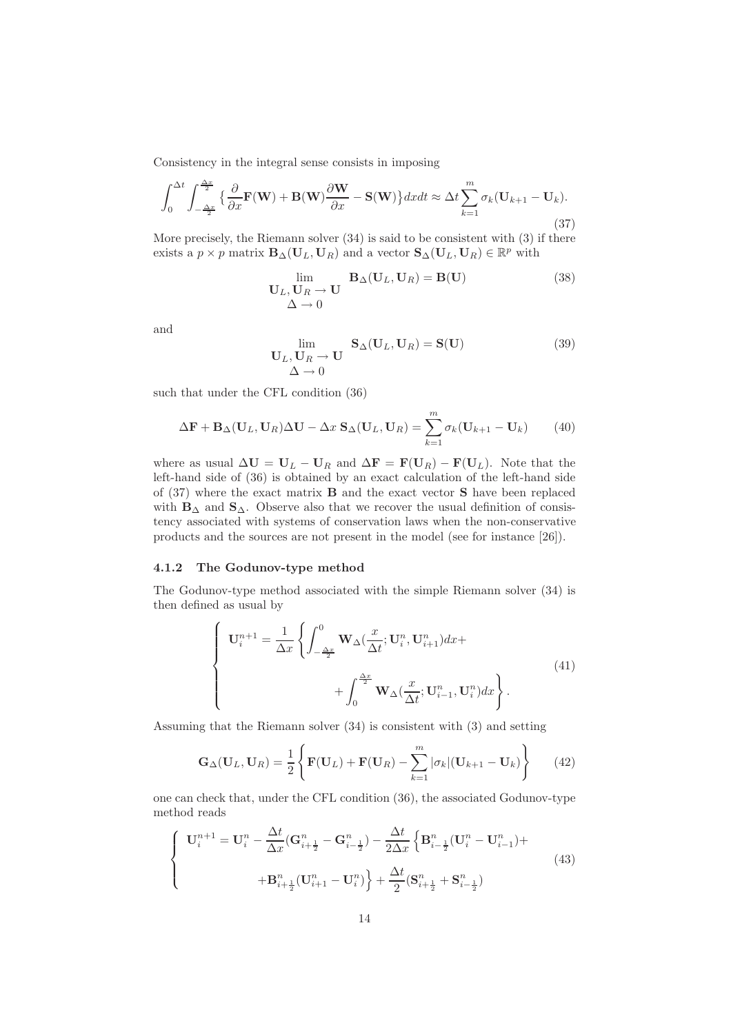Consistency in the integral sense consists in imposing

$$
\int_0^{\Delta t} \int_{-\frac{\Delta x}{2}}^{\frac{\Delta x}{2}} \left\{ \frac{\partial}{\partial x} \mathbf{F}(\mathbf{W}) + \mathbf{B}(\mathbf{W}) \frac{\partial \mathbf{W}}{\partial x} - \mathbf{S}(\mathbf{W}) \right\} dx dt \approx \Delta t \sum_{k=1}^m \sigma_k (\mathbf{U}_{k+1} - \mathbf{U}_k).
$$
\n(37)

More precisely, the Riemann solver (34) is said to be consistent with (3) if there exists a  $p \times p$  matrix  $\mathbf{B}_{\Delta}(\mathbf{U}_L, \mathbf{U}_R)$  and a vector  $\mathbf{S}_{\Delta}(\mathbf{U}_L, \mathbf{U}_R) \in \mathbb{R}^p$  with

$$
\lim_{\begin{array}{c}\n\mathbf{L}_L, \mathbf{U}_R \to \mathbf{U} \\
\Delta \to 0\n\end{array}} \mathbf{B}_{\Delta}(\mathbf{U}_L, \mathbf{U}_R) = \mathbf{B}(\mathbf{U})
$$
\n(38)

and

$$
\lim_{\begin{array}{c}\n\mathbf{U}_L, \mathbf{U}_R \to \mathbf{U} \\
\Delta \to 0\n\end{array}} \mathbf{S}_{\Delta}(\mathbf{U}_L, \mathbf{U}_R) = \mathbf{S}(\mathbf{U})
$$
\n(39)

such that under the CFL condition (36)

$$
\Delta \mathbf{F} + \mathbf{B}_{\Delta}(\mathbf{U}_L, \mathbf{U}_R) \Delta \mathbf{U} - \Delta x \, \mathbf{S}_{\Delta}(\mathbf{U}_L, \mathbf{U}_R) = \sum_{k=1}^m \sigma_k (\mathbf{U}_{k+1} - \mathbf{U}_k) \tag{40}
$$

where as usual  $\Delta U = U_L - U_R$  and  $\Delta F = F(U_R) - F(U_L)$ . Note that the left-hand side of (36) is obtained by an exact calculation of the left-hand side of  $(37)$  where the exact matrix **B** and the exact vector **S** have been replaced with  $B_\Delta$  and  $S_\Delta$ . Observe also that we recover the usual definition of consistency associated with systems of conservation laws when the non-conservative products and the sources are not present in the model (see for instance [26]).

### 4.1.2 The Godunov-type method

The Godunov-type method associated with the simple Riemann solver (34) is then defined as usual by

$$
\begin{cases}\n\mathbf{U}_{i}^{n+1} = \frac{1}{\Delta x} \left\{ \int_{-\frac{\Delta x}{2}}^{0} \mathbf{W}_{\Delta}(\frac{x}{\Delta t}; \mathbf{U}_{i}^{n}, \mathbf{U}_{i+1}^{n}) dx + \int_{0}^{\frac{\Delta x}{2}} \mathbf{W}_{\Delta}(\frac{x}{\Delta t}; \mathbf{U}_{i-1}^{n}, \mathbf{U}_{i}^{n}) dx \right\}.\n\end{cases} \tag{41}
$$

Assuming that the Riemann solver (34) is consistent with (3) and setting

$$
\mathbf{G}_{\Delta}(\mathbf{U}_L, \mathbf{U}_R) = \frac{1}{2} \left\{ \mathbf{F}(\mathbf{U}_L) + \mathbf{F}(\mathbf{U}_R) - \sum_{k=1}^m |\sigma_k| (\mathbf{U}_{k+1} - \mathbf{U}_k) \right\}
$$
(42)

one can check that, under the CFL condition (36), the associated Godunov-type method reads

$$
\begin{cases}\n\mathbf{U}_{i}^{n+1} = \mathbf{U}_{i}^{n} - \frac{\Delta t}{\Delta x} (\mathbf{G}_{i+\frac{1}{2}}^{n} - \mathbf{G}_{i-\frac{1}{2}}^{n}) - \frac{\Delta t}{2\Delta x} \left\{ \mathbf{B}_{i-\frac{1}{2}}^{n} (\mathbf{U}_{i}^{n} - \mathbf{U}_{i-1}^{n}) + \right. \\
\left. + \mathbf{B}_{i+\frac{1}{2}}^{n} (\mathbf{U}_{i+1}^{n} - \mathbf{U}_{i}^{n}) \right\} + \frac{\Delta t}{2} (\mathbf{S}_{i+\frac{1}{2}}^{n} + \mathbf{S}_{i-\frac{1}{2}}^{n})\n\end{cases} \tag{43}
$$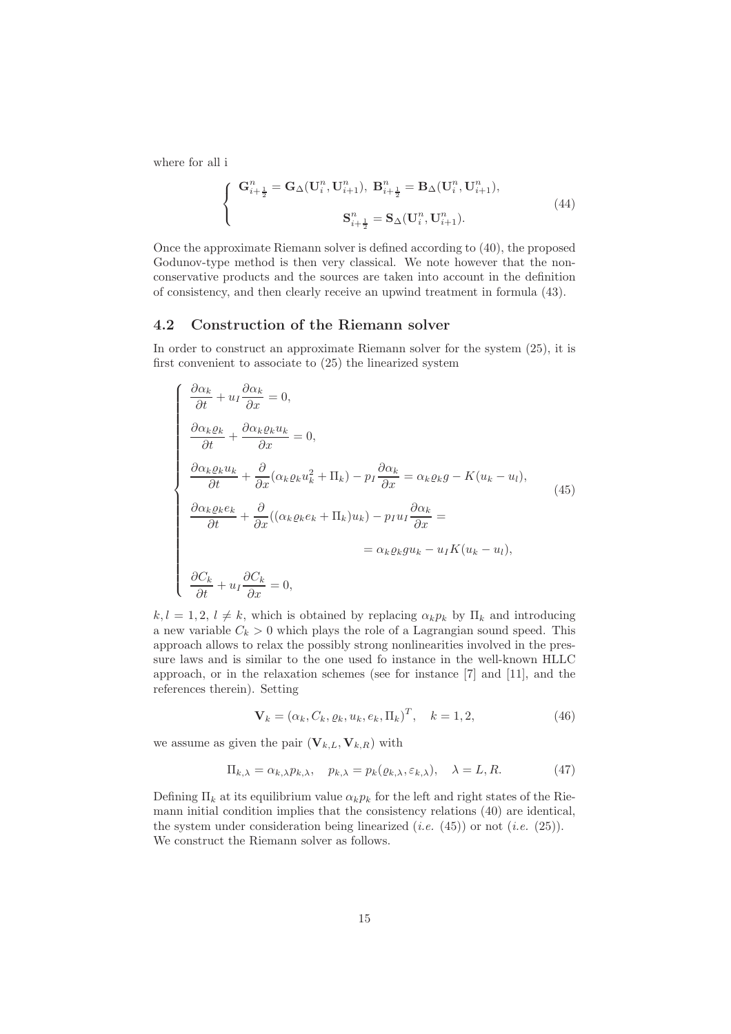where for all i

$$
\begin{cases} \mathbf{G}_{i+\frac{1}{2}}^n = \mathbf{G}_{\Delta}(\mathbf{U}_i^n, \mathbf{U}_{i+1}^n), \ \mathbf{B}_{i+\frac{1}{2}}^n = \mathbf{B}_{\Delta}(\mathbf{U}_i^n, \mathbf{U}_{i+1}^n), \\ \mathbf{S}_{i+\frac{1}{2}}^n = \mathbf{S}_{\Delta}(\mathbf{U}_i^n, \mathbf{U}_{i+1}^n). \end{cases} \tag{44}
$$

Once the approximate Riemann solver is defined according to (40), the proposed Godunov-type method is then very classical. We note however that the nonconservative products and the sources are taken into account in the definition of consistency, and then clearly receive an upwind treatment in formula (43).

## 4.2 Construction of the Riemann solver

In order to construct an approximate Riemann solver for the system (25), it is first convenient to associate to (25) the linearized system

$$
\begin{cases}\n\frac{\partial \alpha_k}{\partial t} + u_I \frac{\partial \alpha_k}{\partial x} = 0, \\
\frac{\partial \alpha_k \varrho_k}{\partial t} + \frac{\partial \alpha_k \varrho_k u_k}{\partial x} = 0, \\
\frac{\partial \alpha_k \varrho_k u_k}{\partial t} + \frac{\partial}{\partial x} (\alpha_k \varrho_k u_k^2 + \Pi_k) - p_I \frac{\partial \alpha_k}{\partial x} = \alpha_k \varrho_k g - K(u_k - u_l), \\
\frac{\partial \alpha_k \varrho_k e_k}{\partial t} + \frac{\partial}{\partial x} ((\alpha_k \varrho_k e_k + \Pi_k) u_k) - p_I u_I \frac{\partial \alpha_k}{\partial x} = \\
= \alpha_k \varrho_k g u_k - u_I K(u_k - u_l), \\
\frac{\partial C_k}{\partial t} + u_I \frac{\partial C_k}{\partial x} = 0,\n\end{cases} (45)
$$

 $k, l = 1, 2, l \neq k$ , which is obtained by replacing  $\alpha_k p_k$  by  $\Pi_k$  and introducing a new variable  $C_k > 0$  which plays the role of a Lagrangian sound speed. This approach allows to relax the possibly strong nonlinearities involved in the pressure laws and is similar to the one used fo instance in the well-known HLLC approach, or in the relaxation schemes (see for instance [7] and [11], and the references therein). Setting

$$
\mathbf{V}_k = (\alpha_k, C_k, \varrho_k, u_k, e_k, \Pi_k)^T, \quad k = 1, 2,
$$
\n(46)

we assume as given the pair  $(\mathbf{V}_{k,L}, \mathbf{V}_{k,R})$  with

$$
\Pi_{k,\lambda} = \alpha_{k,\lambda} p_{k,\lambda}, \quad p_{k,\lambda} = p_k(\varrho_{k,\lambda}, \varepsilon_{k,\lambda}), \quad \lambda = L, R. \tag{47}
$$

Defining  $\Pi_k$  at its equilibrium value  $\alpha_k p_k$  for the left and right states of the Riemann initial condition implies that the consistency relations (40) are identical, the system under consideration being linearized (*i.e.* (45)) or not (*i.e.* (25)). We construct the Riemann solver as follows.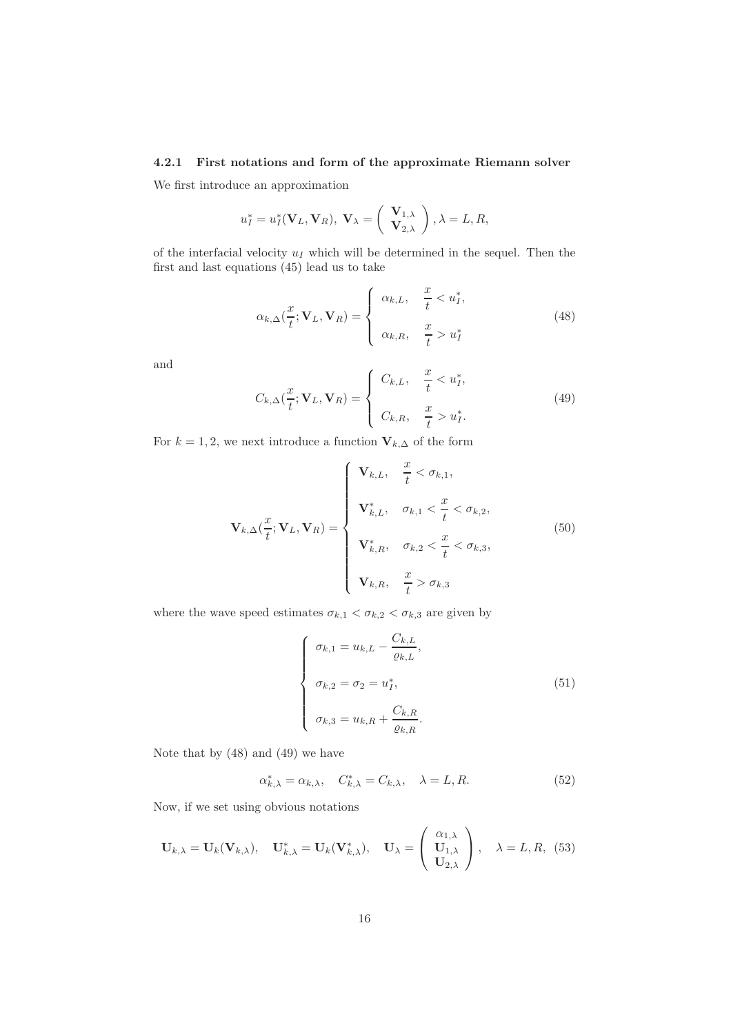## 4.2.1 First notations and form of the approximate Riemann solver

We first introduce an approximation

$$
u_I^* = u_I^*(\mathbf{V}_L, \mathbf{V}_R), \mathbf{V}_{\lambda} = \begin{pmatrix} \mathbf{V}_{1,\lambda} \\ \mathbf{V}_{2,\lambda} \end{pmatrix}, \lambda = L, R,
$$

of the interfacial velocity  $u_I$  which will be determined in the sequel. Then the first and last equations (45) lead us to take

$$
\alpha_{k,\Delta}(\frac{x}{t}; \mathbf{V}_L, \mathbf{V}_R) = \begin{cases} \alpha_{k,L}, & \frac{x}{t} < u_I^*, \\ \alpha_{k,R}, & \frac{x}{t} > u_I^* \end{cases}
$$
(48)

and

$$
C_{k,\Delta}(\frac{x}{t}; \mathbf{V}_L, \mathbf{V}_R) = \begin{cases} C_{k,L}, & \frac{x}{t} < u_I^*, \\ C_{k,R}, & \frac{x}{t} > u_I^*. \end{cases}
$$
(49)

For  $k = 1, 2$ , we next introduce a function  $V_{k,\Delta}$  of the form

$$
\mathbf{V}_{k,\Delta}(\frac{x}{t};\mathbf{V}_L,\mathbf{V}_R) = \begin{cases} \mathbf{V}_{k,L}, & \frac{x}{t} < \sigma_{k,1}, \\ \mathbf{V}_{k,L}^*, & \sigma_{k,1} < \frac{x}{t} < \sigma_{k,2}, \\ \mathbf{V}_{k,R}^*, & \sigma_{k,2} < \frac{x}{t} < \sigma_{k,3}, \\ \mathbf{V}_{k,R}, & \frac{x}{t} > \sigma_{k,3} \end{cases}
$$
(50)

where the wave speed estimates  $\sigma_{k,1} < \sigma_{k,2} < \sigma_{k,3}$  are given by

$$
\begin{cases}\n\sigma_{k,1} = u_{k,L} - \frac{C_{k,L}}{\varrho_{k,L}}, \\
\sigma_{k,2} = \sigma_2 = u_I^*, \\
\sigma_{k,3} = u_{k,R} + \frac{C_{k,R}}{\varrho_{k,R}}.\n\end{cases}
$$
\n(51)

Note that by (48) and (49) we have

$$
\alpha_{k,\lambda}^* = \alpha_{k,\lambda}, \quad C_{k,\lambda}^* = C_{k,\lambda}, \quad \lambda = L, R. \tag{52}
$$

Now, if we set using obvious notations

$$
\mathbf{U}_{k,\lambda} = \mathbf{U}_k(\mathbf{V}_{k,\lambda}), \quad \mathbf{U}_{k,\lambda}^* = \mathbf{U}_k(\mathbf{V}_{k,\lambda}^*), \quad \mathbf{U}_{\lambda} = \left(\begin{array}{c} \alpha_{1,\lambda} \\ \mathbf{U}_{1,\lambda} \\ \mathbf{U}_{2,\lambda} \end{array}\right), \quad \lambda = L, R, (53)
$$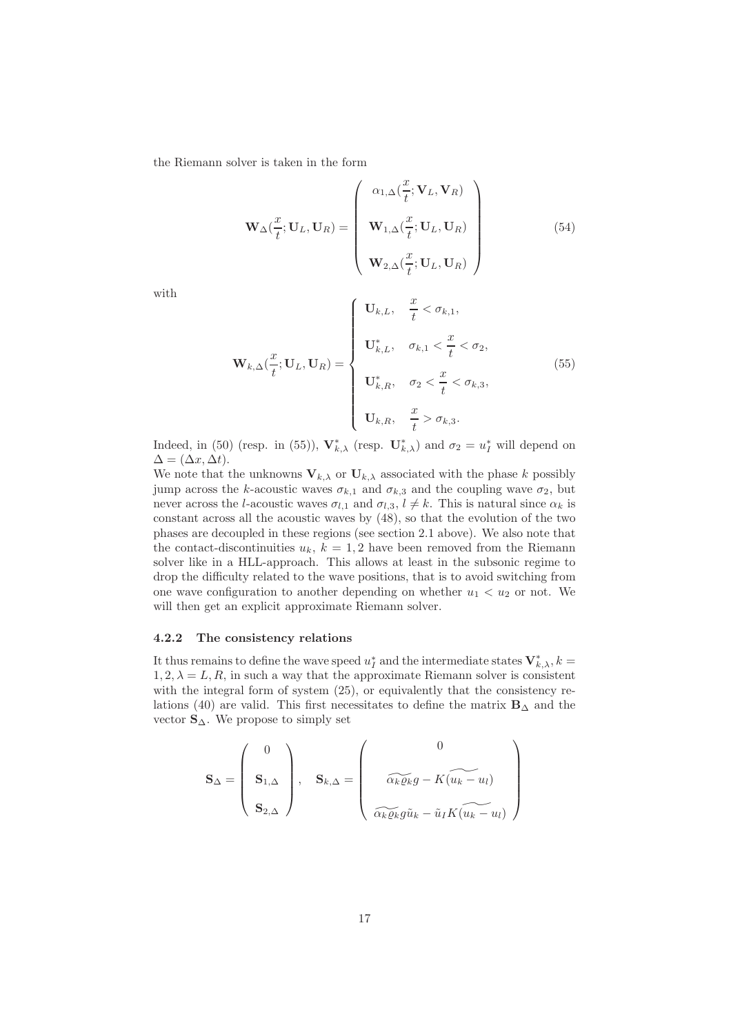the Riemann solver is taken in the form

$$
\mathbf{W}_{\Delta}(\frac{x}{t}; \mathbf{U}_{L}, \mathbf{U}_{R}) = \begin{pmatrix} \alpha_{1,\Delta}(\frac{x}{t}; \mathbf{V}_{L}, \mathbf{V}_{R}) \\ \mathbf{W}_{1,\Delta}(\frac{x}{t}; \mathbf{U}_{L}, \mathbf{U}_{R}) \\ \mathbf{W}_{2,\Delta}(\frac{x}{t}; \mathbf{U}_{L}, \mathbf{U}_{R}) \end{pmatrix}
$$
(54)

with

$$
\mathbf{W}_{k,\Delta}(\frac{x}{t};\mathbf{U}_{L},\mathbf{U}_{R}) = \begin{cases} \mathbf{U}_{k,L}, & \frac{x}{t} < \sigma_{k,1}, \\ \mathbf{U}_{k,L}^{*}, & \sigma_{k,1} < \frac{x}{t} < \sigma_{2}, \\ \mathbf{U}_{k,R}^{*}, & \sigma_{2} < \frac{x}{t} < \sigma_{k,3}, \\ \mathbf{U}_{k,R}, & \frac{x}{t} > \sigma_{k,3}. \end{cases}
$$
(55)

Indeed, in (50) (resp. in (55)),  $\mathbf{V}_{k,\lambda}^*$  (resp.  $\mathbf{U}_{k,\lambda}^*$ ) and  $\sigma_2 = u_I^*$  will depend on  $\Delta = (\Delta x, \Delta t).$ 

We note that the unknowns  $V_{k,\lambda}$  or  $U_{k,\lambda}$  associated with the phase k possibly jump across the k-acoustic waves  $\sigma_{k,1}$  and  $\sigma_{k,3}$  and the coupling wave  $\sigma_2$ , but never across the *l*-acoustic waves  $\sigma_{l,1}$  and  $\sigma_{l,3}$ ,  $l \neq k$ . This is natural since  $\alpha_k$  is constant across all the acoustic waves by (48), so that the evolution of the two phases are decoupled in these regions (see section 2.1 above). We also note that the contact-discontinuities  $u_k$ ,  $k = 1, 2$  have been removed from the Riemann solver like in a HLL-approach. This allows at least in the subsonic regime to drop the difficulty related to the wave positions, that is to avoid switching from one wave configuration to another depending on whether  $u_1 < u_2$  or not. We will then get an explicit approximate Riemann solver.

## 4.2.2 The consistency relations

It thus remains to define the wave speed  $u_I^*$  and the intermediate states  $V^*_{k,\lambda}, k =$  $1, 2, \lambda = L, R$ , in such a way that the approximate Riemann solver is consistent with the integral form of system (25), or equivalently that the consistency relations (40) are valid. This first necessitates to define the matrix  $\mathbf{B}_{\Delta}$  and the vector  $S_\Delta$ . We propose to simply set

$$
\mathbf{S}_{\Delta} = \begin{pmatrix} 0 \\ \mathbf{S}_{1,\Delta} \\ \mathbf{S}_{2,\Delta} \end{pmatrix}, \quad \mathbf{S}_{k,\Delta} = \begin{pmatrix} 0 \\ \widetilde{\alpha_k \varrho_k} g - K(\widetilde{u_k - u_l}) \\ \widetilde{\alpha_k \varrho_k} g \widetilde{u}_k - \widetilde{u}_l K(\widetilde{u_k - u_l}) \end{pmatrix}
$$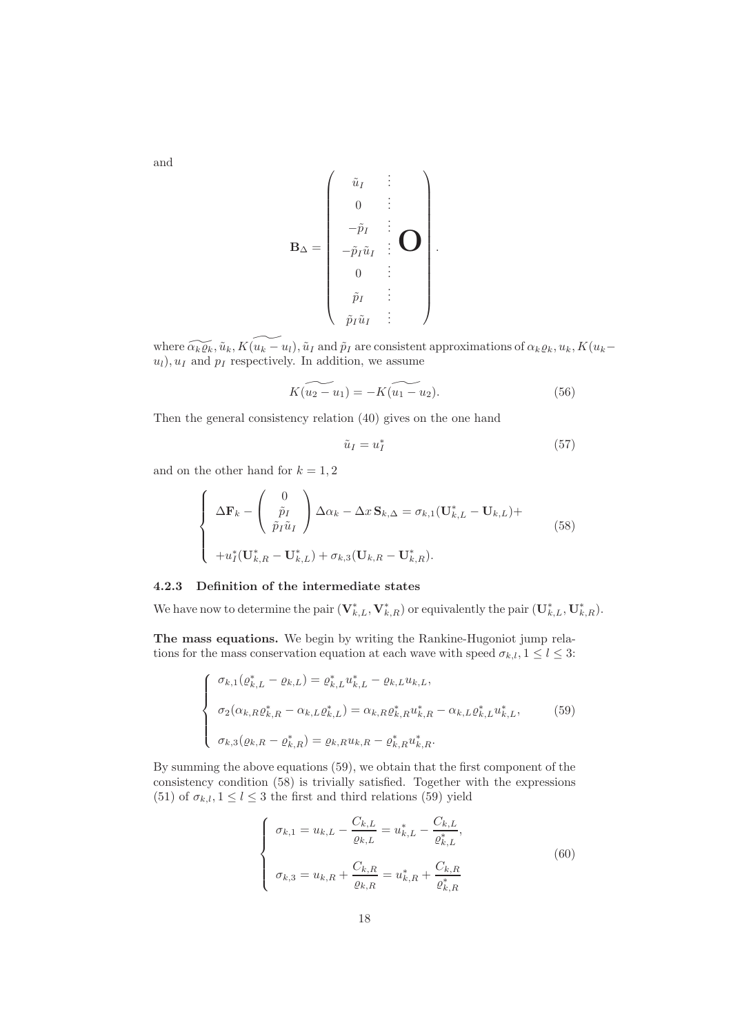and

$$
\mathbf{B}_{\Delta} = \left( \begin{array}{ccc} \tilde{u}_{I} & \vdots & \\ 0 & \vdots & \\ -\tilde{p}_{I} & \vdots & \\ -\tilde{p}_{I}\tilde{u}_{I} & \vdots & \\ 0 & \vdots & \\ \tilde{p}_{I} & \vdots & \end{array} \right).
$$

where  $\widetilde{\alpha_k \varrho_k}, \tilde{u}_k, K(\widetilde{u_k - u_l}), \tilde{u}_I$  and  $\tilde{p}_I$  are consistent approximations of  $\alpha_k \varrho_k, u_k, K(u_k-\widetilde{u}_I)$  $u_l$ ,  $u_I$  and  $p_I$  respectively. In addition, we assume

$$
K(u_2 - u_1) = -K(u_1 - u_2).
$$
 (56)

Then the general consistency relation (40) gives on the one hand

$$
\tilde{u}_I = u_I^* \tag{57}
$$

and on the other hand for  $k = 1, 2$ 

$$
\begin{cases}\n\Delta \mathbf{F}_k - \begin{pmatrix} 0\\ \tilde{p}_I\\ \tilde{p}_I \tilde{u}_I \end{pmatrix} \Delta \alpha_k - \Delta x \, \mathbf{S}_{k,\Delta} = \sigma_{k,1} (\mathbf{U}_{k,L}^* - \mathbf{U}_{k,L}) +\\
+ u_I^* (\mathbf{U}_{k,R}^* - \mathbf{U}_{k,L}^*) + \sigma_{k,3} (\mathbf{U}_{k,R} - \mathbf{U}_{k,R}^*).\n\end{cases} \tag{58}
$$

### 4.2.3 Definition of the intermediate states

We have now to determine the pair  $(\mathbf{V}_{k,L}^*, \mathbf{V}_{k,R}^*)$  or equivalently the pair  $(\mathbf{U}_{k,L}^*, \mathbf{U}_{k,R}^*)$ .

The mass equations. We begin by writing the Rankine-Hugoniot jump relations for the mass conservation equation at each wave with speed  $\sigma_{k,l}, 1 \leq l \leq 3$ :

$$
\begin{cases}\n\sigma_{k,1}(\varrho_{k,L}^* - \varrho_{k,L}) = \varrho_{k,L}^* u_{k,L}^* - \varrho_{k,L} u_{k,L}, \\
\sigma_2(\alpha_{k,R}\varrho_{k,R}^* - \alpha_{k,L}\varrho_{k,L}^*) = \alpha_{k,R}\varrho_{k,R}^* u_{k,R}^* - \alpha_{k,L}\varrho_{k,L}^* u_{k,L}^*, \\
\sigma_{k,3}(\varrho_{k,R} - \varrho_{k,R}^*) = \varrho_{k,R} u_{k,R} - \varrho_{k,R}^* u_{k,R}^*. \n\end{cases} (59)
$$

By summing the above equations (59), we obtain that the first component of the consistency condition (58) is trivially satisfied. Together with the expressions (51) of  $\sigma_{k,l}$ ,  $1 \leq l \leq 3$  the first and third relations (59) yield

$$
\begin{cases}\n\sigma_{k,1} = u_{k,L} - \frac{C_{k,L}}{\varrho_{k,L}} = u_{k,L}^* - \frac{C_{k,L}}{\varrho_{k,L}^*},\\ \n\sigma_{k,3} = u_{k,R} + \frac{C_{k,R}}{\varrho_{k,R}} = u_{k,R}^* + \frac{C_{k,R}}{\varrho_{k,R}^*}\n\end{cases}
$$
\n(60)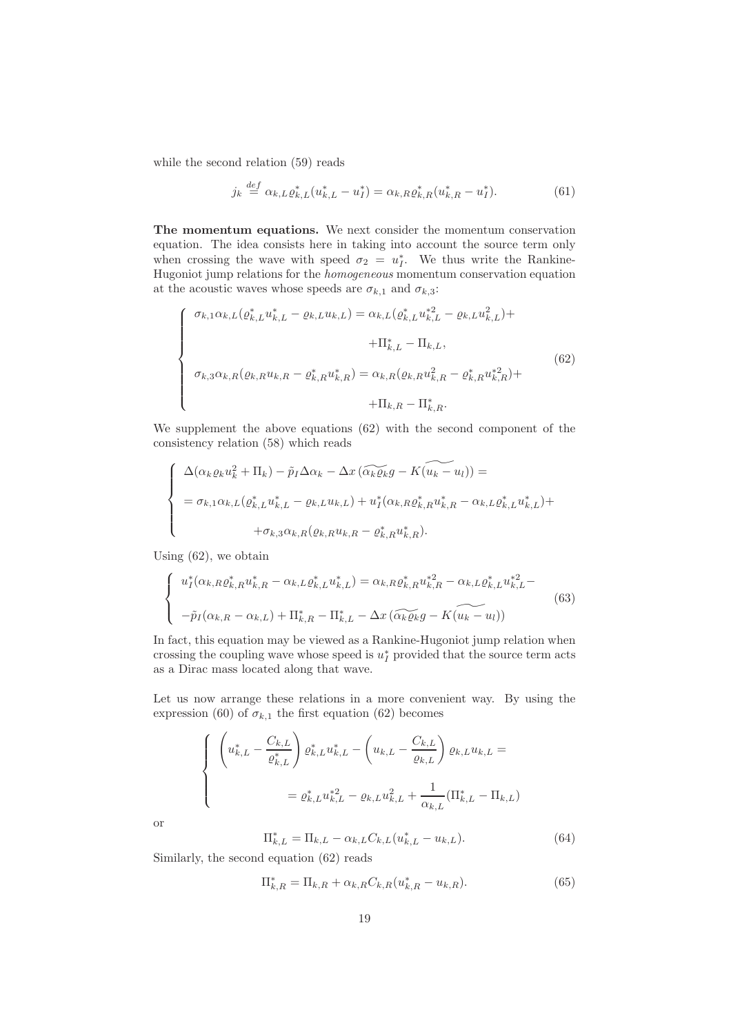while the second relation (59) reads

$$
j_k \stackrel{def}{=} \alpha_{k,L} \varrho_{k,L}^* (u_{k,L}^* - u_I^*) = \alpha_{k,R} \varrho_{k,R}^* (u_{k,R}^* - u_I^*).
$$
 (61)

The momentum equations. We next consider the momentum conservation equation. The idea consists here in taking into account the source term only when crossing the wave with speed  $\sigma_2 = u_I^*$ . We thus write the Rankine-Hugoniot jump relations for the *homogeneous* momentum conservation equation at the acoustic waves whose speeds are  $\sigma_{k,1}$  and  $\sigma_{k,3}$ :

$$
\begin{cases}\n\sigma_{k,1}\alpha_{k,L}(\varrho_{k,L}^*u_{k,L}^*-\varrho_{k,L}u_{k,L}) = \alpha_{k,L}(\varrho_{k,L}^*u_{k,L}^{*2} - \varrho_{k,L}u_{k,L}^2) + \\
+ \Pi_{k,L}^* - \Pi_{k,L}, \\
\sigma_{k,3}\alpha_{k,R}(\varrho_{k,R}u_{k,R} - \varrho_{k,R}^*u_{k,R}^*) = \alpha_{k,R}(\varrho_{k,R}u_{k,R}^2 - \varrho_{k,R}^*u_{k,R}^{*2}) + \\
+ \Pi_{k,R} - \Pi_{k,R}^*.\n\end{cases} \tag{62}
$$

We supplement the above equations (62) with the second component of the consistency relation (58) which reads

$$
\begin{cases}\n\Delta(\alpha_k \varrho_k u_k^2 + \Pi_k) - \tilde{p}_I \Delta \alpha_k - \Delta x \left( \widetilde{\alpha_k \varrho_k} g - K(u_k - u_l) \right) = \\
= \sigma_{k,1} \alpha_{k,L} (\varrho_{k,L}^* u_{k,L}^* - \varrho_{k,L} u_{k,L}) + u_I^* (\alpha_{k,R} \varrho_{k,R}^* u_{k,R}^* - \alpha_{k,L} \varrho_{k,L}^* u_{k,L}^*) + \\
+ \sigma_{k,3} \alpha_{k,R} (\varrho_{k,R} u_{k,R} - \varrho_{k,R}^* u_{k,R}^*).\n\end{cases}
$$

Using (62), we obtain

$$
\begin{cases}\nu_{I}^{*}(\alpha_{k,R} \varrho_{k,R}^{*} u_{k,R}^{*} - \alpha_{k,L} \varrho_{k,L}^{*} u_{k,L}^{*}) = \alpha_{k,R} \varrho_{k,R}^{*} u_{k,R}^{*2} - \alpha_{k,L} \varrho_{k,L}^{*} u_{k,L}^{*2} - \\
-\tilde{p}_{I}(\alpha_{k,R} - \alpha_{k,L}) + \Pi_{k,R}^{*} - \Pi_{k,L}^{*} - \Delta x \left(\widetilde{\alpha_{k}\varrho_{k}}g - K(\widetilde{u_{k}} - u_{l})\right)\n\end{cases} \tag{63}
$$

In fact, this equation may be viewed as a Rankine-Hugoniot jump relation when crossing the coupling wave whose speed is  $u_I^*$  provided that the source term acts as a Dirac mass located along that wave.

Let us now arrange these relations in a more convenient way. By using the expression (60) of  $\sigma_{k,1}$  the first equation (62) becomes

$$
\begin{cases} \left(u_{k,L}^* - \frac{C_{k,L}}{\varrho_{k,L}^*}\right) \varrho_{k,L}^* u_{k,L}^* - \left(u_{k,L} - \frac{C_{k,L}}{\varrho_{k,L}}\right) \varrho_{k,L} u_{k,L} = \\ \qquad \qquad = \varrho_{k,L}^* u_{k,L}^{*2} - \varrho_{k,L} u_{k,L}^2 + \frac{1}{\alpha_{k,L}} (\Pi_{k,L}^* - \Pi_{k,L}) \end{cases}
$$

or

$$
\Pi_{k,L}^* = \Pi_{k,L} - \alpha_{k,L} C_{k,L} (u_{k,L}^* - u_{k,L}).
$$
\n(64)

Similarly, the second equation (62) reads

$$
\Pi_{k,R}^* = \Pi_{k,R} + \alpha_{k,R} C_{k,R} (u_{k,R}^* - u_{k,R}).
$$
\n(65)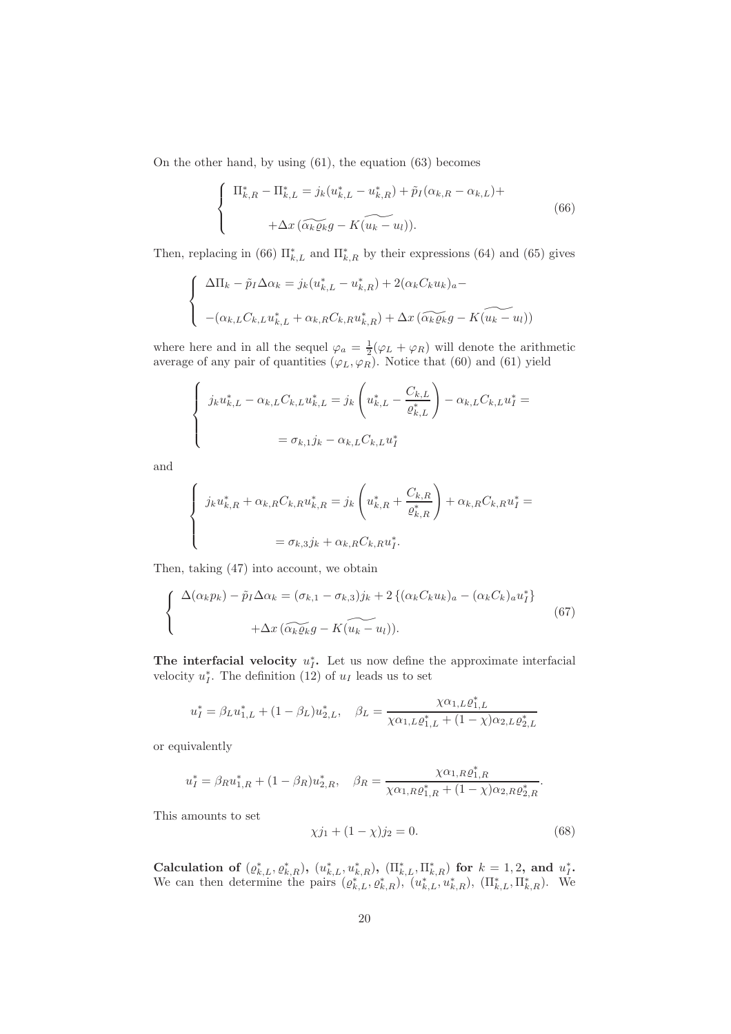On the other hand, by using (61), the equation (63) becomes

$$
\begin{cases} \n\Pi_{k,R}^* - \Pi_{k,L}^* = j_k (u_{k,L}^* - u_{k,R}^*) + \tilde{p}_I (\alpha_{k,R} - \alpha_{k,L}) + \\
\qquad + \Delta x \left( \widetilde{\alpha_k \varrho_k} g - K(\widetilde{u_k - u_l}) \right). \n\end{cases} \tag{66}
$$

Then, replacing in (66)  $\Pi_{k,L}^*$  and  $\Pi_{k,R}^*$  by their expressions (64) and (65) gives

$$
\begin{cases} \Delta \Pi_k - \tilde{p}_I \Delta \alpha_k = j_k (u_{k,L}^* - u_{k,R}^*) + 2(\alpha_k C_k u_k)_a - \\ \quad - (\alpha_{k,L} C_{k,L} u_{k,L}^* + \alpha_{k,R} C_{k,R} u_{k,R}^*) + \Delta x \left( \widetilde{\alpha_k \varrho_k} g - K(u_k - u_l) \right) \end{cases}
$$

where here and in all the sequel  $\varphi_a = \frac{1}{2}(\varphi_L + \varphi_R)$  will denote the arithmetic average of any pair of quantities  $(\varphi_L, \varphi_R)$ . Notice that (60) and (61) yield

$$
\begin{cases}\nj_{k}u_{k,L}^{*}-\alpha_{k,L}C_{k,L}u_{k,L}^{*}=j_{k}\left(u_{k,L}^{*}-\frac{C_{k,L}}{\varrho_{k,L}^{*}}\right)-\alpha_{k,L}C_{k,L}u_{I}^{*}=\n\\
=\sigma_{k,1}j_{k}-\alpha_{k,L}C_{k,L}u_{I}^{*}\n\end{cases}
$$

and

$$
\begin{cases}\nj_{k}u_{k,R}^{*} + \alpha_{k,R}C_{k,R}u_{k,R}^{*} = j_{k}\left(u_{k,R}^{*} + \frac{C_{k,R}}{\varrho_{k,R}^{*}}\right) + \alpha_{k,R}C_{k,R}u_{I}^{*} = \\
= \sigma_{k,3}j_{k} + \alpha_{k,R}C_{k,R}u_{I}^{*}.\n\end{cases}
$$

Then, taking (47) into account, we obtain

$$
\begin{cases}\n\Delta(\alpha_k p_k) - \tilde{p}_I \Delta \alpha_k = (\sigma_{k,1} - \sigma_{k,3})j_k + 2\left\{(\alpha_k C_k u_k)_a - (\alpha_k C_k)_a u_I^*\right\} \\
+ \Delta x \left(\widetilde{\alpha_k \varrho_k} g - K(u_k - u_l)\right).\n\end{cases} \tag{67}
$$

The interfacial velocity  $u_I^*$ . Let us now define the approximate interfacial velocity  $u_I^*$ . The definition (12) of  $u_I$  leads us to set

$$
u_I^* = \beta_L u_{1,L}^* + (1 - \beta_L) u_{2,L}^*, \quad \beta_L = \frac{\chi \alpha_{1,L} \varrho_{1,L}^*}{\chi \alpha_{1,L} \varrho_{1,L}^* + (1 - \chi) \alpha_{2,L} \varrho_{2,L}^*}
$$

or equivalently

$$
u_I^* = \beta_R u_{1,R}^* + (1 - \beta_R) u_{2,R}^*, \quad \beta_R = \frac{\chi \alpha_{1,R} \varrho_{1,R}^*}{\chi \alpha_{1,R} \varrho_{1,R}^* + (1 - \chi) \alpha_{2,R} \varrho_{2,R}^*}.
$$

This amounts to set

$$
\chi j_1 + (1 - \chi) j_2 = 0. \tag{68}
$$

Calculation of  $(\varrho_{k,L}^*, \varrho_{k,R}^*), (u_{k,L}^*, u_{k,R}^*), (\Pi_{k,L}^*, \Pi_{k,R}^*)$  for  $k = 1, 2$ , and  $u_I^*$ . We can then determine the pairs  $(\varrho_{k,L}^*, \varrho_{k,R}^*), (\bar{u}_{k,L}^*, u_{k,R}^*), (\Pi_{k,L}^*, \Pi_{k,R}^*).$  We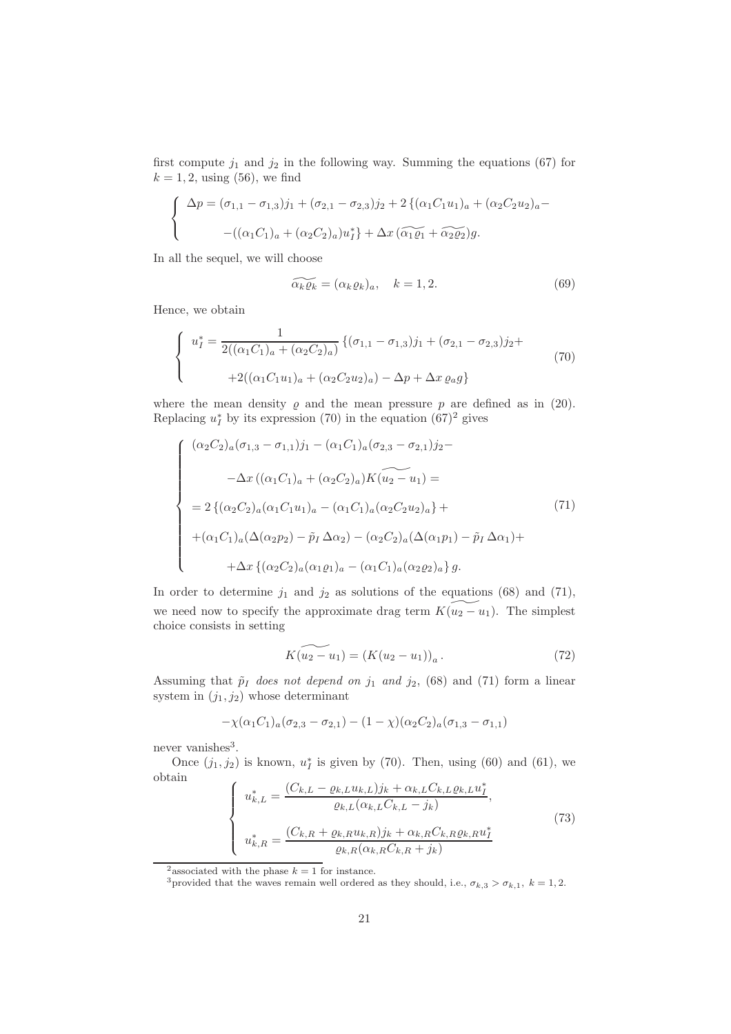first compute  $j_1$  and  $j_2$  in the following way. Summing the equations (67) for  $k = 1, 2$ , using (56), we find

$$
\begin{cases}\n\Delta p = (\sigma_{1,1} - \sigma_{1,3})j_1 + (\sigma_{2,1} - \sigma_{2,3})j_2 + 2\{(\alpha_1 C_1 u_1)_a + (\alpha_2 C_2 u_2)_a - ((\alpha_1 C_1)_a + (\alpha_2 C_2)_a)u_1^*\} + \Delta x \left(\widetilde{\alpha_1 \varrho_1} + \widetilde{\alpha_2 \varrho_2}\right)g.\n\end{cases}
$$

In all the sequel, we will choose

$$
\widetilde{\alpha_k \varrho_k} = (\alpha_k \varrho_k)_a, \quad k = 1, 2. \tag{69}
$$

Hence, we obtain

$$
\begin{cases}\n u_I^* = \frac{1}{2((\alpha_1 C_1)_a + (\alpha_2 C_2)_a)} \left\{ (\sigma_{1,1} - \sigma_{1,3})j_1 + (\sigma_{2,1} - \sigma_{2,3})j_2 + \right. \\
 \left. + 2((\alpha_1 C_1 u_1)_a + (\alpha_2 C_2 u_2)_a) - \Delta p + \Delta x \varrho_a g \right\}\n\end{cases}\n\tag{70}
$$

where the mean density  $\varrho$  and the mean pressure  $p$  are defined as in (20). Replacing  $u_I^*$  by its expression (70) in the equation (67)<sup>2</sup> gives

$$
\begin{cases}\n(\alpha_2 C_2)_a (\sigma_{1,3} - \sigma_{1,1}) j_1 - (\alpha_1 C_1)_a (\sigma_{2,3} - \sigma_{2,1}) j_2 - \\
-\Delta x ((\alpha_1 C_1)_a + (\alpha_2 C_2)_a) K (u_2 - u_1) = \\
= 2 \{ (\alpha_2 C_2)_a (\alpha_1 C_1 u_1)_a - (\alpha_1 C_1)_a (\alpha_2 C_2 u_2)_a \} + \\
+(\alpha_1 C_1)_a (\Delta (\alpha_2 p_2) - \tilde{p}_I \Delta \alpha_2) - (\alpha_2 C_2)_a (\Delta (\alpha_1 p_1) - \tilde{p}_I \Delta \alpha_1) + \\
+\Delta x \{ (\alpha_2 C_2)_a (\alpha_1 p_1)_a - (\alpha_1 C_1)_a (\alpha_2 p_2)_a \} g.\n\end{cases} (71)
$$

In order to determine  $j_1$  and  $j_2$  as solutions of the equations (68) and (71), we need now to specify the approximate drag term  $K(u_2 - u_1)$ . The simplest choice consists in setting

$$
K(u_2 - u_1) = (K(u_2 - u_1))_a.
$$
\n(72)

Assuming that  $\tilde{p}_I$  *does not depend on*  $j_1$  *and*  $j_2$ , (68) and (71) form a linear system in  $(j_1, j_2)$  whose determinant

$$
-\chi(\alpha_1 C_1)_a(\sigma_{2,3}-\sigma_{2,1})-(1-\chi)(\alpha_2 C_2)_a(\sigma_{1,3}-\sigma_{1,1})
$$

never vanishes<sup>3</sup>.

Once  $(j_1, j_2)$  is known,  $u_I^*$  is given by (70). Then, using (60) and (61), we obtain  $\mathcal{L}$ 

$$
\begin{cases}\n u_{k,L}^{*} = \frac{(C_{k,L} - \varrho_{k,L}u_{k,L})j_{k} + \alpha_{k,L}C_{k,L}\varrho_{k,L}u_{I}^{*}}{\varrho_{k,L}(\alpha_{k,L}C_{k,L} - j_{k})}, \\
 u_{k,R}^{*} = \frac{(C_{k,R} + \varrho_{k,R}u_{k,R})j_{k} + \alpha_{k,R}C_{k,R}\varrho_{k,R}u_{I}^{*}}{\varrho_{k,R}(\alpha_{k,R}C_{k,R} + j_{k})}\n\end{cases} (73)
$$

<sup>&</sup>lt;sup>2</sup> associated with the phase  $k = 1$  for instance.

<sup>&</sup>lt;sup>3</sup>provided that the waves remain well ordered as they should, i.e.,  $\sigma_{k,3} > \sigma_{k,1}$ ,  $k = 1,2$ .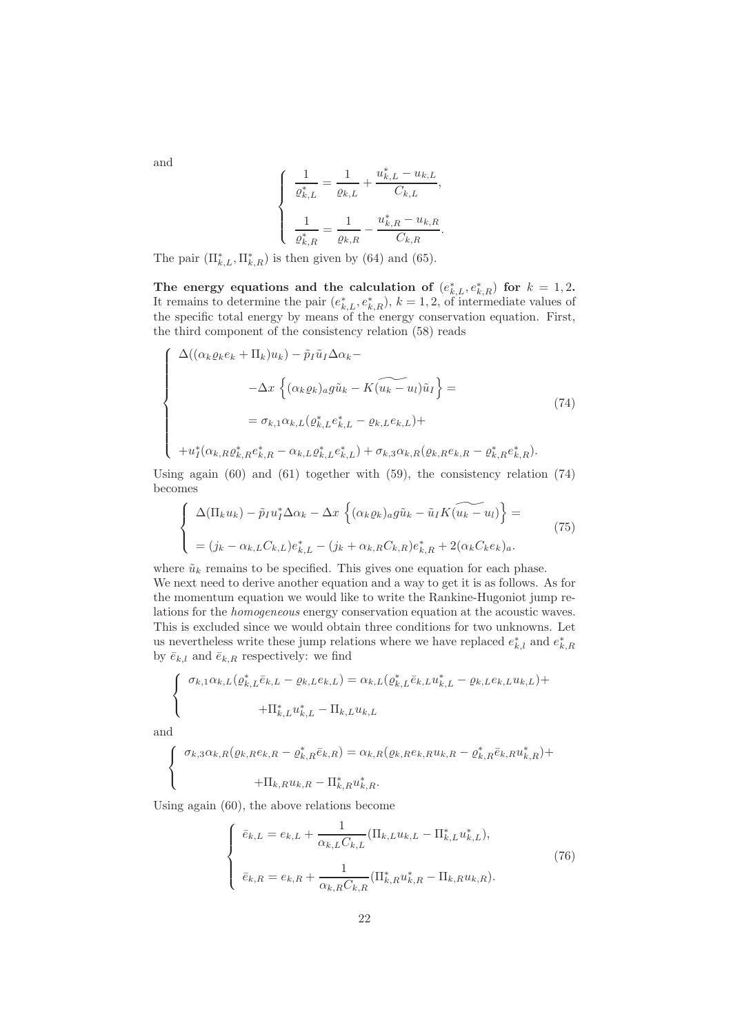$$
\left\{ \begin{array}{l} \frac{1}{\varrho^*_{k,L}} = \frac{1}{\varrho_{k,L}} + \frac{u^*_{k,L} - u_{k,L}}{C_{k,L}}, \\ \\ \frac{1}{\varrho^*_{k,R}} = \frac{1}{\varrho_{k,R}} - \frac{u^*_{k,R} - u_{k,R}}{C_{k,R}}. \end{array} \right.
$$

The pair  $(\Pi_{k,L}^*, \Pi_{k,R}^*)$  is then given by (64) and (65).

The energy equations and the calculation of  $(e_{k,L}^*, e_{k,R}^*)$  for  $k = 1,2$ . It remains to determine the pair  $(e_{k,L}^*, e_{k,R}^*), k = 1, 2$ , of intermediate values of the specific total energy by means of the energy conservation equation. First, the third component of the consistency relation (58) reads

$$
\begin{cases}\n\Delta((\alpha_k \varrho_k e_k + \Pi_k) u_k) - \tilde{p}_I \tilde{u}_I \Delta \alpha_k - \\
-\Delta x \left\{ (\alpha_k \varrho_k)_a g \tilde{u}_k - K(\widetilde{u}_k - u_l) \tilde{u}_I \right\} = \\
= \sigma_{k,1} \alpha_{k,L} (\varrho_{k,L}^* e_{k,L}^* - \varrho_{k,L} e_{k,L}) + \\
+ u_I^* (\alpha_{k,R} \varrho_{k,R}^* e_{k,R}^* - \alpha_{k,L} \varrho_{k,L}^* e_{k,L}^*) + \sigma_{k,3} \alpha_{k,R} (\varrho_{k,R} e_{k,R} - \varrho_{k,R}^* e_{k,R}^*).\n\end{cases} (74)
$$

Using again (60) and (61) together with (59), the consistency relation (74) becomes

$$
\begin{cases}\n\Delta(\Pi_k u_k) - \tilde{p}_I u_I^* \Delta \alpha_k - \Delta x \left\{ (\alpha_k \varrho_k)_a g \tilde{u}_k - \tilde{u}_I K(\widetilde{u_k - u}_I) \right\} = \\
= (j_k - \alpha_{k,L} C_{k,L}) e_{k,L}^* - (j_k + \alpha_{k,R} C_{k,R}) e_{k,R}^* + 2(\alpha_k C_k e_k)_a.\n\end{cases} (75)
$$

where  $\tilde{u}_k$  remains to be specified. This gives one equation for each phase. We next need to derive another equation and a way to get it is as follows. As for the momentum equation we would like to write the Rankine-Hugoniot jump relations for the *homogeneous* energy conservation equation at the acoustic waves. This is excluded since we would obtain three conditions for two unknowns. Let us nevertheless write these jump relations where we have replaced  $e_{k,l}^*$  and  $e_{k,R}^*$ by  $\bar{e}_{k,l}$  and  $\bar{e}_{k,R}$  respectively: we find

$$
\begin{cases}\n\sigma_{k,1}\alpha_{k,L}(\varrho_{k,L}^*\bar{e}_{k,L} - \varrho_{k,L}e_{k,L}) = \alpha_{k,L}(\varrho_{k,L}^*\bar{e}_{k,L}u_{k,L}^* - \varrho_{k,L}e_{k,L}u_{k,L}) + \\
+ \Pi_{k,L}^*u_{k,L}^* - \Pi_{k,L}u_{k,L}\n\end{cases}
$$

and

l,

$$
\left\{\begin{array}{c}\sigma_{k,3}\alpha_{k,R}(\varrho_{k,R}e_{k,R}-\varrho_{k,R}^*\bar{e}_{k,R})=\alpha_{k,R}(\varrho_{k,R}e_{k,R}u_{k,R}-\varrho_{k,R}^*\bar{e}_{k,R}u_{k,R}^*)+\right.\\\left.\qquad\qquad+\Pi_{k,R}u_{k,R}-\Pi_{k,R}^*u_{k,R}^*.\end{array}\right.
$$

Using again (60), the above relations become

$$
\begin{cases} \bar{e}_{k,L} = e_{k,L} + \frac{1}{\alpha_{k,L}C_{k,L}}(\Pi_{k,L}u_{k,L} - \Pi_{k,L}^*u_{k,L}^*),\\ \bar{e}_{k,R} = e_{k,R} + \frac{1}{\alpha_{k,R}C_{k,R}}(\Pi_{k,R}^*u_{k,R}^* - \Pi_{k,R}u_{k,R}). \end{cases}
$$
(76)

and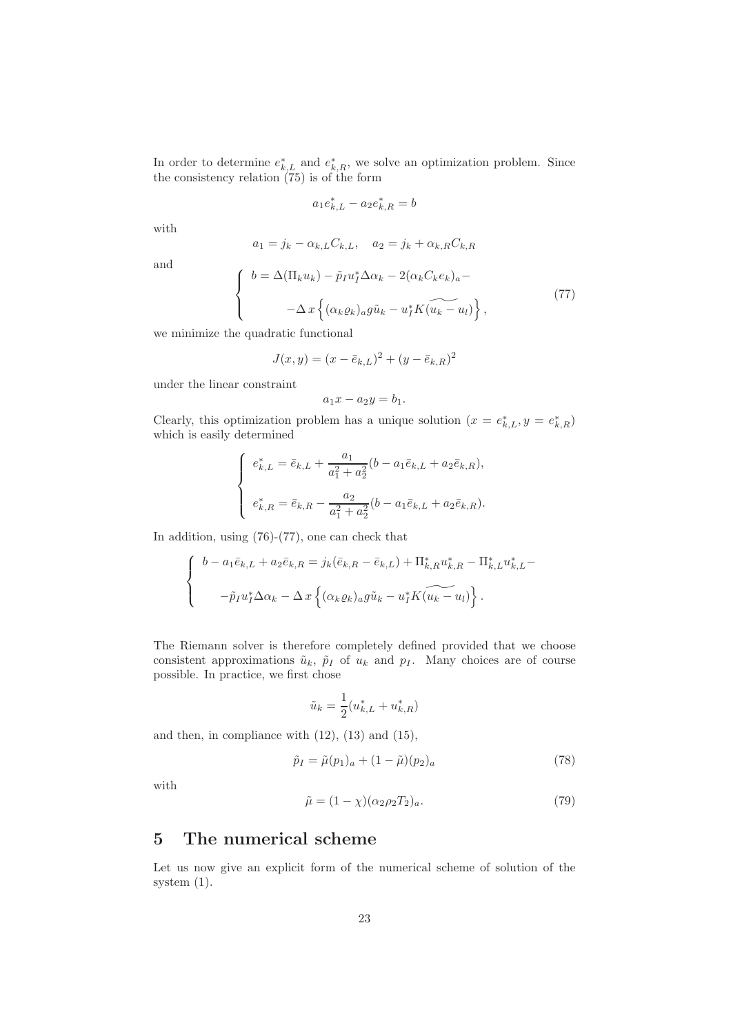In order to determine  $e_{k,L}^*$  and  $e_{k,R}^*$ , we solve an optimization problem. Since the consistency relation (75) is of the form

$$
a_1 e_{k,L}^* - a_2 e_{k,R}^* = b
$$

with

$$
a_1 = j_k - \alpha_{k,L} C_{k,L}, \quad a_2 = j_k + \alpha_{k,R} C_{k,R}
$$

and

$$
\begin{cases}\nb = \Delta(\Pi_k u_k) - \tilde{p}_I u_I^* \Delta \alpha_k - 2(\alpha_k C_k e_k)_a - \\
-\Delta x \left\{ (\alpha_k \varrho_k)_a g \tilde{u}_k - u_I^* K (\widetilde{u_k} - u_l) \right\},\n\end{cases} \tag{77}
$$

we minimize the quadratic functional

$$
J(x, y) = (x - \bar{e}_{k,L})^2 + (y - \bar{e}_{k,R})^2
$$

under the linear constraint

$$
a_1x - a_2y = b_1.
$$

Clearly, this optimization problem has a unique solution  $(x = e_{k,L}^*, y = e_{k,R}^*)$ which is easily determined

$$
\begin{cases} e_{k,L}^* = \bar{e}_{k,L} + \frac{a_1}{a_1^2 + a_2^2} (b - a_1 \bar{e}_{k,L} + a_2 \bar{e}_{k,R}), \\ e_{k,R}^* = \bar{e}_{k,R} - \frac{a_2}{a_1^2 + a_2^2} (b - a_1 \bar{e}_{k,L} + a_2 \bar{e}_{k,R}). \end{cases}
$$

In addition, using (76)-(77), one can check that

$$
\begin{cases}\nb - a_1 \bar{e}_{k,L} + a_2 \bar{e}_{k,R} = j_k (\bar{e}_{k,R} - \bar{e}_{k,L}) + \Pi_{k,R}^* u_{k,R}^* - \Pi_{k,L}^* u_{k,L}^* - \tilde{p}_I u_I^* \Delta \alpha_k - \Delta x \left\{ (\alpha_k \varrho_k)_a g \tilde{u}_k - u_I^* K (\widetilde{u_k - u_l}) \right\}.\n\end{cases}
$$

The Riemann solver is therefore completely defined provided that we choose consistent approximations  $\tilde{u}_k$ ,  $\tilde{p}_I$  of  $u_k$  and  $p_I$ . Many choices are of course possible. In practice, we first chose

$$
\tilde{u}_k=\frac{1}{2}(u_{k,L}^*+u_{k,R}^*)
$$

and then, in compliance with  $(12)$ ,  $(13)$  and  $(15)$ ,

$$
\tilde{p}_I = \tilde{\mu}(p_1)_a + (1 - \tilde{\mu})(p_2)_a \tag{78}
$$

with

$$
\tilde{\mu} = (1 - \chi)(\alpha_2 \rho_2 T_2)_a. \tag{79}
$$

## 5 The numerical scheme

Let us now give an explicit form of the numerical scheme of solution of the system (1).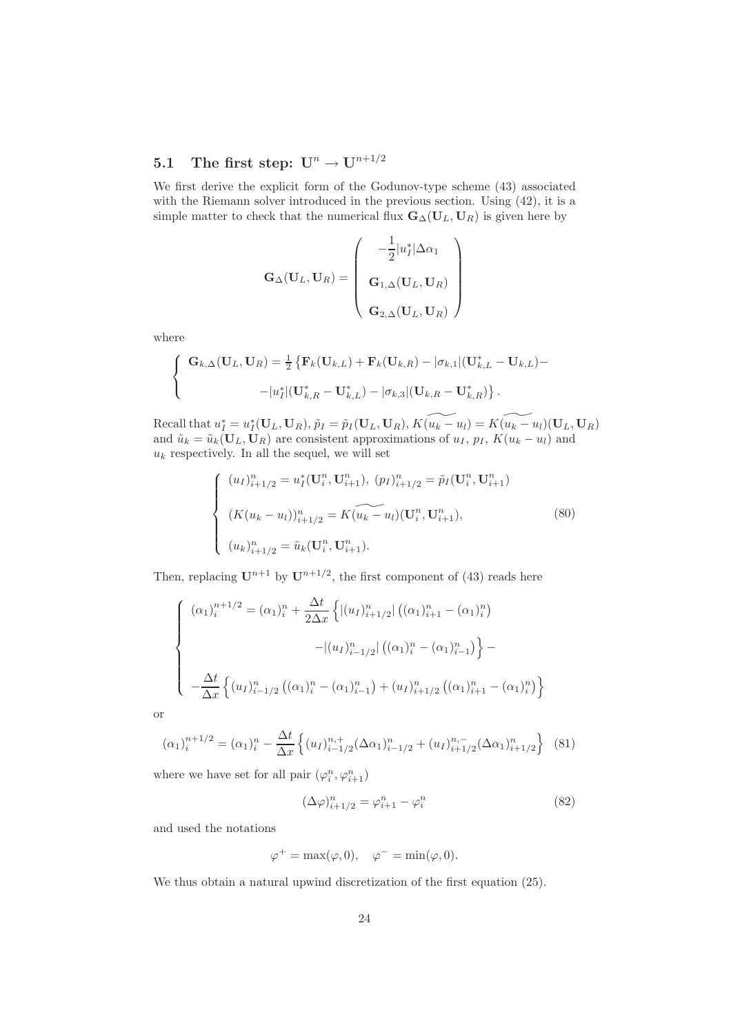# 5.1 The first step:  $U^n \to U^{n+1/2}$

We first derive the explicit form of the Godunov-type scheme (43) associated with the Riemann solver introduced in the previous section. Using (42), it is a simple matter to check that the numerical flux  $\mathbf{G}_{\Delta}(\mathbf{U}_L, \mathbf{U}_R)$  is given here by

$$
\mathbf{G}_{\Delta}(\mathbf{U}_{L},\mathbf{U}_{R}) = \left(\begin{array}{c} -\frac{1}{2}|u_{I}^{*}|\Delta\alpha_{1} \\ \mathbf{G}_{1,\Delta}(\mathbf{U}_{L},\mathbf{U}_{R}) \\ \mathbf{G}_{2,\Delta}(\mathbf{U}_{L},\mathbf{U}_{R}) \end{array}\right)
$$

where

$$
\left\{\n\begin{aligned}\n\mathbf{G}_{k,\Delta}(\mathbf{U}_L,\mathbf{U}_R) &= \frac{1}{2} \left\{ \mathbf{F}_k(\mathbf{U}_{k,L}) + \mathbf{F}_k(\mathbf{U}_{k,R}) - |\sigma_{k,1}| (\mathbf{U}_{k,L}^* - \mathbf{U}_{k,L}) - \right. \\
&\quad - |u_I^*| (\mathbf{U}_{k,R}^* - \mathbf{U}_{k,L}^*) - |\sigma_{k,3}| (\mathbf{U}_{k,R} - \mathbf{U}_{k,R}^*) \right\}.\n\end{aligned}\n\right.
$$

Recall that  $u_I^* = u_I^*(\mathbf{U}_L, \mathbf{U}_R)$ ,  $\tilde{p}_I = \tilde{p}_I(\mathbf{U}_L, \mathbf{U}_R)$ ,  $K(\widetilde{u_k - u_l}) = K(\widetilde{u_k - u_l})(\mathbf{U}_L, \mathbf{U}_R)$ and  $\tilde{u}_k = \tilde{u}_k(\mathbf{U}_L, \mathbf{U}_R)$  are consistent approximations of  $u_I, p_I, K(u_k - u_l)$  and  $u_k$  respectively. In all the sequel, we will set

$$
\begin{cases}\n(u_I)_{i+1/2}^n = u_I^*(\mathbf{U}_i^n, \mathbf{U}_{i+1}^n), \ (p_I)_{i+1/2}^n = \tilde{p}_I(\mathbf{U}_i^n, \mathbf{U}_{i+1}^n) \\
(K(u_k - u_l))_{i+1/2}^n = K(\widetilde{u_k - u_l})(\mathbf{U}_i^n, \mathbf{U}_{i+1}^n), \\
(u_k)_{i+1/2}^n = \tilde{u}_k(\mathbf{U}_i^n, \mathbf{U}_{i+1}^n).\n\end{cases} \tag{80}
$$

Then, replacing  $\mathbf{U}^{n+1}$  by  $\mathbf{U}^{n+1/2}$ , the first component of (43) reads here

$$
\begin{cases}\n(\alpha_1)_i^{n+1/2} = (\alpha_1)_i^n + \frac{\Delta t}{2\Delta x} \left\{ |(u_I)_{i+1/2}^n| ((\alpha_1)_{i+1}^n - (\alpha_1)_i^n) \right. \\
-\frac{|(u_I)_{i-1/2}^n| ((\alpha_1)_i^n - (\alpha_1)_{i-1}^n) \right\} - \left.\frac{\Delta t}{\Delta x} \left\{ (u_I)_{i-1/2}^n ((\alpha_1)_{i-1}^n - (\alpha_1)_{i-1}^n) + (u_I)_{i+1/2}^n ((\alpha_1)_{i+1}^n - (\alpha_1)_{i}^n) \right\}\n\end{cases}
$$

or

$$
(\alpha_1)_i^{n+1/2} = (\alpha_1)_i^n - \frac{\Delta t}{\Delta x} \left\{ (u_I)_{i-1/2}^{n,+} (\Delta \alpha_1)_{i-1/2}^n + (u_I)_{i+1/2}^{n,-} (\Delta \alpha_1)_{i+1/2}^n \right\}
$$
(81)

where we have set for all pair  $\left(\varphi^n_i,\varphi^n_{i+1}\right)$ 

$$
(\Delta \varphi)_{i+1/2}^n = \varphi_{i+1}^n - \varphi_i^n \tag{82}
$$

and used the notations

$$
\varphi^+ = \max(\varphi, 0), \quad \varphi^- = \min(\varphi, 0).
$$

We thus obtain a natural upwind discretization of the first equation (25).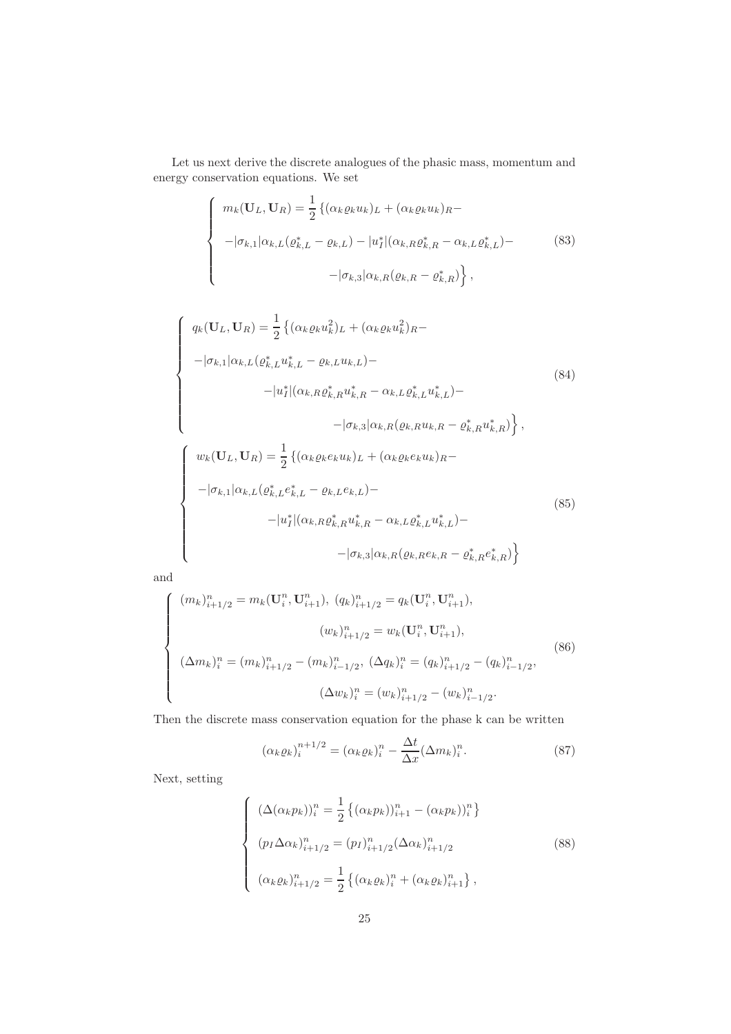Let us next derive the discrete analogues of the phasic mass, momentum and energy conservation equations. We set

$$
\begin{cases}\n m_k(\mathbf{U}_L, \mathbf{U}_R) = \frac{1}{2} \left\{ (\alpha_k \varrho_k u_k)_L + (\alpha_k \varrho_k u_k)_R - \right. \\
 \left. - |\sigma_{k,1}| \alpha_{k,L} (\varrho_{k,L}^* - \varrho_{k,L}) - |u_I^*| (\alpha_{k,R} \varrho_{k,R}^* - \alpha_{k,L} \varrho_{k,L}^*) - \right. \\
 \left. - |\sigma_{k,3}| \alpha_{k,R} (\varrho_{k,R} - \varrho_{k,R}^*) \right\},\n\end{cases} \tag{83}
$$

$$
\begin{cases}\n q_k(\mathbf{U}_L, \mathbf{U}_R) = \frac{1}{2} \left\{ (\alpha_k \varrho_k u_k^2)_L + (\alpha_k \varrho_k u_k^2)_R - \right. \\
\left. - |\sigma_{k,1}| \alpha_{k,L} (\varrho_{k,L}^* u_{k,L}^* - \varrho_{k,L} u_{k,L}) - \right. \\
\left. - |u_I^*| (\alpha_{k,R} \varrho_{k,R}^* u_{k,R}^* - \alpha_{k,L} \varrho_{k,L}^* u_{k,L}^*) - \right. \\
\left. - |\sigma_{k,3}| \alpha_{k,R} (\varrho_{k,R} u_{k,R} - \varrho_{k,R}^* u_{k,R}^*) \right\}, \\
 w_k(\mathbf{U}_L, \mathbf{U}_R) = \frac{1}{2} \left\{ (\alpha_k \varrho_k e_k u_k)_L + (\alpha_k \varrho_k e_k u_k)_R - \right. \\
\left. - |\sigma_{k,1}| \alpha_{k,L} (\varrho_{k,L}^* e_{k,L}^* - \varrho_{k,L} e_{k,L}) - \right. \\
\left. - |u_I^*| (\alpha_{k,R} \varrho_{k,R}^* u_{k,R}^* - \alpha_{k,L} \varrho_{k,L}^* u_{k,L}^*) - \right. \\
\left. - |\sigma_{k,3}| \alpha_{k,R} (\varrho_{k,R} e_k, R - \varrho_{k,R}^* e_k^* R) \right\}\n\end{cases}\n\tag{85}
$$

and

$$
\begin{cases}\n(m_k)_{i+1/2}^n = m_k(\mathbf{U}_i^n, \mathbf{U}_{i+1}^n), (q_k)_{i+1/2}^n = q_k(\mathbf{U}_i^n, \mathbf{U}_{i+1}^n), \\
(w_k)_{i+1/2}^n = w_k(\mathbf{U}_i^n, \mathbf{U}_{i+1}^n), \\
(\Delta m_k)_i^n = (m_k)_{i+1/2}^n - (m_k)_{i-1/2}^n, (\Delta q_k)_i^n = (q_k)_{i+1/2}^n - (q_k)_{i-1/2}^n, \\
(\Delta w_k)_i^n = (w_k)_{i+1/2}^n - (w_k)_{i-1/2}^n.\n\end{cases}
$$
\n(86)

Then the discrete mass conservation equation for the phase k can be written

$$
(\alpha_k \varrho_k)_i^{n+1/2} = (\alpha_k \varrho_k)_i^n - \frac{\Delta t}{\Delta x} (\Delta m_k)_i^n.
$$
 (87)

Next, setting

$$
\begin{cases}\n(\Delta(\alpha_k p_k))_i^n = \frac{1}{2} \left\{ (\alpha_k p_k)_{i+1}^n - (\alpha_k p_k)_{i}^n \right\} \\
(p_I \Delta \alpha_k)_{i+1/2}^n = (p_I)_{i+1/2}^n (\Delta \alpha_k)_{i+1/2}^n \\
(\alpha_k \varrho_k)_{i+1/2}^n = \frac{1}{2} \left\{ (\alpha_k \varrho_k)_{i}^n + (\alpha_k \varrho_k)_{i+1}^n \right\},\n\end{cases} \tag{88}
$$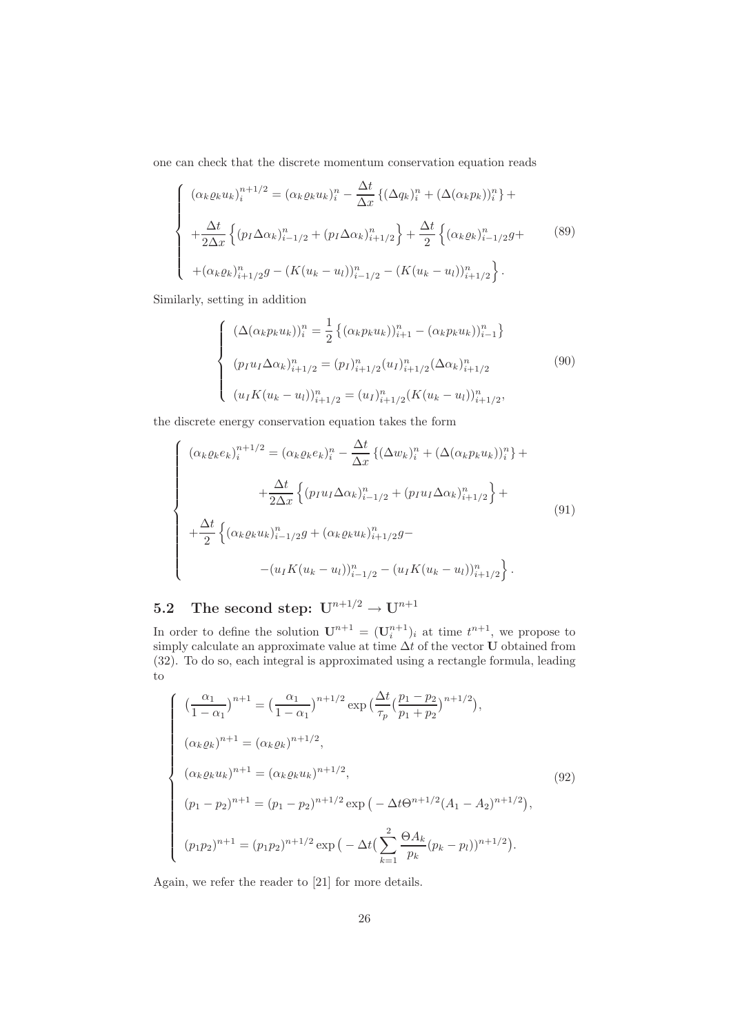one can check that the discrete momentum conservation equation reads

$$
\begin{cases}\n(\alpha_k \varrho_k u_k)_i^{n+1/2} = (\alpha_k \varrho_k u_k)_i^n - \frac{\Delta t}{\Delta x} \{ (\Delta q_k)_i^n + (\Delta (\alpha_k p_k))_i^n \} + \\
+\frac{\Delta t}{2\Delta x} \{ (p_I \Delta \alpha_k)_{i-1/2}^n + (p_I \Delta \alpha_k)_{i+1/2}^n \} + \frac{\Delta t}{2} \{ (\alpha_k \varrho_k)_{i-1/2}^n g + \\
+(\alpha_k \varrho_k)_{i+1/2}^n g - (K(u_k - u_l))_{i-1/2}^n - (K(u_k - u_l))_{i+1/2}^n \}.\n\end{cases}
$$
\n(89)

Similarly, setting in addition

$$
\begin{cases}\n(\Delta(\alpha_k p_k u_k))_i^n = \frac{1}{2} \left\{ (\alpha_k p_k u_k) \right\}_{i=1}^n - (\alpha_k p_k u_k) \Big\}_{i=1}^n \right\} \\
(p_I u_I \Delta \alpha_k)_{i=1/2}^n = (p_I)_{i=1/2}^n (u_I)_{i=1/2}^n (\Delta \alpha_k)_{i=1/2}^n \tag{90} \\
(u_I K(u_k - u_I))_{i=1/2}^n = (u_I)_{i=1/2}^n (K(u_k - u_I))_{i=1/2}^n,\n\end{cases}
$$

the discrete energy conservation equation takes the form

$$
\begin{cases}\n(\alpha_{k}\varrho_{k}e_{k})_{i}^{n+1/2} = (\alpha_{k}\varrho_{k}e_{k})_{i}^{n} - \frac{\Delta t}{\Delta x}\left\{(\Delta w_{k})_{i}^{n} + (\Delta(\alpha_{k}\varrho_{k}u_{k}))_{i}^{n}\right\} + \frac{\Delta t}{2\Delta x}\left\{(\varrho_{I}u_{I}\Delta\alpha_{k})_{i-1/2}^{n} + (\varrho_{I}u_{I}\Delta\alpha_{k})_{i+1/2}^{n}\right\} + \frac{\Delta t}{2}\left\{(\alpha_{k}\varrho_{k}u_{k})_{i-1/2}^{n}g + (\alpha_{k}\varrho_{k}u_{k})_{i+1/2}^{n}g - \right. \\
\left. - (u_{I}K(u_{k}-u_{l}))_{i-1/2}^{n} - (u_{I}K(u_{k}-u_{l}))_{i+1/2}^{n}\right\}.\n\end{cases} \tag{91}
$$

# 5.2 The second step:  $U^{n+1/2} \to U^{n+1}$

In order to define the solution  $\mathbf{U}^{n+1} = (\mathbf{U}_i^{n+1})_i$  at time  $t^{n+1}$ , we propose to simply calculate an approximate value at time  $\Delta t$  of the vector U obtained from (32). To do so, each integral is approximated using a rectangle formula, leading to

$$
\begin{cases}\n\left(\frac{\alpha_1}{1-\alpha_1}\right)^{n+1} = \left(\frac{\alpha_1}{1-\alpha_1}\right)^{n+1/2} \exp\left(\frac{\Delta t}{\tau_p} \left(\frac{p_1-p_2}{p_1+p_2}\right)^{n+1/2}\right), \\
\left(\alpha_k \varrho_k\right)^{n+1} = \left(\alpha_k \varrho_k\right)^{n+1/2}, \\
\left(\alpha_k \varrho_k u_k\right)^{n+1} = \left(\alpha_k \varrho_k u_k\right)^{n+1/2}, \\
\left(p_1-p_2\right)^{n+1} = (p_1-p_2)^{n+1/2} \exp\left(-\Delta t \Theta^{n+1/2} (A_1 - A_2)^{n+1/2}\right), \\
\left(p_1 p_2\right)^{n+1} = (p_1 p_2)^{n+1/2} \exp\left(-\Delta t \left(\sum_{k=1}^2 \frac{\Theta A_k}{p_k} (p_k - p_l)\right)^{n+1/2}\right).\n\end{cases} \tag{92}
$$

Again, we refer the reader to [21] for more details.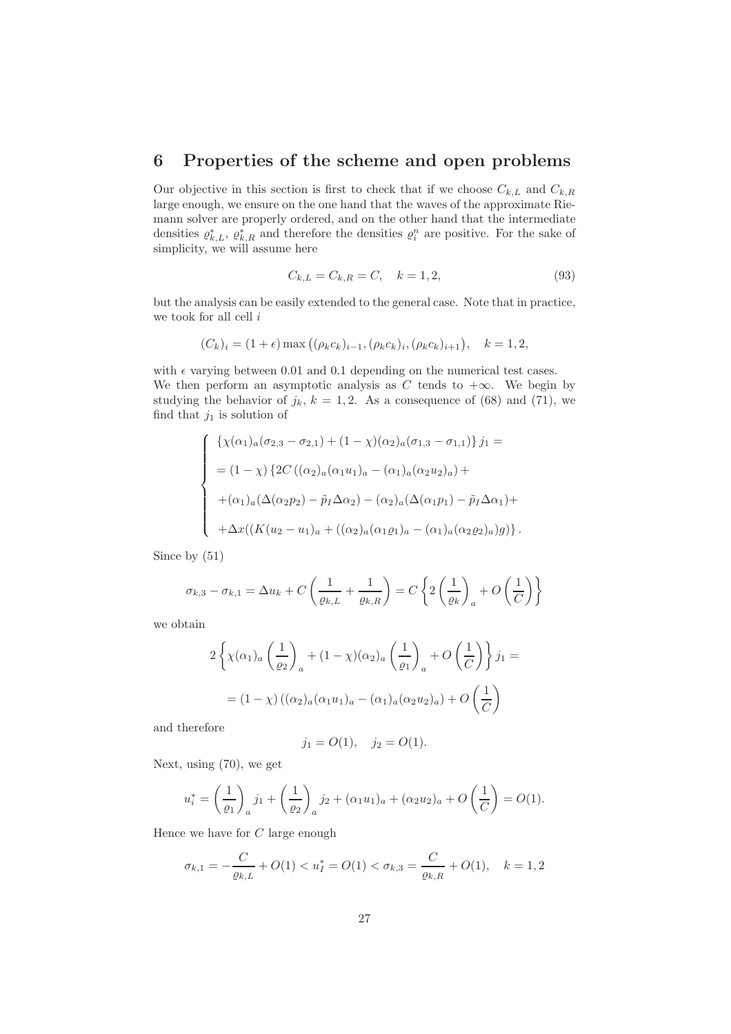# 6 Properties of the scheme and open problems

Our objective in this section is first to check that if we choose  $C_{k,L}$  and  $C_{k,R}$ large enough, we ensure on the one hand that the waves of the approximate Riemann solver are properly ordered, and on the other hand that the intermediate densities  $\rho_{k,L}^*$ ,  $\rho_{k,R}^*$  and therefore the densities  $\rho_i^n$  are positive. For the sake of simplicity, we will assume here

$$
C_{k,L} = C_{k,R} = C, \quad k = 1,2,
$$
\n(93)

but the analysis can be easily extended to the general case. Note that in practice, we took for all cell  $i$ 

$$
(C_k)_i = (1+\epsilon) \max ((\rho_k c_k)_{i-1}, (\rho_k c_k)_i, (\rho_k c_k)_{i+1}), \quad k = 1, 2,
$$

with  $\epsilon$  varying between 0.01 and 0.1 depending on the numerical test cases. We then perform an asymptotic analysis as C tends to  $+\infty$ . We begin by studying the behavior of  $j_k$ ,  $k = 1, 2$ . As a consequence of (68) and (71), we find that  $j_1$  is solution of

$$
\begin{cases}\n\left\{\chi(\alpha_1)_a(\sigma_{2,3}-\sigma_{2,1})+(1-\chi)(\alpha_2)_a(\sigma_{1,3}-\sigma_{1,1})\right\}j_1 = \\
= (1-\chi)\left\{2C\left((\alpha_2)_a(\alpha_1u_1)_a - (\alpha_1)_a(\alpha_2u_2)_a\right) + \right. \\
+\left(\alpha_1)_a(\Delta(\alpha_2p_2)-\tilde{p}_I\Delta\alpha_2) - (\alpha_2)_a(\Delta(\alpha_1p_1)-\tilde{p}_I\Delta\alpha_1) + \right. \\
+\Delta x((K(u_2-u_1)_a + ((\alpha_2)_a(\alpha_1p_1)_a - (\alpha_1)_a(\alpha_2p_2)_a)g)\right\}.\n\end{cases}
$$

Since by (51)

$$
\sigma_{k,3} - \sigma_{k,1} = \Delta u_k + C \left( \frac{1}{\varrho_{k,L}} + \frac{1}{\varrho_{k,R}} \right) = C \left\{ 2 \left( \frac{1}{\varrho_k} \right)_a + O \left( \frac{1}{C} \right) \right\}
$$

we obtain

$$
2\left\{\chi(\alpha_1)_a\left(\frac{1}{\varrho_2}\right)_a + (1-\chi)(\alpha_2)_a\left(\frac{1}{\varrho_1}\right)_a + O\left(\frac{1}{C}\right)\right\}j_1 =
$$
  
= 
$$
(1-\chi)\left((\alpha_2)_a(\alpha_1u_1)_a - (\alpha_1)_a(\alpha_2u_2)_a\right) + O\left(\frac{1}{C}\right)
$$

and therefore

$$
j_1 = O(1), \quad j_2 = O(1).
$$

Next, using (70), we get

$$
u_i^* = \left(\frac{1}{\varrho_1}\right)_a j_1 + \left(\frac{1}{\varrho_2}\right)_a j_2 + (\alpha_1 u_1)_a + (\alpha_2 u_2)_a + O\left(\frac{1}{C}\right) = O(1).
$$

Hence we have for C large enough

$$
\sigma_{k,1} = -\frac{C}{\varrho_{k,L}} + O(1) < u_I^* = O(1) < \sigma_{k,3} = \frac{C}{\varrho_{k,R}} + O(1), \quad k = 1,2
$$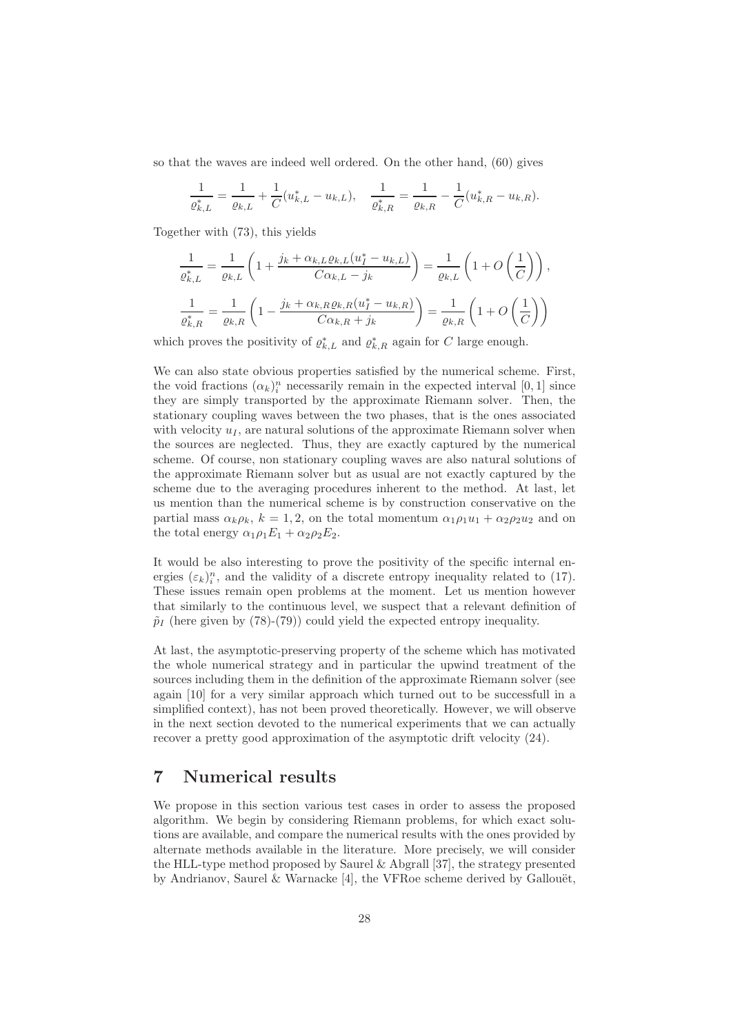so that the waves are indeed well ordered. On the other hand, (60) gives

$$
\frac{1}{\varrho_{k,L}^*} = \frac{1}{\varrho_{k,L}} + \frac{1}{C} (u_{k,L}^* - u_{k,L}), \quad \frac{1}{\varrho_{k,R}^*} = \frac{1}{\varrho_{k,R}} - \frac{1}{C} (u_{k,R}^* - u_{k,R}).
$$

Together with (73), this yields

$$
\frac{1}{\varrho_{k,L}^*} = \frac{1}{\varrho_{k,L}} \left( 1 + \frac{j_k + \alpha_{k,L}\varrho_{k,L}(u_I^* - u_{k,L})}{C\alpha_{k,L} - j_k} \right) = \frac{1}{\varrho_{k,L}} \left( 1 + O\left(\frac{1}{C}\right) \right),
$$
\n
$$
\frac{1}{\varrho_{k,R}^*} = \frac{1}{\varrho_{k,R}} \left( 1 - \frac{j_k + \alpha_{k,R}\varrho_{k,R}(u_I^* - u_{k,R})}{C\alpha_{k,R} + j_k} \right) = \frac{1}{\varrho_{k,R}} \left( 1 + O\left(\frac{1}{C}\right) \right)
$$

which proves the positivity of  $\varrho_{k,L}^*$  and  $\varrho_{k,R}^*$  again for C large enough.

We can also state obvious properties satisfied by the numerical scheme. First, the void fractions  $(\alpha_k)_i^n$  necessarily remain in the expected interval  $[0,1]$  since they are simply transported by the approximate Riemann solver. Then, the stationary coupling waves between the two phases, that is the ones associated with velocity  $u_I$ , are natural solutions of the approximate Riemann solver when the sources are neglected. Thus, they are exactly captured by the numerical scheme. Of course, non stationary coupling waves are also natural solutions of the approximate Riemann solver but as usual are not exactly captured by the scheme due to the averaging procedures inherent to the method. At last, let us mention than the numerical scheme is by construction conservative on the partial mass  $\alpha_k \rho_k$ ,  $k = 1, 2$ , on the total momentum  $\alpha_1 \rho_1 u_1 + \alpha_2 \rho_2 u_2$  and on the total energy  $\alpha_1 \rho_1 E_1 + \alpha_2 \rho_2 E_2$ .

It would be also interesting to prove the positivity of the specific internal energies  $(\varepsilon_k)_i^n$ , and the validity of a discrete entropy inequality related to (17). These issues remain open problems at the moment. Let us mention however that similarly to the continuous level, we suspect that a relevant definition of  $\tilde{p}_I$  (here given by (78)-(79)) could yield the expected entropy inequality.

At last, the asymptotic-preserving property of the scheme which has motivated the whole numerical strategy and in particular the upwind treatment of the sources including them in the definition of the approximate Riemann solver (see again [10] for a very similar approach which turned out to be successfull in a simplified context), has not been proved theoretically. However, we will observe in the next section devoted to the numerical experiments that we can actually recover a pretty good approximation of the asymptotic drift velocity (24).

# 7 Numerical results

We propose in this section various test cases in order to assess the proposed algorithm. We begin by considering Riemann problems, for which exact solutions are available, and compare the numerical results with the ones provided by alternate methods available in the literature. More precisely, we will consider the HLL-type method proposed by Saurel & Abgrall [37], the strategy presented by Andrianov, Saurel & Warnacke  $[4]$ , the VFRoe scheme derived by Gallouët,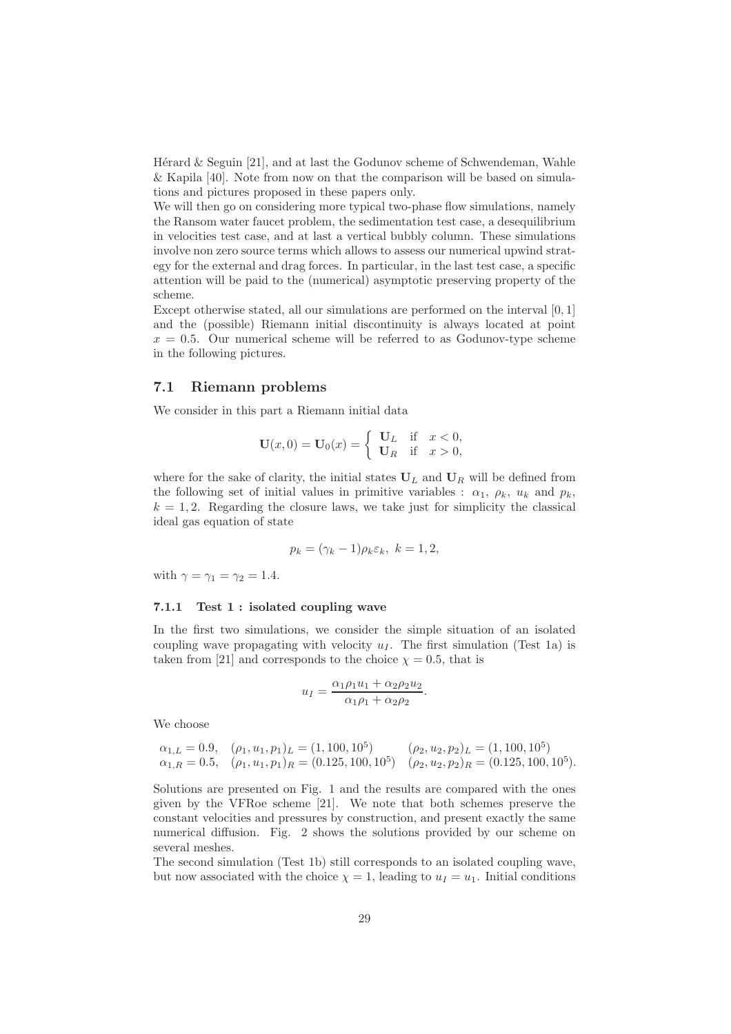Hérard  $&$  Seguin [21], and at last the Godunov scheme of Schwendeman, Wahle & Kapila [40]. Note from now on that the comparison will be based on simulations and pictures proposed in these papers only.

We will then go on considering more typical two-phase flow simulations, namely the Ransom water faucet problem, the sedimentation test case, a desequilibrium in velocities test case, and at last a vertical bubbly column. These simulations involve non zero source terms which allows to assess our numerical upwind strategy for the external and drag forces. In particular, in the last test case, a specific attention will be paid to the (numerical) asymptotic preserving property of the scheme.

Except otherwise stated, all our simulations are performed on the interval [0, 1] and the (possible) Riemann initial discontinuity is always located at point  $x = 0.5$ . Our numerical scheme will be referred to as Godunov-type scheme in the following pictures.

## 7.1 Riemann problems

We consider in this part a Riemann initial data

$$
\mathbf{U}(x,0) = \mathbf{U}_0(x) = \begin{cases} \mathbf{U}_L & \text{if } x < 0, \\ \mathbf{U}_R & \text{if } x > 0, \end{cases}
$$

where for the sake of clarity, the initial states  $U_L$  and  $U_R$  will be defined from the following set of initial values in primitive variables :  $\alpha_1, \rho_k, u_k$  and  $p_k$ ,  $k = 1, 2$ . Regarding the closure laws, we take just for simplicity the classical ideal gas equation of state

$$
p_k = (\gamma_k - 1)\rho_k \varepsilon_k, \ k = 1, 2,
$$

with  $\gamma = \gamma_1 = \gamma_2 = 1.4$ .

### 7.1.1 Test 1 : isolated coupling wave

In the first two simulations, we consider the simple situation of an isolated coupling wave propagating with velocity  $u_I$ . The first simulation (Test 1a) is taken from [21] and corresponds to the choice  $\chi = 0.5$ , that is

$$
u_I = \frac{\alpha_1 \rho_1 u_1 + \alpha_2 \rho_2 u_2}{\alpha_1 \rho_1 + \alpha_2 \rho_2}.
$$

We choose

$$
\alpha_{1,L} = 0.9, \quad (\rho_1, u_1, p_1)_L = (1, 100, 10^5) \qquad (\rho_2, u_2, p_2)_L = (1, 100, 10^5) \n\alpha_{1,R} = 0.5, \quad (\rho_1, u_1, p_1)_R = (0.125, 100, 10^5) \qquad (\rho_2, u_2, p_2)_R = (0.125, 100, 10^5).
$$

Solutions are presented on Fig. 1 and the results are compared with the ones given by the VFRoe scheme [21]. We note that both schemes preserve the constant velocities and pressures by construction, and present exactly the same numerical diffusion. Fig. 2 shows the solutions provided by our scheme on several meshes.

The second simulation (Test 1b) still corresponds to an isolated coupling wave, but now associated with the choice  $\chi = 1$ , leading to  $u_I = u_1$ . Initial conditions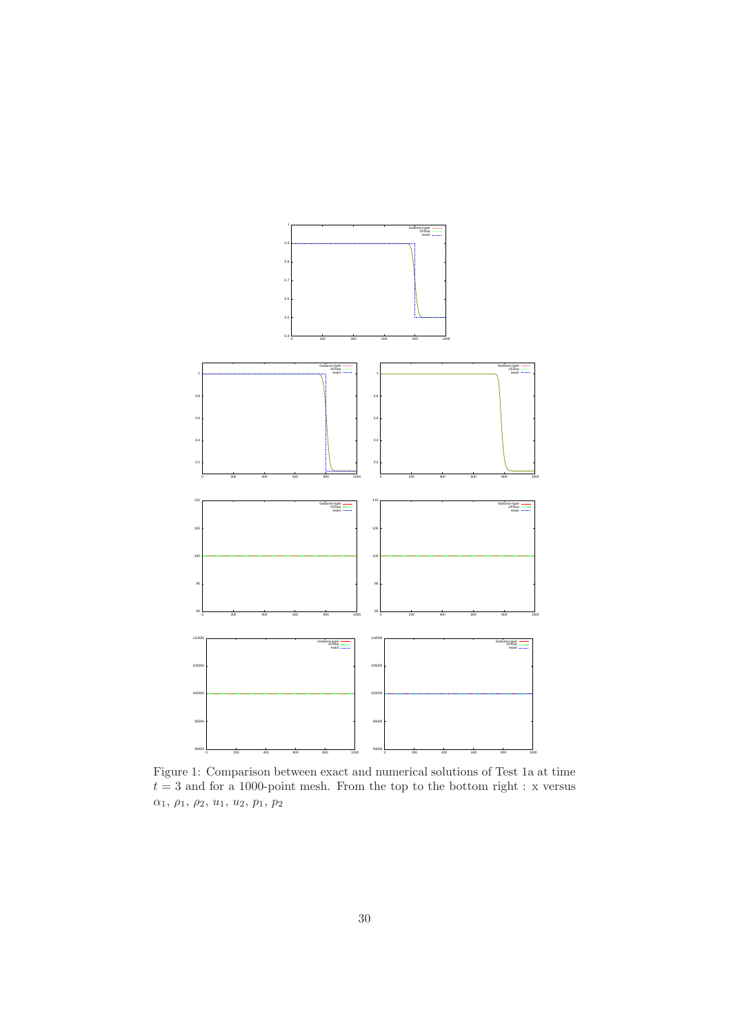

Figure 1: Comparison between exact and numerical solutions of Test 1a at time  $t = 3$  and for a 1000-point mesh. From the top to the bottom right : x versus  $\alpha_1, \, \rho_1, \, \rho_2, \, u_1, \, u_2, \, p_1, \, p_2$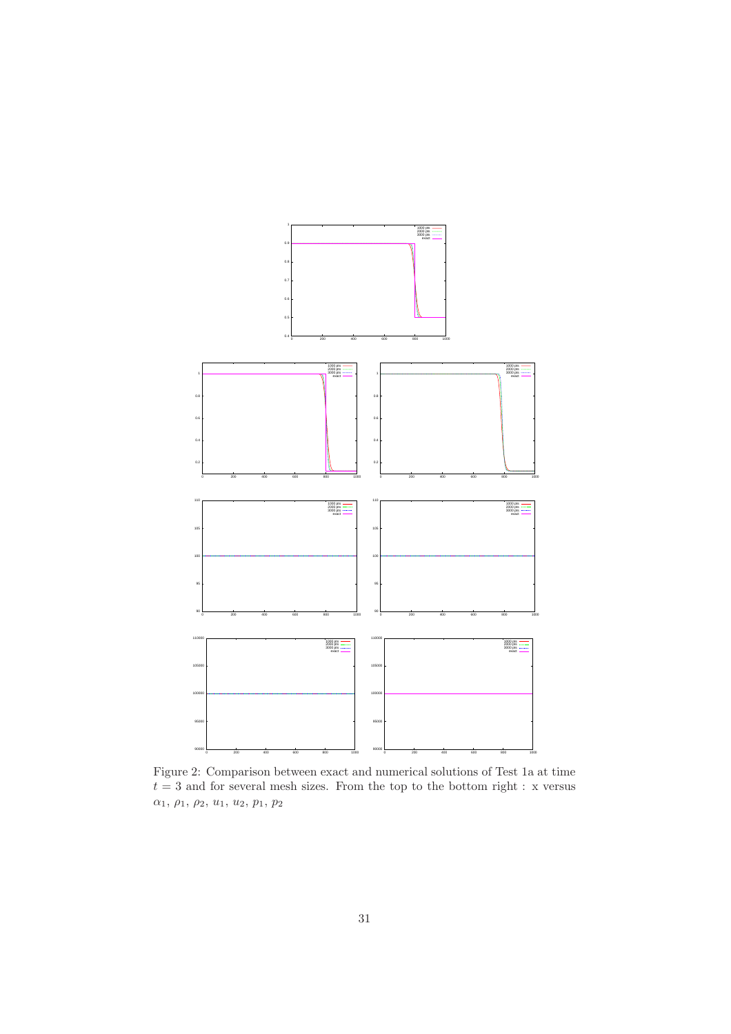

Figure 2: Comparison between exact and numerical solutions of Test 1a at time  $t=\sqrt{3}$  and for several mesh sizes. From the top to the bottom right : x versus  $\alpha_1, \, \rho_1, \, \rho_2, \, u_1, \, u_2, \, p_1, \, p_2$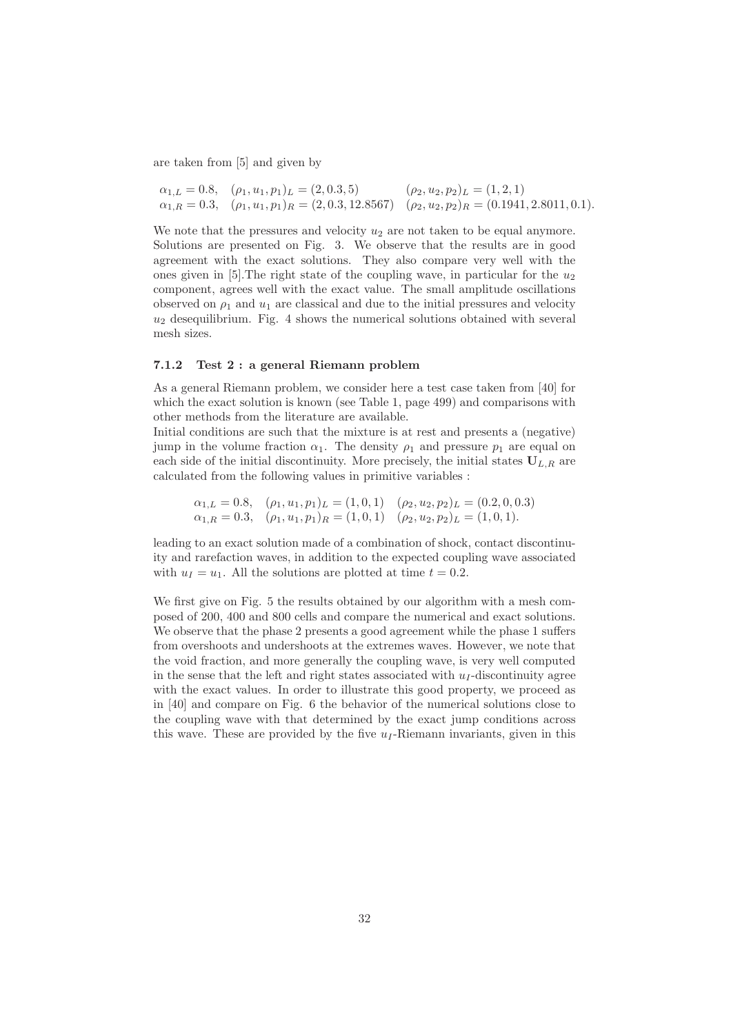are taken from [5] and given by

$$
\alpha_{1,L} = 0.8, \quad (\rho_1, u_1, p_1)_L = (2, 0.3, 5) \quad (\rho_2, u_2, p_2)_L = (1, 2, 1) \n\alpha_{1,R} = 0.3, \quad (\rho_1, u_1, p_1)_R = (2, 0.3, 12.8567) \quad (\rho_2, u_2, p_2)_R = (0.1941, 2.8011, 0.1).
$$

We note that the pressures and velocity  $u_2$  are not taken to be equal anymore. Solutions are presented on Fig. 3. We observe that the results are in good agreement with the exact solutions. They also compare very well with the ones given in [5]. The right state of the coupling wave, in particular for the  $u_2$ component, agrees well with the exact value. The small amplitude oscillations observed on  $\rho_1$  and  $u_1$  are classical and due to the initial pressures and velocity  $u_2$  desequilibrium. Fig. 4 shows the numerical solutions obtained with several mesh sizes.

### 7.1.2 Test 2 : a general Riemann problem

As a general Riemann problem, we consider here a test case taken from [40] for which the exact solution is known (see Table 1, page 499) and comparisons with other methods from the literature are available.

Initial conditions are such that the mixture is at rest and presents a (negative) jump in the volume fraction  $\alpha_1$ . The density  $\rho_1$  and pressure  $p_1$  are equal on each side of the initial discontinuity. More precisely, the initial states  $U_{L,R}$  are calculated from the following values in primitive variables :

$$
\alpha_{1,L} = 0.8, \quad (\rho_1, u_1, p_1)_L = (1, 0, 1) \quad (\rho_2, u_2, p_2)_L = (0.2, 0, 0.3) \n\alpha_{1,R} = 0.3, \quad (\rho_1, u_1, p_1)_R = (1, 0, 1) \quad (\rho_2, u_2, p_2)_L = (1, 0, 1).
$$

leading to an exact solution made of a combination of shock, contact discontinuity and rarefaction waves, in addition to the expected coupling wave associated with  $u_I = u_1$ . All the solutions are plotted at time  $t = 0.2$ .

We first give on Fig. 5 the results obtained by our algorithm with a mesh composed of 200, 400 and 800 cells and compare the numerical and exact solutions. We observe that the phase 2 presents a good agreement while the phase 1 suffers from overshoots and undershoots at the extremes waves. However, we note that the void fraction, and more generally the coupling wave, is very well computed in the sense that the left and right states associated with  $u<sub>I</sub>$ -discontinuity agree with the exact values. In order to illustrate this good property, we proceed as in [40] and compare on Fig. 6 the behavior of the numerical solutions close to the coupling wave with that determined by the exact jump conditions across this wave. These are provided by the five  $u_I$ -Riemann invariants, given in this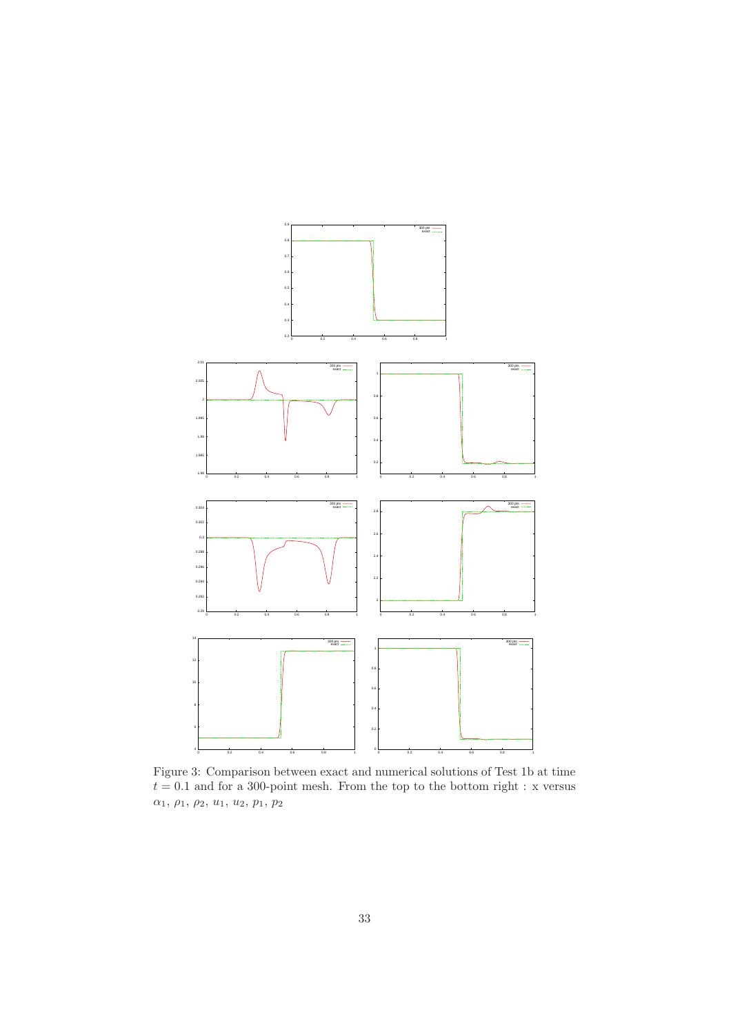

Figure 3: Comparison between exact and numerical solutions of Test 1b at time  $t=0.1$  and for a 300-point mesh. From the top to the bottom right : x versus  $\alpha_1, \, \rho_1, \, \rho_2, \, u_1, \, u_2, \, p_1, \, p_2$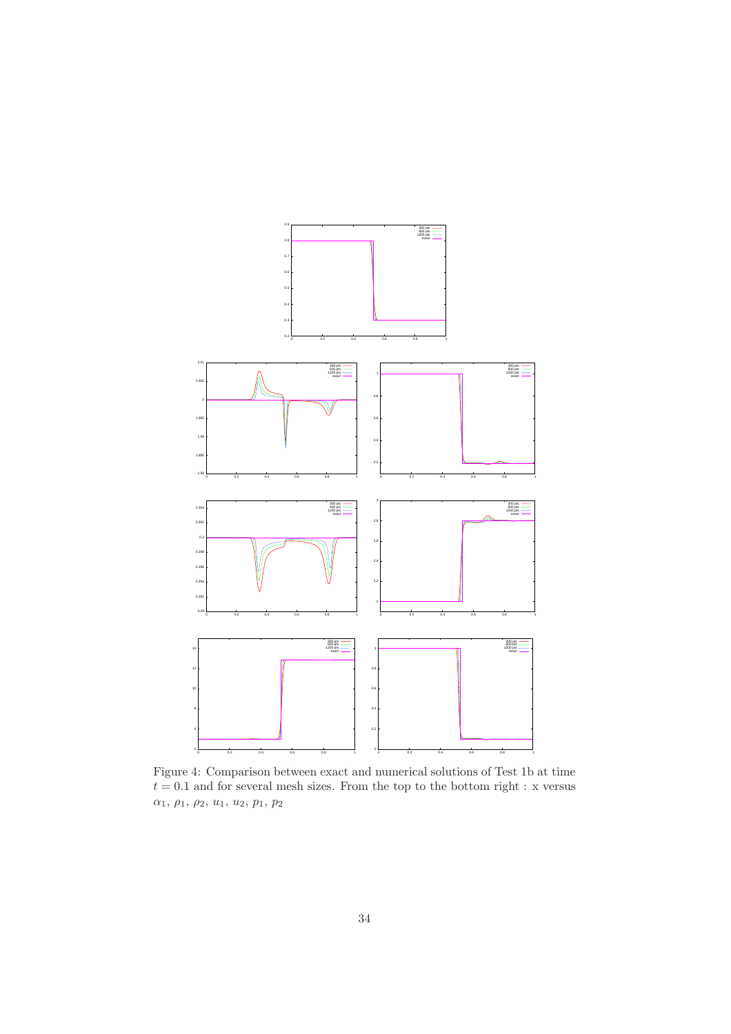

Figure 4: Comparison between exact and numerical solutions of Test 1b at time  $t = 0.1$  and for several mesh sizes. From the top to the bottom right : x versus  $\alpha_1, \, \rho_1, \, \rho_2, \, u_1, \, u_2, \, p_1, \, p_2$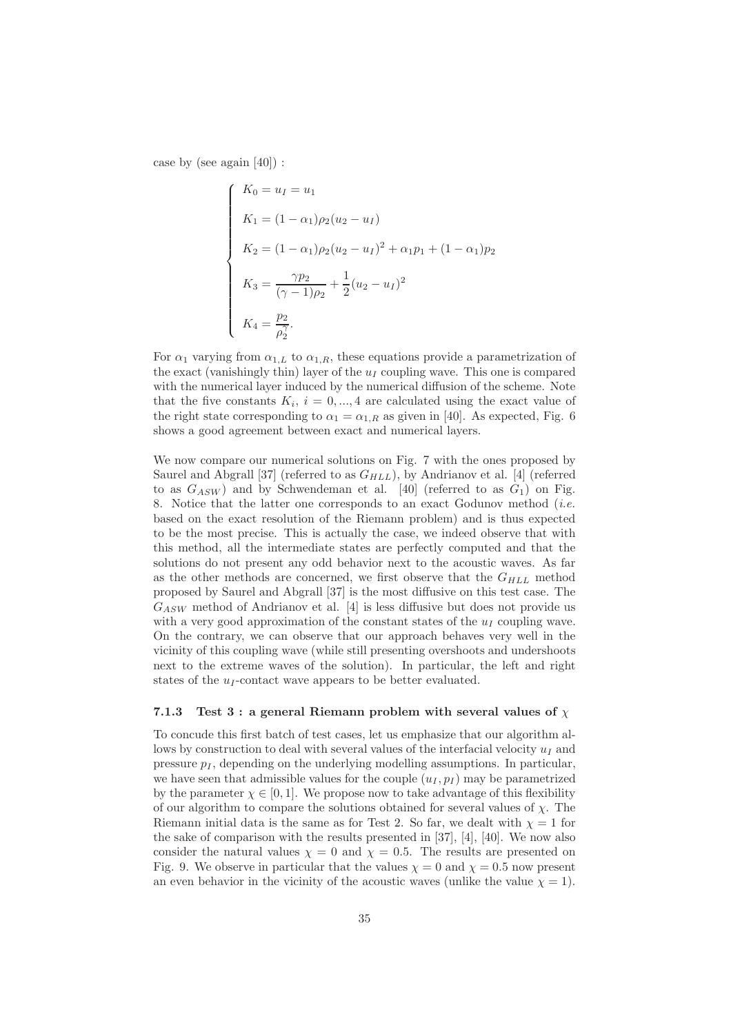case by (see again [40]) :

$$
\begin{cases}\nK_0 = u_I = u_1 \\
K_1 = (1 - \alpha_1)\rho_2(u_2 - u_I) \\
K_2 = (1 - \alpha_1)\rho_2(u_2 - u_I)^2 + \alpha_1 p_1 + (1 - \alpha_1)p_2 \\
K_3 = \frac{\gamma p_2}{(\gamma - 1)\rho_2} + \frac{1}{2}(u_2 - u_I)^2 \\
K_4 = \frac{p_2}{\rho_2^2}.\n\end{cases}
$$

For  $\alpha_1$  varying from  $\alpha_{1,L}$  to  $\alpha_{1,R}$ , these equations provide a parametrization of the exact (vanishingly thin) layer of the  $u<sub>I</sub>$  coupling wave. This one is compared with the numerical layer induced by the numerical diffusion of the scheme. Note that the five constants  $K_i$ ,  $i = 0, ..., 4$  are calculated using the exact value of the right state corresponding to  $\alpha_1 = \alpha_{1,R}$  as given in [40]. As expected, Fig. 6 shows a good agreement between exact and numerical layers.

We now compare our numerical solutions on Fig. 7 with the ones proposed by Saurel and Abgrall [37] (referred to as  $G_{HLL}$ ), by Andrianov et al. [4] (referred to as  $G_{ASW}$ ) and by Schwendeman et al. [40] (referred to as  $G_1$ ) on Fig. 8. Notice that the latter one corresponds to an exact Godunov method (*i.e.* based on the exact resolution of the Riemann problem) and is thus expected to be the most precise. This is actually the case, we indeed observe that with this method, all the intermediate states are perfectly computed and that the solutions do not present any odd behavior next to the acoustic waves. As far as the other methods are concerned, we first observe that the  $G_{HLL}$  method proposed by Saurel and Abgrall [37] is the most diffusive on this test case. The  $G_{ASW}$  method of Andrianov et al. [4] is less diffusive but does not provide us with a very good approximation of the constant states of the  $u_I$  coupling wave. On the contrary, we can observe that our approach behaves very well in the vicinity of this coupling wave (while still presenting overshoots and undershoots next to the extreme waves of the solution). In particular, the left and right states of the  $u_I$ -contact wave appears to be better evaluated.

#### 7.1.3 Test 3 : a general Riemann problem with several values of  $\chi$

To concude this first batch of test cases, let us emphasize that our algorithm allows by construction to deal with several values of the interfacial velocity  $u_I$  and pressure  $p_I$ , depending on the underlying modelling assumptions. In particular, we have seen that admissible values for the couple  $(u_I, p_I)$  may be parametrized by the parameter  $\chi \in [0, 1]$ . We propose now to take advantage of this flexibility of our algorithm to compare the solutions obtained for several values of  $\chi$ . The Riemann initial data is the same as for Test 2. So far, we dealt with  $\chi = 1$  for the sake of comparison with the results presented in [37], [4], [40]. We now also consider the natural values  $\chi = 0$  and  $\chi = 0.5$ . The results are presented on Fig. 9. We observe in particular that the values  $\chi = 0$  and  $\chi = 0.5$  now present an even behavior in the vicinity of the acoustic waves (unlike the value  $\chi = 1$ ).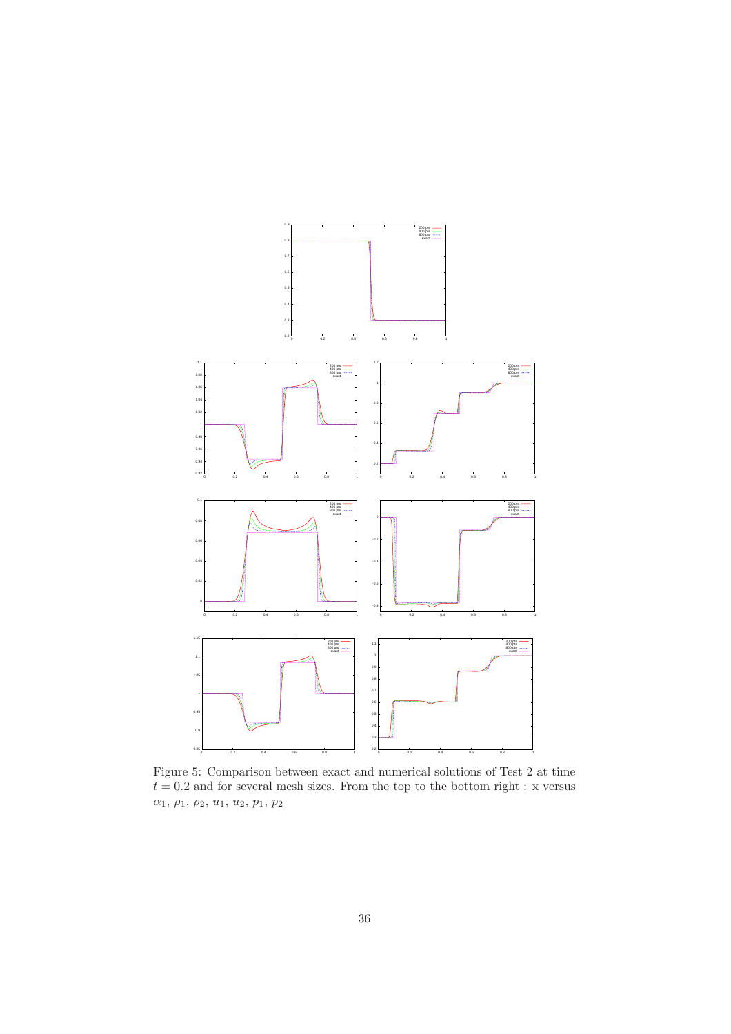

Figure 5: Comparison between exact and numerical solutions of Test 2 at time  $t = 0.2$  and for several mesh sizes. From the top to the bottom right : x versus  $\alpha_1, \, \rho_1, \, \rho_2, \, u_1, \, u_2, \, p_1, \, p_2$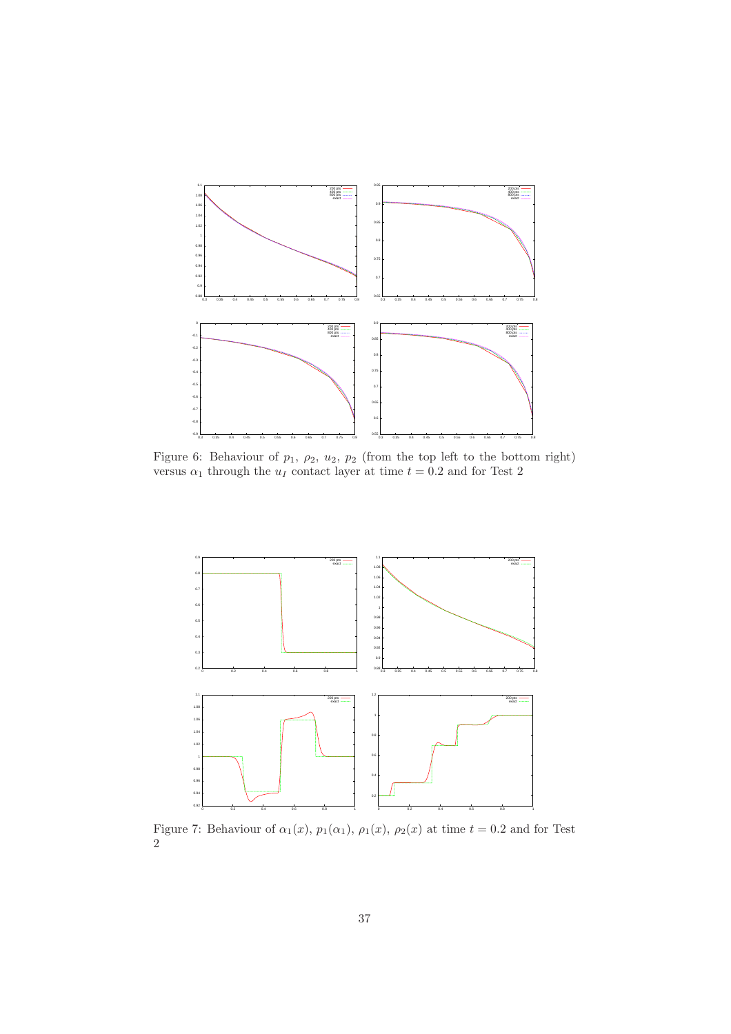

Figure 6: Behaviour of  $p_1, p_2, u_2, p_2$  (from the top left to the bottom right) versus  $\alpha_1$  through the  $u_I$  contact layer at time  $t = 0.2$  and for Test 2



Figure 7: Behaviour of  $\alpha_1(x)$ ,  $p_1(\alpha_1)$ ,  $\rho_1(x)$ ,  $\rho_2(x)$  at time  $t = 0.2$  and for Test 2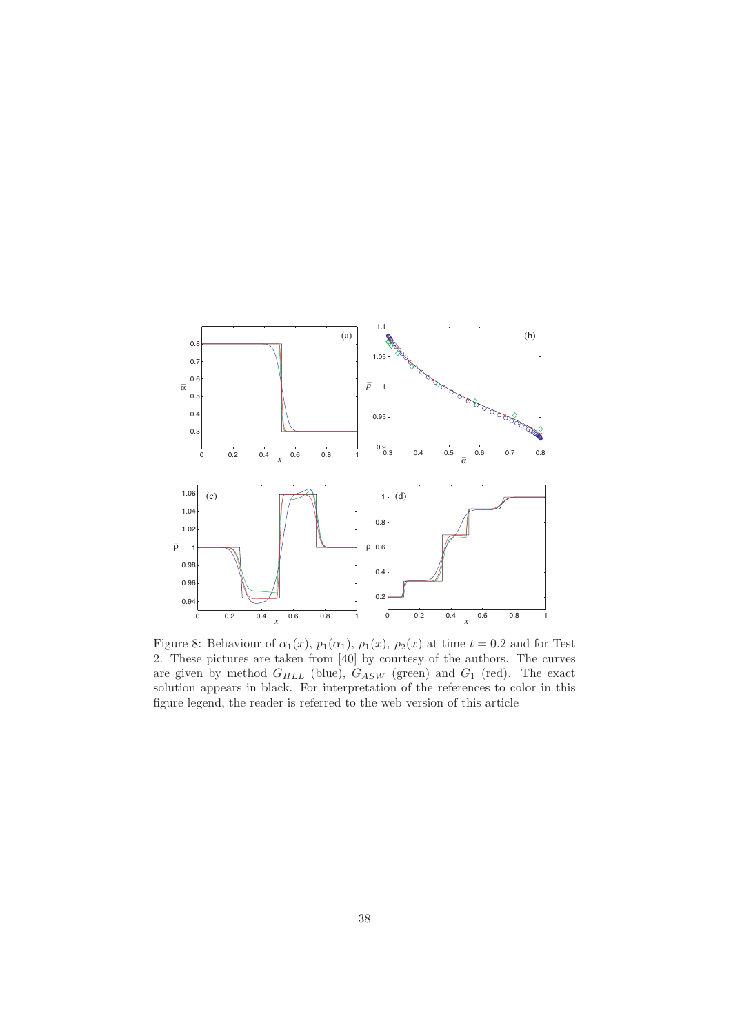

Figure 8: Behaviour of  $\alpha_1(x)$ ,  $p_1(\alpha_1)$ ,  $\rho_1(x)$ ,  $\rho_2(x)$  at time  $t = 0.2$  and for Test 2. These pictures are taken from [40] by courtesy of the authors. The curves are given by method  $G_{HLL}$  (blue),  $G_{ASW}$  (green) and  $G_1$  (red). The exact solution appears in black. For interpretation of the references to color in this figure legend, the reader is referred to the web version of this article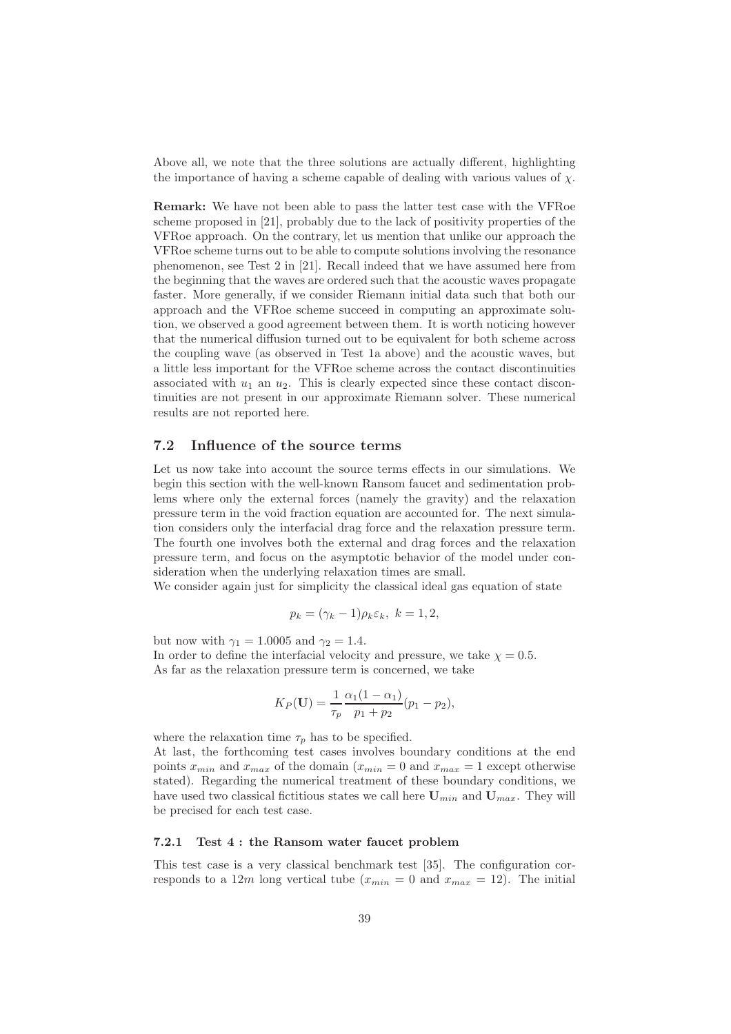Above all, we note that the three solutions are actually different, highlighting the importance of having a scheme capable of dealing with various values of  $\chi$ .

Remark: We have not been able to pass the latter test case with the VFRoe scheme proposed in [21], probably due to the lack of positivity properties of the VFRoe approach. On the contrary, let us mention that unlike our approach the VFRoe scheme turns out to be able to compute solutions involving the resonance phenomenon, see Test 2 in [21]. Recall indeed that we have assumed here from the beginning that the waves are ordered such that the acoustic waves propagate faster. More generally, if we consider Riemann initial data such that both our approach and the VFRoe scheme succeed in computing an approximate solution, we observed a good agreement between them. It is worth noticing however that the numerical diffusion turned out to be equivalent for both scheme across the coupling wave (as observed in Test 1a above) and the acoustic waves, but a little less important for the VFRoe scheme across the contact discontinuities associated with  $u_1$  an  $u_2$ . This is clearly expected since these contact discontinuities are not present in our approximate Riemann solver. These numerical results are not reported here.

## 7.2 Influence of the source terms

Let us now take into account the source terms effects in our simulations. We begin this section with the well-known Ransom faucet and sedimentation problems where only the external forces (namely the gravity) and the relaxation pressure term in the void fraction equation are accounted for. The next simulation considers only the interfacial drag force and the relaxation pressure term. The fourth one involves both the external and drag forces and the relaxation pressure term, and focus on the asymptotic behavior of the model under consideration when the underlying relaxation times are small.

We consider again just for simplicity the classical ideal gas equation of state

$$
p_k = (\gamma_k - 1)\rho_k \varepsilon_k, \ k = 1, 2,
$$

but now with  $\gamma_1 = 1.0005$  and  $\gamma_2 = 1.4$ . In order to define the interfacial velocity and pressure, we take  $\chi = 0.5$ . As far as the relaxation pressure term is concerned, we take

$$
K_P(\mathbf{U}) = \frac{1}{\tau_p} \frac{\alpha_1 (1 - \alpha_1)}{p_1 + p_2} (p_1 - p_2),
$$

where the relaxation time  $\tau_p$  has to be specified.

At last, the forthcoming test cases involves boundary conditions at the end points  $x_{min}$  and  $x_{max}$  of the domain  $(x_{min} = 0 \text{ and } x_{max} = 1 \text{ except otherwise})$ stated). Regarding the numerical treatment of these boundary conditions, we have used two classical fictitious states we call here  $U_{min}$  and  $U_{max}$ . They will be precised for each test case.

### 7.2.1 Test 4 : the Ransom water faucet problem

This test case is a very classical benchmark test [35]. The configuration corresponds to a 12m long vertical tube  $(x_{min} = 0 \text{ and } x_{max} = 12)$ . The initial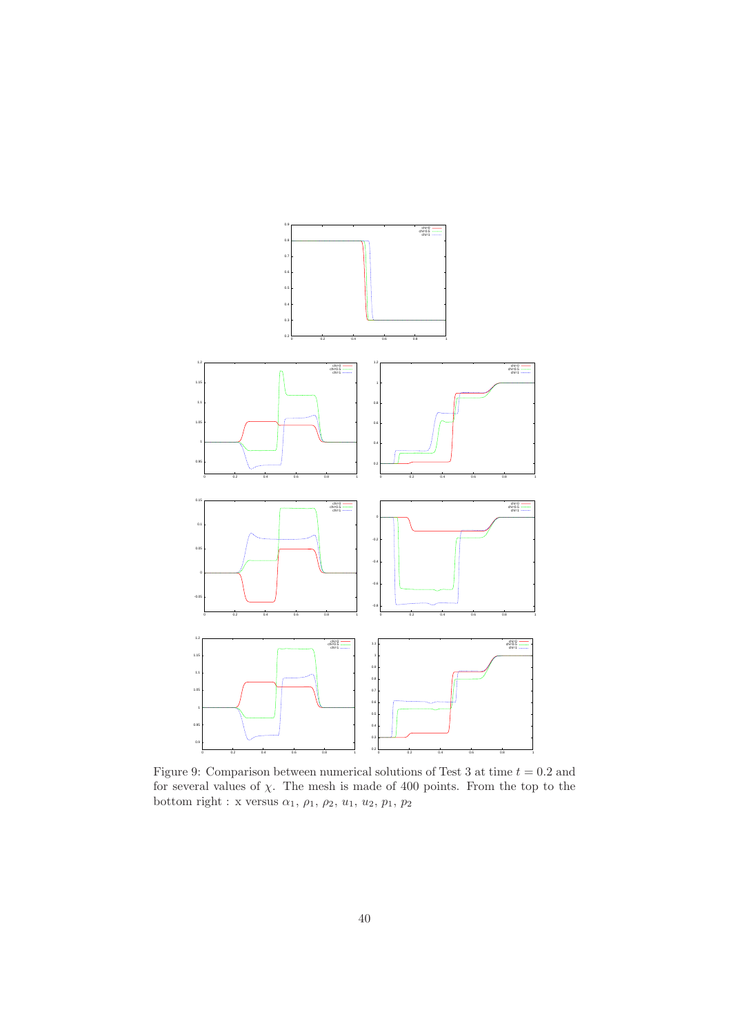

Figure 9: Comparison between numerical solutions of Test 3 at time  $t = 0.2$  and for several values of  $\chi$ . The mesh is made of 400 points. From the top to the bottom right : x versus  $\alpha_1$ ,  $\rho_1$ ,  $\rho_2$ ,  $u_1$ ,  $u_2$ ,  $p_1$ ,  $p_2$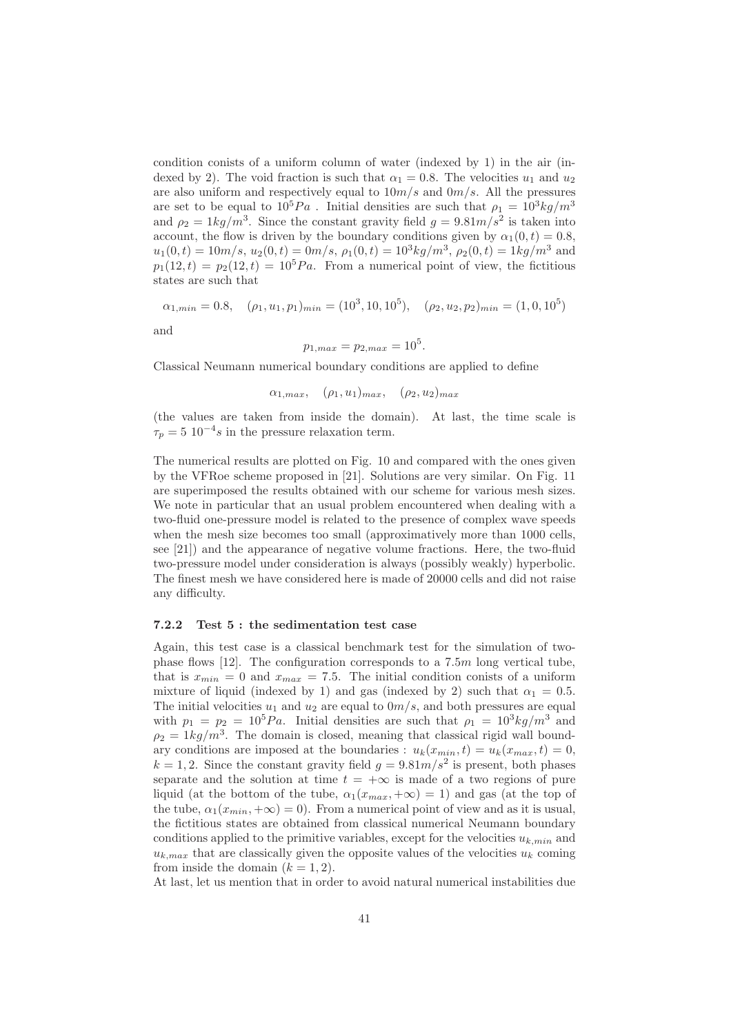condition conists of a uniform column of water (indexed by 1) in the air (indexed by 2). The void fraction is such that  $\alpha_1 = 0.8$ . The velocities  $u_1$  and  $u_2$ are also uniform and respectively equal to  $10m/s$  and  $0m/s$ . All the pressures are set to be equal to  $10^5 Pa$ . Initial densities are such that  $\rho_1 = 10^3 kg/m^3$ and  $\rho_2 = 1 \frac{kg}{m^3}$ . Since the constant gravity field  $g = 9.81 \frac{m}{s^2}$  is taken into account, the flow is driven by the boundary conditions given by  $\alpha_1(0, t) = 0.8$ ,  $u_1(0,t) = 10m/s$ ,  $u_2(0,t) = 0m/s$ ,  $\rho_1(0,t) = 10^3kg/m^3$ ,  $\rho_2(0,t) = 1kg/m^3$  and  $p_1(12, t) = p_2(12, t) = 10^5 Pa$ . From a numerical point of view, the fictitious states are such that

$$
\alpha_{1,min} = 0.8, \quad (\rho_1, u_1, p_1)_{min} = (10^3, 10, 10^5), \quad (\rho_2, u_2, p_2)_{min} = (1, 0, 10^5)
$$

and

$$
p_{1,max} = p_{2,max} = 10^5.
$$

Classical Neumann numerical boundary conditions are applied to define

 $\alpha_{1,max}$ ,  $(\rho_1, u_1)_{max}$ ,  $(\rho_2, u_2)_{max}$ 

(the values are taken from inside the domain). At last, the time scale is  $\tau_p = 5 \, 10^{-4} s$  in the pressure relaxation term.

The numerical results are plotted on Fig. 10 and compared with the ones given by the VFRoe scheme proposed in [21]. Solutions are very similar. On Fig. 11 are superimposed the results obtained with our scheme for various mesh sizes. We note in particular that an usual problem encountered when dealing with a two-fluid one-pressure model is related to the presence of complex wave speeds when the mesh size becomes too small (approximatively more than 1000 cells, see [21]) and the appearance of negative volume fractions. Here, the two-fluid two-pressure model under consideration is always (possibly weakly) hyperbolic. The finest mesh we have considered here is made of 20000 cells and did not raise any difficulty.

#### 7.2.2 Test 5 : the sedimentation test case

Again, this test case is a classical benchmark test for the simulation of twophase flows  $[12]$ . The configuration corresponds to a 7.5 $m$  long vertical tube, that is  $x_{min} = 0$  and  $x_{max} = 7.5$ . The initial condition conists of a uniform mixture of liquid (indexed by 1) and gas (indexed by 2) such that  $\alpha_1 = 0.5$ . The initial velocities  $u_1$  and  $u_2$  are equal to  $0m/s$ , and both pressures are equal with  $p_1 = p_2 = 10^5 Pa$ . Initial densities are such that  $\rho_1 = 10^3 kg/m^3$  and  $\rho_2 = 1kg/m^3$ . The domain is closed, meaning that classical rigid wall boundary conditions are imposed at the boundaries :  $u_k(x_{min}, t) = u_k(x_{max}, t) = 0$ ,  $k = 1, 2$ . Since the constant gravity field  $g = 9.81m/s^2$  is present, both phases separate and the solution at time  $t = +\infty$  is made of a two regions of pure liquid (at the bottom of the tube,  $\alpha_1(x_{max}, +\infty) = 1$ ) and gas (at the top of the tube,  $\alpha_1(x_{min}, +\infty) = 0$ . From a numerical point of view and as it is usual, the fictitious states are obtained from classical numerical Neumann boundary conditions applied to the primitive variables, except for the velocities  $u_{k,min}$  and  $u_{k,max}$  that are classically given the opposite values of the velocities  $u_k$  coming from inside the domain  $(k = 1, 2)$ .

At last, let us mention that in order to avoid natural numerical instabilities due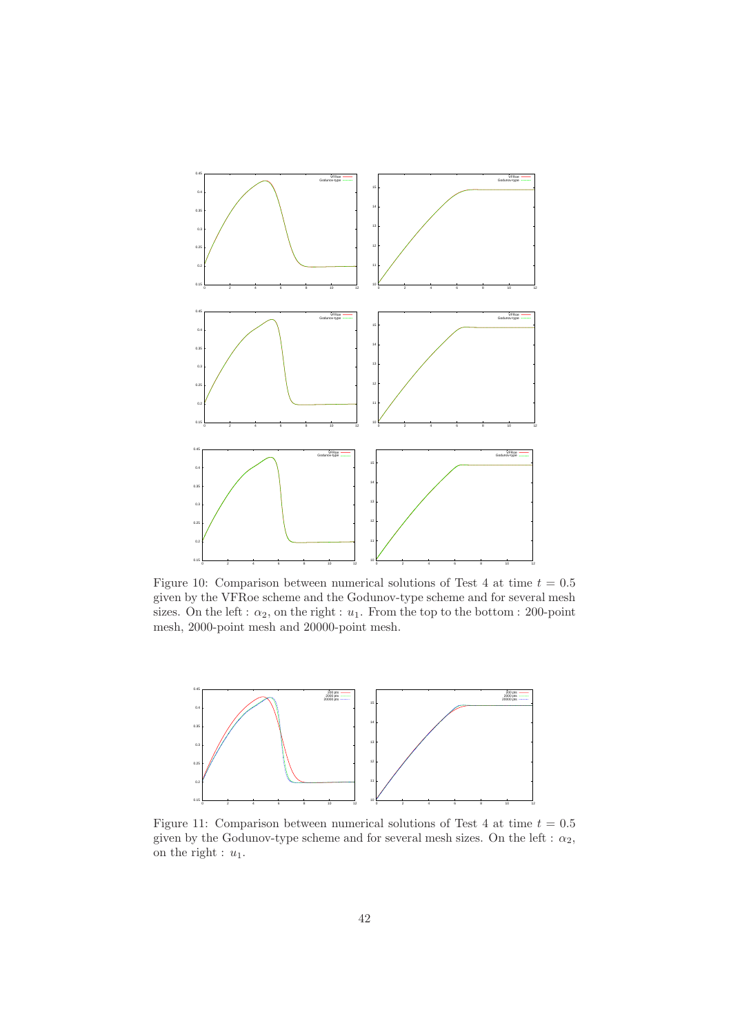

Figure 10: Comparison between numerical solutions of Test 4 at time  $t = 0.5$ given by the VFRoe scheme and the Godunov-type scheme and for several mesh sizes. On the left :  $\alpha_2$ , on the right :  $u_1$ . From the top to the bottom : 200-point mesh, 2000-point mesh and 20000-point mesh.



Figure 11: Comparison between numerical solutions of Test 4 at time  $t = 0.5$ given by the Godunov-type scheme and for several mesh sizes. On the left :  $\alpha_2$ , on the right :  $u_1$ .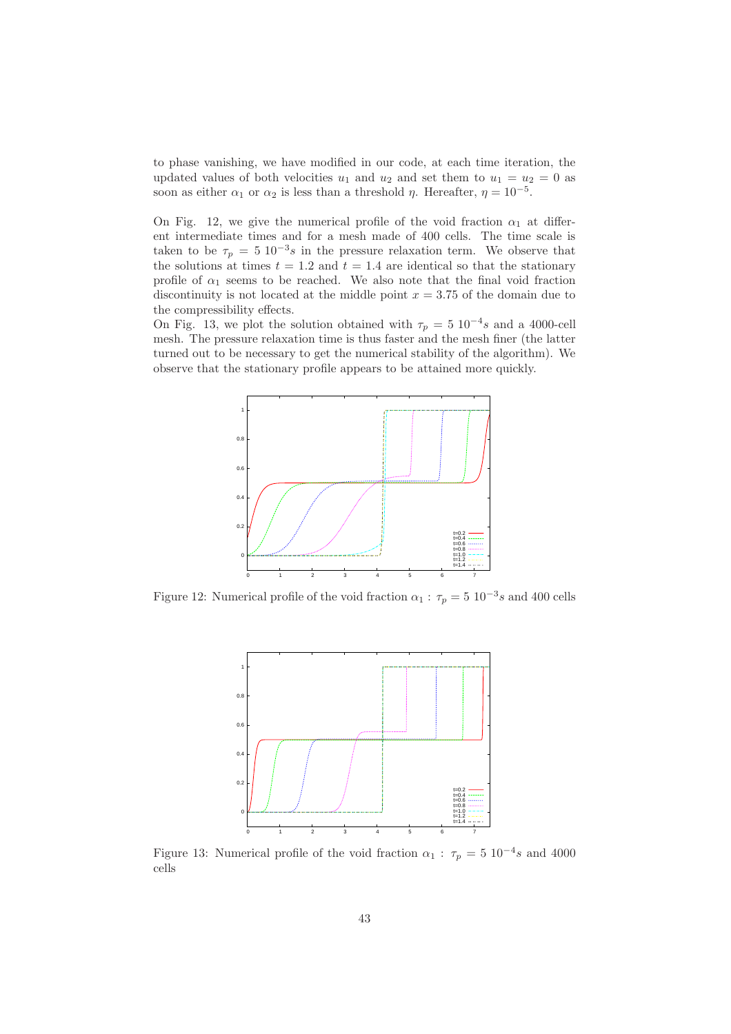to phase vanishing, we have modified in our code, at each time iteration, the updated values of both velocities  $u_1$  and  $u_2$  and set them to  $u_1 = u_2 = 0$  as soon as either  $\alpha_1$  or  $\alpha_2$  is less than a threshold  $\eta$ . Hereafter,  $\eta = 10^{-5}$ .

On Fig. 12, we give the numerical profile of the void fraction  $\alpha_1$  at different intermediate times and for a mesh made of 400 cells. The time scale is taken to be  $\tau_p = 5 \times 10^{-3} s$  in the pressure relaxation term. We observe that the solutions at times  $t = 1.2$  and  $t = 1.4$  are identical so that the stationary profile of  $\alpha_1$  seems to be reached. We also note that the final void fraction discontinuity is not located at the middle point  $x = 3.75$  of the domain due to the compressibility effects.

On Fig. 13, we plot the solution obtained with  $\tau_p = 5 \times 10^{-4} s$  and a 4000-cell mesh. The pressure relaxation time is thus faster and the mesh finer (the latter turned out to be necessary to get the numerical stability of the algorithm). We observe that the stationary profile appears to be attained more quickly.



Figure 12: Numerical profile of the void fraction  $\alpha_1 : \tau_p = 5 \; 10^{-3} s$  and 400 cells



Figure 13: Numerical profile of the void fraction  $\alpha_1$ :  $\tau_p = 5 \times 10^{-4} s$  and 4000 cells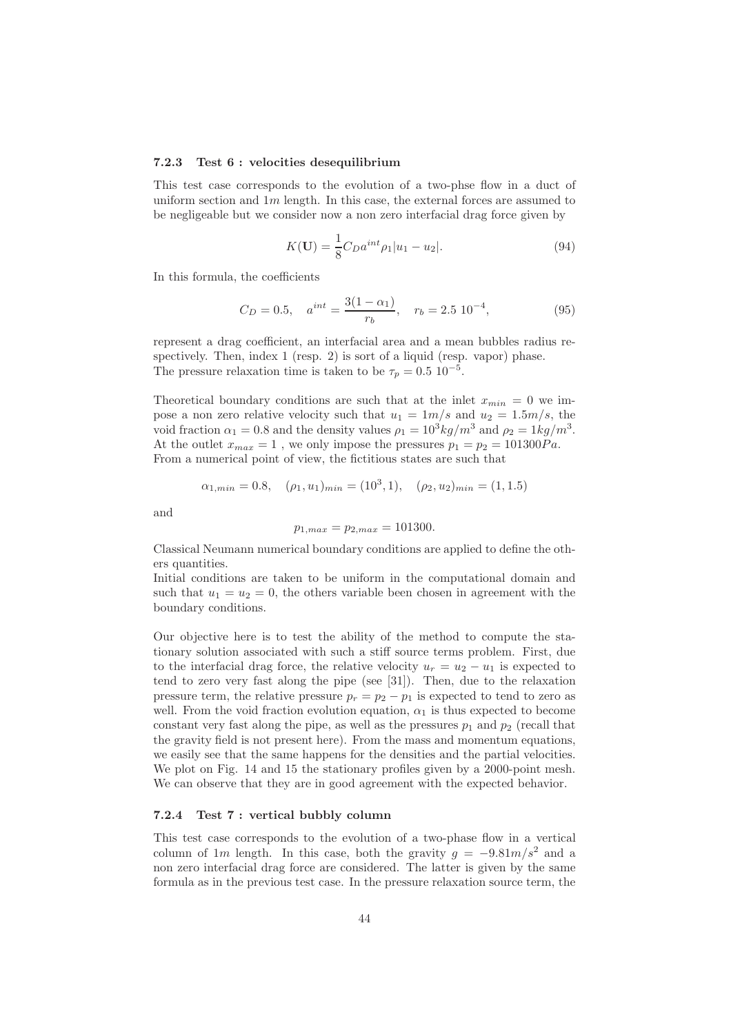#### 7.2.3 Test 6 : velocities desequilibrium

This test case corresponds to the evolution of a two-phse flow in a duct of uniform section and  $1m$  length. In this case, the external forces are assumed to be negligeable but we consider now a non zero interfacial drag force given by

$$
K(\mathbf{U}) = \frac{1}{8} C_D a^{int} \rho_1 |u_1 - u_2|.
$$
 (94)

In this formula, the coefficients

$$
C_D = 0.5, \quad a^{int} = \frac{3(1 - \alpha_1)}{r_b}, \quad r_b = 2.5 \ 10^{-4}, \tag{95}
$$

represent a drag coefficient, an interfacial area and a mean bubbles radius respectively. Then, index 1 (resp. 2) is sort of a liquid (resp. vapor) phase. The pressure relaxation time is taken to be  $\tau_p = 0.5 \; 10^{-5}$ .

Theoretical boundary conditions are such that at the inlet  $x_{min} = 0$  we impose a non zero relative velocity such that  $u_1 = 1m/s$  and  $u_2 = 1.5m/s$ , the void fraction  $\alpha_1 = 0.8$  and the density values  $\rho_1 = 10^3 kg/m^3$  and  $\rho_2 = 1kg/m^3$ . At the outlet  $x_{max} = 1$ , we only impose the pressures  $p_1 = p_2 = 101300Pa$ . From a numerical point of view, the fictitious states are such that

$$
\alpha_{1,min} = 0.8, \quad (\rho_1, u_1)_{min} = (10^3, 1), \quad (\rho_2, u_2)_{min} = (1, 1.5)
$$

and

$$
p_{1,max} = p_{2,max} = 101300.
$$

Classical Neumann numerical boundary conditions are applied to define the others quantities.

Initial conditions are taken to be uniform in the computational domain and such that  $u_1 = u_2 = 0$ , the others variable been chosen in agreement with the boundary conditions.

Our objective here is to test the ability of the method to compute the stationary solution associated with such a stiff source terms problem. First, due to the interfacial drag force, the relative velocity  $u_r = u_2 - u_1$  is expected to tend to zero very fast along the pipe (see [31]). Then, due to the relaxation pressure term, the relative pressure  $p_r = p_2 - p_1$  is expected to tend to zero as well. From the void fraction evolution equation,  $\alpha_1$  is thus expected to become constant very fast along the pipe, as well as the pressures  $p_1$  and  $p_2$  (recall that the gravity field is not present here). From the mass and momentum equations, we easily see that the same happens for the densities and the partial velocities. We plot on Fig. 14 and 15 the stationary profiles given by a 2000-point mesh. We can observe that they are in good agreement with the expected behavior.

### 7.2.4 Test 7 : vertical bubbly column

This test case corresponds to the evolution of a two-phase flow in a vertical column of 1m length. In this case, both the gravity  $g = -9.81m/s^2$  and a non zero interfacial drag force are considered. The latter is given by the same formula as in the previous test case. In the pressure relaxation source term, the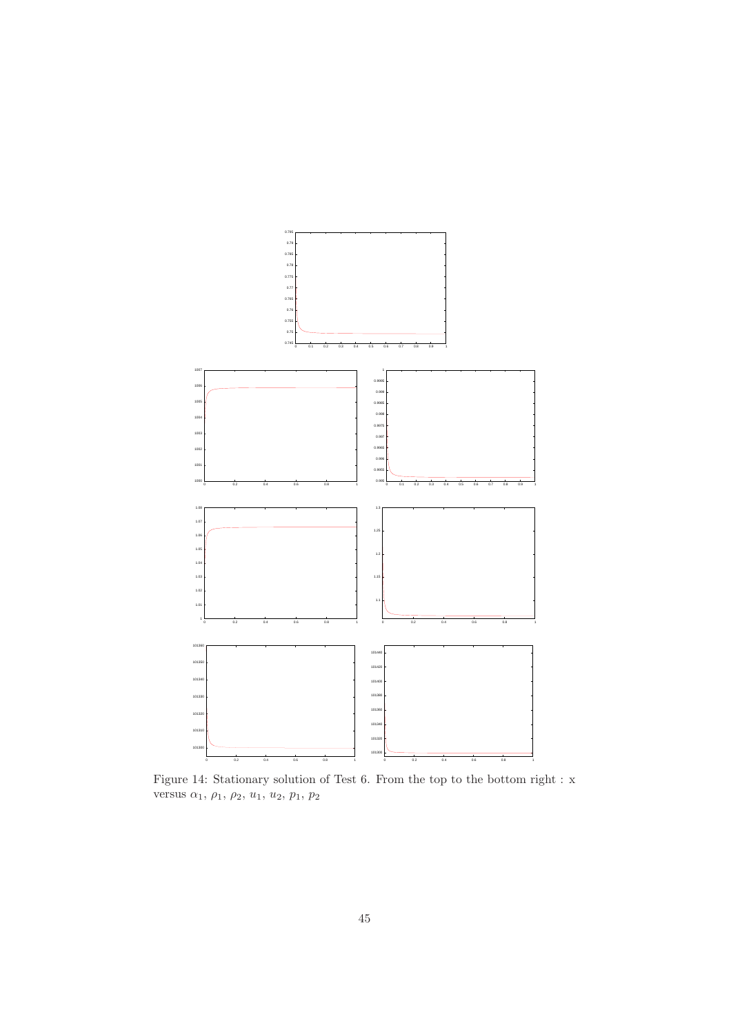

Figure 14: Stationary solution of Test 6. From the top to the bottom right : x versus  $\alpha_1, \rho_1, \rho_2, u_1, u_2, p_1, p_2$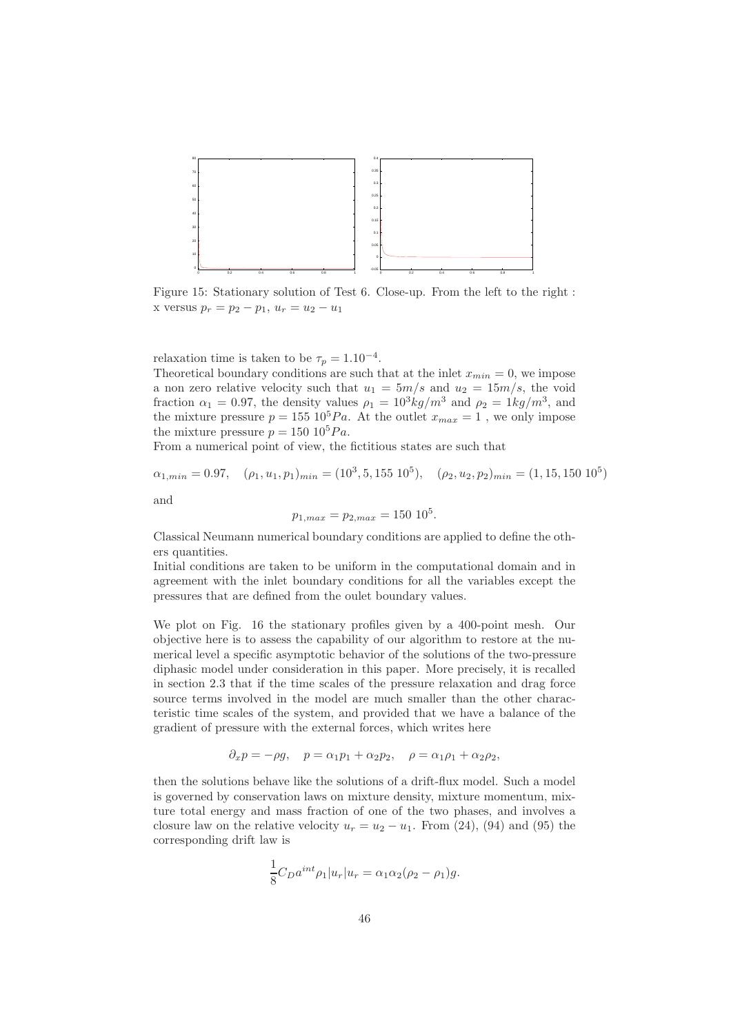

Figure 15: Stationary solution of Test 6. Close-up. From the left to the right : x versus  $p_r = p_2 - p_1, u_r = u_2 - u_1$ 

relaxation time is taken to be  $\tau_p = 1.10^{-4}$ .

Theoretical boundary conditions are such that at the inlet  $x_{min} = 0$ , we impose a non zero relative velocity such that  $u_1 = 5m/s$  and  $u_2 = 15m/s$ , the void fraction  $\alpha_1 = 0.97$ , the density values  $\rho_1 = 10^3 kg/m^3$  and  $\rho_2 = 1kg/m^3$ , and the mixture pressure  $p = 155 \; 10^5 Pa$ . At the outlet  $x_{max} = 1$ , we only impose the mixture pressure  $p = 150 \; 10^5 Pa$ .

From a numerical point of view, the fictitious states are such that

$$
\alpha_{1,min} = 0.97
$$
,  $(\rho_1, u_1, p_1)_{min} = (10^3, 5, 155 \ 10^5)$ ,  $(\rho_2, u_2, p_2)_{min} = (1, 15, 150 \ 10^5)$   
and

$$
p_{1,max} = p_{2,max} = 150 \, 10^5.
$$

Classical Neumann numerical boundary conditions are applied to define the others quantities.

Initial conditions are taken to be uniform in the computational domain and in agreement with the inlet boundary conditions for all the variables except the pressures that are defined from the oulet boundary values.

We plot on Fig. 16 the stationary profiles given by a 400-point mesh. Our objective here is to assess the capability of our algorithm to restore at the numerical level a specific asymptotic behavior of the solutions of the two-pressure diphasic model under consideration in this paper. More precisely, it is recalled in section 2.3 that if the time scales of the pressure relaxation and drag force source terms involved in the model are much smaller than the other characteristic time scales of the system, and provided that we have a balance of the gradient of pressure with the external forces, which writes here

$$
\partial_x p = -\rho g, \quad p = \alpha_1 p_1 + \alpha_2 p_2, \quad \rho = \alpha_1 \rho_1 + \alpha_2 \rho_2,
$$

then the solutions behave like the solutions of a drift-flux model. Such a model is governed by conservation laws on mixture density, mixture momentum, mixture total energy and mass fraction of one of the two phases, and involves a closure law on the relative velocity  $u_r = u_2 - u_1$ . From (24), (94) and (95) the corresponding drift law is

$$
\frac{1}{8}C_D a^{int} \rho_1 |u_r| u_r = \alpha_1 \alpha_2 (\rho_2 - \rho_1) g.
$$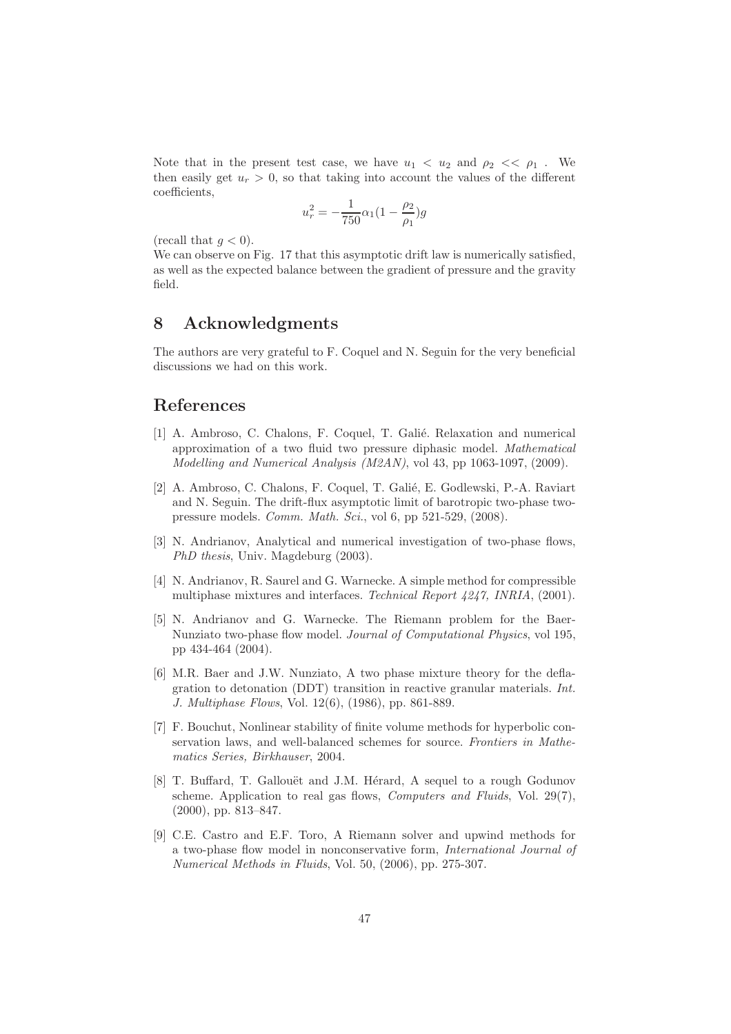Note that in the present test case, we have  $u_1 < u_2$  and  $\rho_2 < \rho_1$ . We then easily get  $u_r > 0$ , so that taking into account the values of the different coefficients,

$$
u_r^2 = -\frac{1}{750}\alpha_1(1 - \frac{\rho_2}{\rho_1})g
$$

(recall that  $q < 0$ ).

We can observe on Fig. 17 that this asymptotic drift law is numerically satisfied. as well as the expected balance between the gradient of pressure and the gravity field.

## 8 Acknowledgments

The authors are very grateful to F. Coquel and N. Seguin for the very beneficial discussions we had on this work.

## References

- [1] A. Ambroso, C. Chalons, F. Coquel, T. Galié. Relaxation and numerical approximation of a two fluid two pressure diphasic model. *Mathematical Modelling and Numerical Analysis (M2AN)*, vol 43, pp 1063-1097, (2009).
- [2] A. Ambroso, C. Chalons, F. Coquel, T. Galié, E. Godlewski, P.-A. Raviart and N. Seguin. The drift-flux asymptotic limit of barotropic two-phase twopressure models. *Comm. Math. Sci.*, vol 6, pp 521-529, (2008).
- [3] N. Andrianov, Analytical and numerical investigation of two-phase flows, *PhD thesis*, Univ. Magdeburg (2003).
- [4] N. Andrianov, R. Saurel and G. Warnecke. A simple method for compressible multiphase mixtures and interfaces. *Technical Report 4247, INRIA*, (2001).
- [5] N. Andrianov and G. Warnecke. The Riemann problem for the Baer-Nunziato two-phase flow model. *Journal of Computational Physics*, vol 195, pp 434-464 (2004).
- [6] M.R. Baer and J.W. Nunziato, A two phase mixture theory for the deflagration to detonation (DDT) transition in reactive granular materials. *Int. J. Multiphase Flows*, Vol. 12(6), (1986), pp. 861-889.
- [7] F. Bouchut, Nonlinear stability of finite volume methods for hyperbolic conservation laws, and well-balanced schemes for source. *Frontiers in Mathematics Series, Birkhauser*, 2004.
- [8] T. Buffard, T. Gallouët and J.M. Hérard, A sequel to a rough Godunov scheme. Application to real gas flows, *Computers and Fluids*, Vol. 29(7), (2000), pp. 813–847.
- [9] C.E. Castro and E.F. Toro, A Riemann solver and upwind methods for a two-phase flow model in nonconservative form, *International Journal of Numerical Methods in Fluids*, Vol. 50, (2006), pp. 275-307.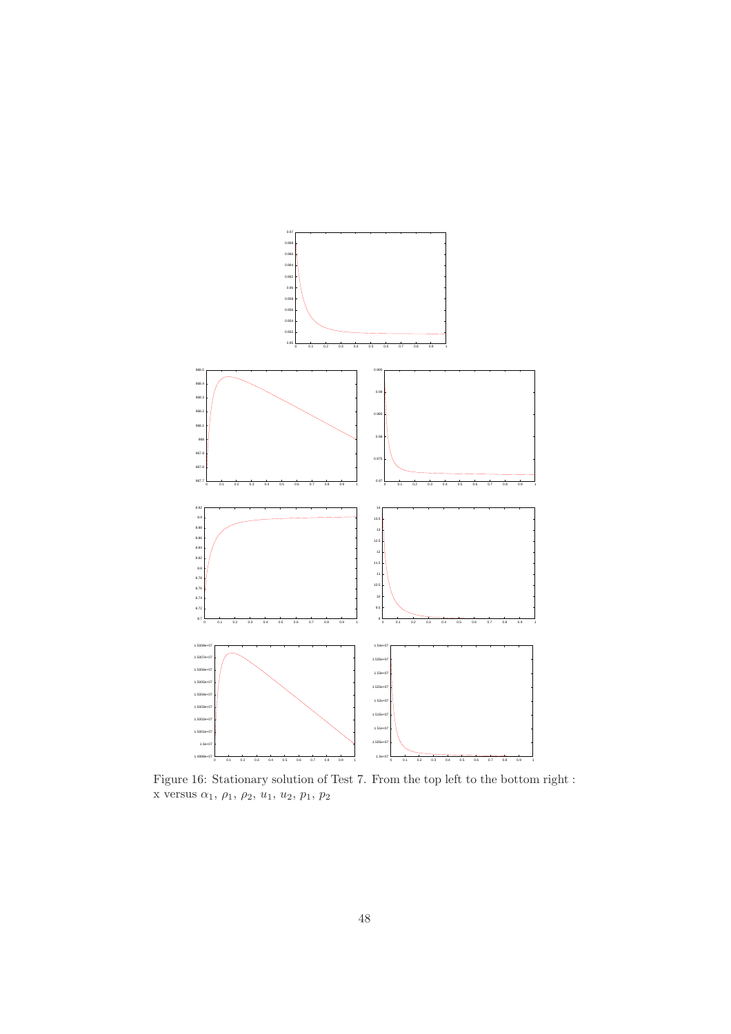

Figure 16: Stationary solution of Test 7. From the top left to the bottom right : x versus  $\alpha_1, \rho_1, \rho_2, u_1, u_2, p_1, p_2$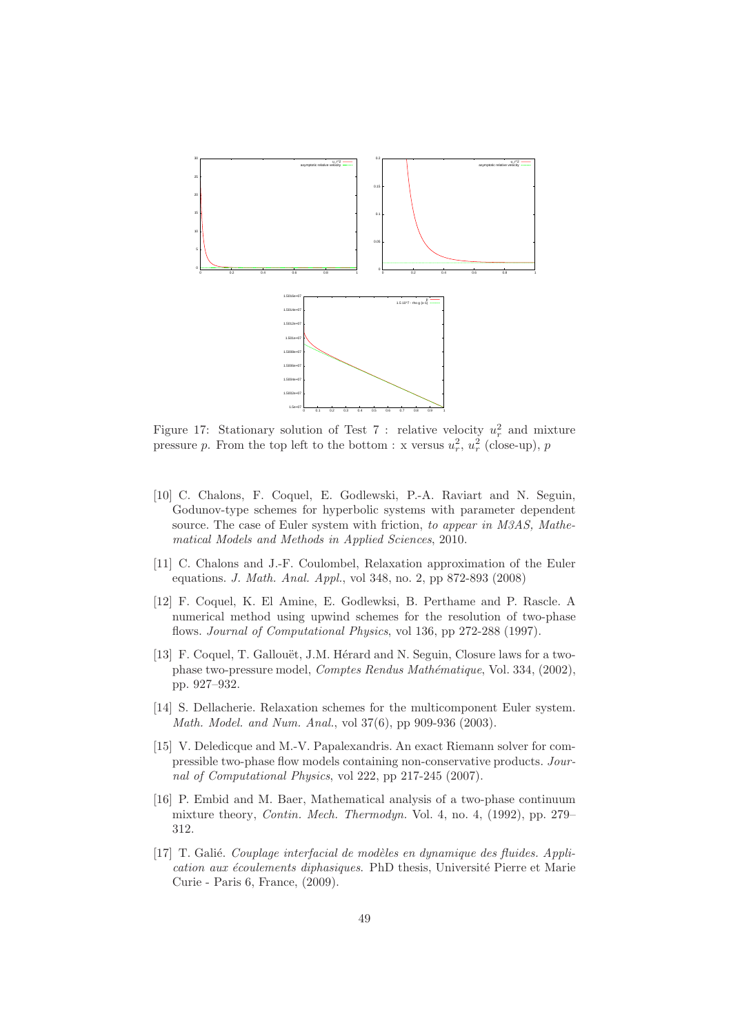

Figure 17: Stationary solution of Test 7 : relative velocity  $u_r^2$  and mixture pressure p. From the top left to the bottom : x versus  $u_r^2$ ,  $u_r^2$  (close-up), p

- [10] C. Chalons, F. Coquel, E. Godlewski, P.-A. Raviart and N. Seguin, Godunov-type schemes for hyperbolic systems with parameter dependent source. The case of Euler system with friction, *to appear in M3AS, Mathematical Models and Methods in Applied Sciences*, 2010.
- [11] C. Chalons and J.-F. Coulombel, Relaxation approximation of the Euler equations. *J. Math. Anal. Appl.*, vol 348, no. 2, pp 872-893 (2008)
- [12] F. Coquel, K. El Amine, E. Godlewksi, B. Perthame and P. Rascle. A numerical method using upwind schemes for the resolution of two-phase flows. *Journal of Computational Physics*, vol 136, pp 272-288 (1997).
- [13] F. Coquel, T. Gallouët, J.M. Hérard and N. Seguin, Closure laws for a twophase two-pressure model, *Comptes Rendus Mathématique*, Vol. 334, (2002), pp. 927–932.
- [14] S. Dellacherie. Relaxation schemes for the multicomponent Euler system. *Math. Model. and Num. Anal.*, vol 37(6), pp 909-936 (2003).
- [15] V. Deledicque and M.-V. Papalexandris. An exact Riemann solver for compressible two-phase flow models containing non-conservative products. *Journal of Computational Physics*, vol 222, pp 217-245 (2007).
- [16] P. Embid and M. Baer, Mathematical analysis of a two-phase continuum mixture theory, *Contin. Mech. Thermodyn.* Vol. 4, no. 4, (1992), pp. 279– 312.
- [17] T. Galié. *Couplage interfacial de modèles en dynamique des fluides. Application aux écoulements diphasiques*. PhD thesis, Université Pierre et Marie Curie - Paris 6, France, (2009).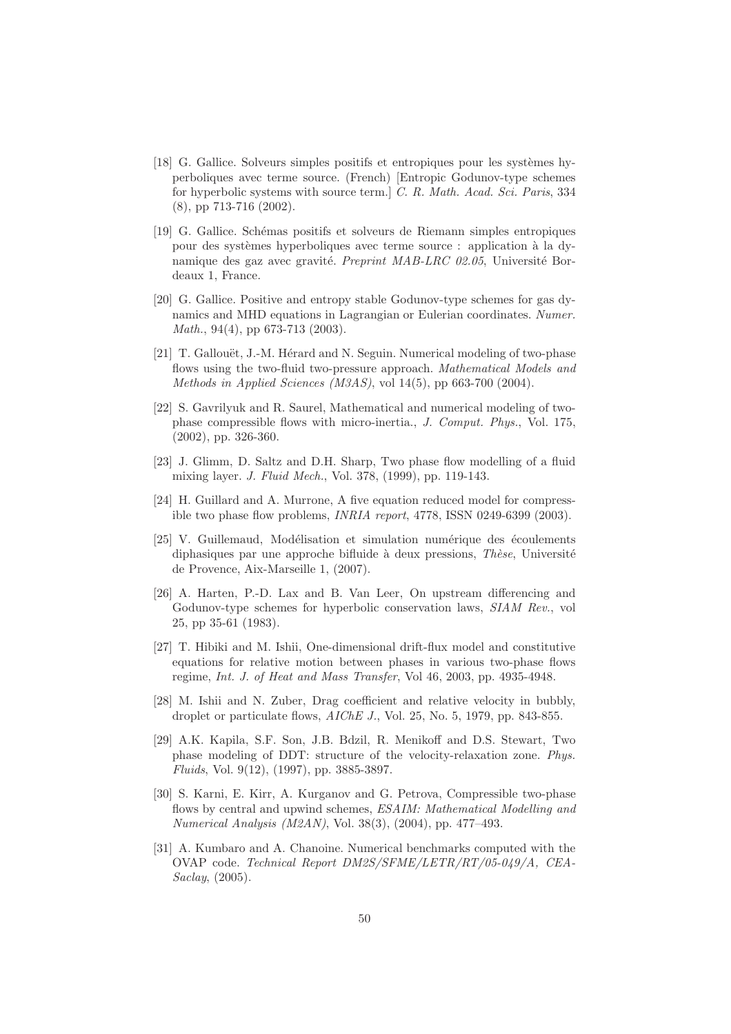- [18] G. Gallice. Solveurs simples positifs et entropiques pour les systèmes hyperboliques avec terme source. (French) [Entropic Godunov-type schemes for hyperbolic systems with source term.] *C. R. Math. Acad. Sci. Paris*, 334 (8), pp 713-716 (2002).
- [19] G. Gallice. Sch´emas positifs et solveurs de Riemann simples entropiques pour des systèmes hyperboliques avec terme source : application à la dynamique des gaz avec gravité. *Preprint MAB-LRC 02.05*, Université Bordeaux 1, France.
- [20] G. Gallice. Positive and entropy stable Godunov-type schemes for gas dynamics and MHD equations in Lagrangian or Eulerian coordinates. *Numer. Math.*, 94(4), pp 673-713 (2003).
- [21] T. Gallouët, J.-M. Hérard and N. Seguin. Numerical modeling of two-phase flows using the two-fluid two-pressure approach. *Mathematical Models and Methods in Applied Sciences (M3AS)*, vol 14(5), pp 663-700 (2004).
- [22] S. Gavrilyuk and R. Saurel, Mathematical and numerical modeling of twophase compressible flows with micro-inertia., *J. Comput. Phys.*, Vol. 175, (2002), pp. 326-360.
- [23] J. Glimm, D. Saltz and D.H. Sharp, Two phase flow modelling of a fluid mixing layer. *J. Fluid Mech.*, Vol. 378, (1999), pp. 119-143.
- [24] H. Guillard and A. Murrone, A five equation reduced model for compressible two phase flow problems, *INRIA report*, 4778, ISSN 0249-6399 (2003).
- [25] V. Guillemaud, Modélisation et simulation numérique des écoulements diphasiques par une approche bifluide à deux pressions, *Thèse*, Université de Provence, Aix-Marseille 1, (2007).
- [26] A. Harten, P.-D. Lax and B. Van Leer, On upstream differencing and Godunov-type schemes for hyperbolic conservation laws, *SIAM Rev.*, vol 25, pp 35-61 (1983).
- [27] T. Hibiki and M. Ishii, One-dimensional drift-flux model and constitutive equations for relative motion between phases in various two-phase flows regime, *Int. J. of Heat and Mass Transfer*, Vol 46, 2003, pp. 4935-4948.
- [28] M. Ishii and N. Zuber, Drag coefficient and relative velocity in bubbly, droplet or particulate flows, *AIChE J.*, Vol. 25, No. 5, 1979, pp. 843-855.
- [29] A.K. Kapila, S.F. Son, J.B. Bdzil, R. Menikoff and D.S. Stewart, Two phase modeling of DDT: structure of the velocity-relaxation zone. *Phys. Fluids*, Vol. 9(12), (1997), pp. 3885-3897.
- [30] S. Karni, E. Kirr, A. Kurganov and G. Petrova, Compressible two-phase flows by central and upwind schemes, *ESAIM: Mathematical Modelling and Numerical Analysis (M2AN)*, Vol. 38(3), (2004), pp. 477–493.
- [31] A. Kumbaro and A. Chanoine. Numerical benchmarks computed with the OVAP code. *Technical Report DM2S/SFME/LETR/RT/05-049/A, CEA-Saclay*, (2005).